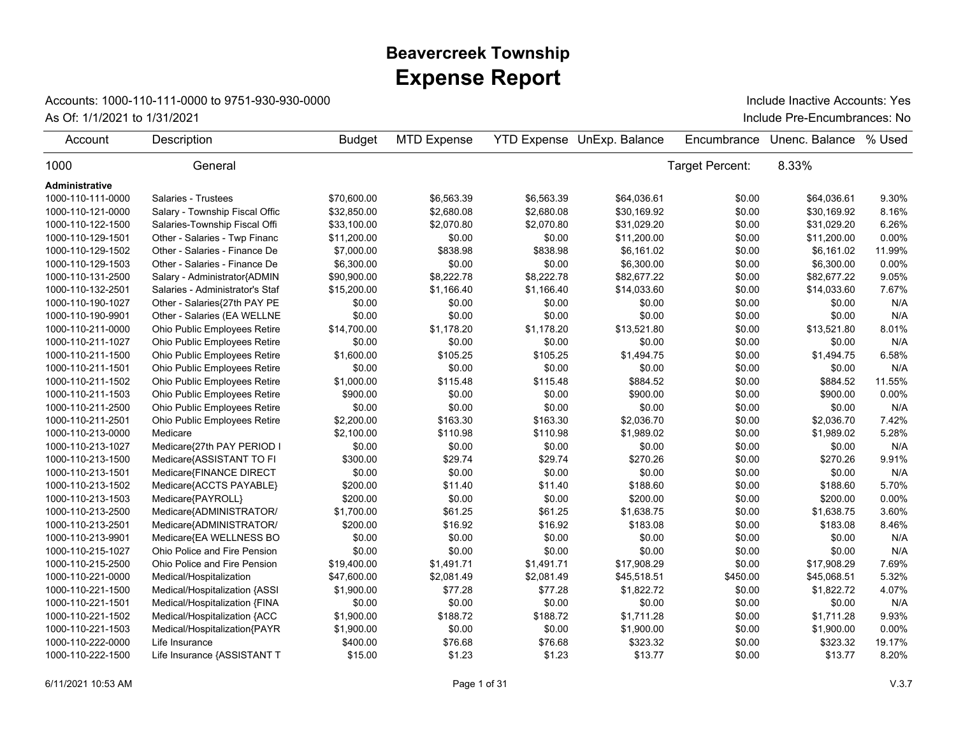## **Expense Report Beavercreek Township**

## Accounts: 1000-110-111-0000 to 9751-930-930-0000

As Of: 1/1/2021 to 1/31/2021 **As Of: 1/1/2021** to 1/31/2021 **As Of: 1/1/2021** to 1/31/2021 Include Inactive Accounts: Yes

| Account               | Description                     | <b>Budget</b> | <b>MTD Expense</b> |            | <b>YTD Expense UnExp. Balance</b> | Encumbrance     | Unenc. Balance | % Used |
|-----------------------|---------------------------------|---------------|--------------------|------------|-----------------------------------|-----------------|----------------|--------|
| 1000                  | General                         |               |                    |            |                                   | Target Percent: | 8.33%          |        |
| <b>Administrative</b> |                                 |               |                    |            |                                   |                 |                |        |
| 1000-110-111-0000     | Salaries - Trustees             | \$70,600.00   | \$6,563.39         | \$6,563.39 | \$64,036.61                       | \$0.00          | \$64,036.61    | 9.30%  |
| 1000-110-121-0000     | Salary - Township Fiscal Offic  | \$32,850.00   | \$2,680.08         | \$2,680.08 | \$30,169.92                       | \$0.00          | \$30,169.92    | 8.16%  |
| 1000-110-122-1500     | Salaries-Township Fiscal Offi   | \$33.100.00   | \$2.070.80         | \$2.070.80 | \$31,029.20                       | \$0.00          | \$31,029.20    | 6.26%  |
| 1000-110-129-1501     | Other - Salaries - Twp Financ   | \$11,200.00   | \$0.00             | \$0.00     | \$11,200.00                       | \$0.00          | \$11,200.00    | 0.00%  |
| 1000-110-129-1502     | Other - Salaries - Finance De   | \$7,000.00    | \$838.98           | \$838.98   | \$6,161.02                        | \$0.00          | \$6,161.02     | 11.99% |
| 1000-110-129-1503     | Other - Salaries - Finance De   | \$6,300.00    | \$0.00             | \$0.00     | \$6,300.00                        | \$0.00          | \$6,300.00     | 0.00%  |
| 1000-110-131-2500     | Salary - Administrator{ADMIN    | \$90,900.00   | \$8,222.78         | \$8,222.78 | \$82,677.22                       | \$0.00          | \$82,677.22    | 9.05%  |
| 1000-110-132-2501     | Salaries - Administrator's Staf | \$15,200.00   | \$1,166.40         | \$1,166.40 | \$14,033.60                       | \$0.00          | \$14,033.60    | 7.67%  |
| 1000-110-190-1027     | Other - Salaries{27th PAY PE    | \$0.00        | \$0.00             | \$0.00     | \$0.00                            | \$0.00          | \$0.00         | N/A    |
| 1000-110-190-9901     | Other - Salaries (EA WELLNE     | \$0.00        | \$0.00             | \$0.00     | \$0.00                            | \$0.00          | \$0.00         | N/A    |
| 1000-110-211-0000     | Ohio Public Employees Retire    | \$14,700.00   | \$1,178.20         | \$1,178.20 | \$13,521.80                       | \$0.00          | \$13,521.80    | 8.01%  |
| 1000-110-211-1027     | Ohio Public Employees Retire    | \$0.00        | \$0.00             | \$0.00     | \$0.00                            | \$0.00          | \$0.00         | N/A    |
| 1000-110-211-1500     | Ohio Public Employees Retire    | \$1,600.00    | \$105.25           | \$105.25   | \$1,494.75                        | \$0.00          | \$1,494.75     | 6.58%  |
| 1000-110-211-1501     | Ohio Public Employees Retire    | \$0.00        | \$0.00             | \$0.00     | \$0.00                            | \$0.00          | \$0.00         | N/A    |
| 1000-110-211-1502     | Ohio Public Employees Retire    | \$1,000.00    | \$115.48           | \$115.48   | \$884.52                          | \$0.00          | \$884.52       | 11.55% |
| 1000-110-211-1503     | Ohio Public Employees Retire    | \$900.00      | \$0.00             | \$0.00     | \$900.00                          | \$0.00          | \$900.00       | 0.00%  |
| 1000-110-211-2500     | Ohio Public Employees Retire    | \$0.00        | \$0.00             | \$0.00     | \$0.00                            | \$0.00          | \$0.00         | N/A    |
| 1000-110-211-2501     | Ohio Public Employees Retire    | \$2,200.00    | \$163.30           | \$163.30   | \$2,036.70                        | \$0.00          | \$2,036.70     | 7.42%  |
| 1000-110-213-0000     | Medicare                        | \$2,100.00    | \$110.98           | \$110.98   | \$1,989.02                        | \$0.00          | \$1,989.02     | 5.28%  |
| 1000-110-213-1027     | Medicare{27th PAY PERIOD I      | \$0.00        | \$0.00             | \$0.00     | \$0.00                            | \$0.00          | \$0.00         | N/A    |
| 1000-110-213-1500     | Medicare{ASSISTANT TO FI        | \$300.00      | \$29.74            | \$29.74    | \$270.26                          | \$0.00          | \$270.26       | 9.91%  |
| 1000-110-213-1501     | Medicare{FINANCE DIRECT         | \$0.00        | \$0.00             | \$0.00     | \$0.00                            | \$0.00          | \$0.00         | N/A    |
| 1000-110-213-1502     | Medicare{ACCTS PAYABLE}         | \$200.00      | \$11.40            | \$11.40    | \$188.60                          | \$0.00          | \$188.60       | 5.70%  |
| 1000-110-213-1503     | Medicare{PAYROLL}               | \$200.00      | \$0.00             | \$0.00     | \$200.00                          | \$0.00          | \$200.00       | 0.00%  |
| 1000-110-213-2500     | Medicare{ADMINISTRATOR/         | \$1,700.00    | \$61.25            | \$61.25    | \$1,638.75                        | \$0.00          | \$1,638.75     | 3.60%  |
| 1000-110-213-2501     | Medicare{ADMINISTRATOR/         | \$200.00      | \$16.92            | \$16.92    | \$183.08                          | \$0.00          | \$183.08       | 8.46%  |
| 1000-110-213-9901     | Medicare{EA WELLNESS BO         | \$0.00        | \$0.00             | \$0.00     | \$0.00                            | \$0.00          | \$0.00         | N/A    |
| 1000-110-215-1027     | Ohio Police and Fire Pension    | \$0.00        | \$0.00             | \$0.00     | \$0.00                            | \$0.00          | \$0.00         | N/A    |
| 1000-110-215-2500     | Ohio Police and Fire Pension    | \$19,400.00   | \$1,491.71         | \$1,491.71 | \$17,908.29                       | \$0.00          | \$17,908.29    | 7.69%  |
| 1000-110-221-0000     | Medical/Hospitalization         | \$47,600.00   | \$2,081.49         | \$2,081.49 | \$45,518.51                       | \$450.00        | \$45,068.51    | 5.32%  |
| 1000-110-221-1500     | Medical/Hospitalization {ASSI   | \$1,900.00    | \$77.28            | \$77.28    | \$1,822.72                        | \$0.00          | \$1,822.72     | 4.07%  |
| 1000-110-221-1501     | Medical/Hospitalization {FINA   | \$0.00        | \$0.00             | \$0.00     | \$0.00                            | \$0.00          | \$0.00         | N/A    |
| 1000-110-221-1502     | Medical/Hospitalization {ACC    | \$1,900.00    | \$188.72           | \$188.72   | \$1,711.28                        | \$0.00          | \$1,711.28     | 9.93%  |
| 1000-110-221-1503     | Medical/Hospitalization{PAYR    | \$1,900.00    | \$0.00             | \$0.00     | \$1,900.00                        | \$0.00          | \$1,900.00     | 0.00%  |
| 1000-110-222-0000     | Life Insurance                  | \$400.00      | \$76.68            | \$76.68    | \$323.32                          | \$0.00          | \$323.32       | 19.17% |
| 1000-110-222-1500     | Life Insurance {ASSISTANT T     | \$15.00       | \$1.23             | \$1.23     | \$13.77                           | \$0.00          | \$13.77        | 8.20%  |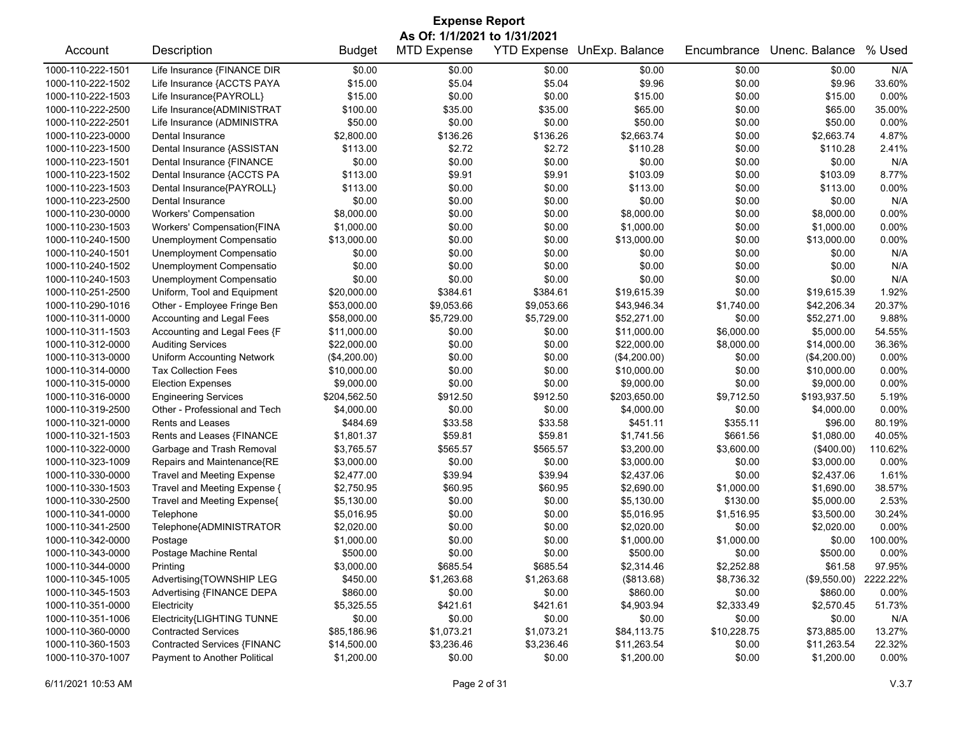| <b>Expense Report</b> |                                   |               |                    |            |                                   |             |                |          |  |  |
|-----------------------|-----------------------------------|---------------|--------------------|------------|-----------------------------------|-------------|----------------|----------|--|--|
|                       | As Of: 1/1/2021 to 1/31/2021      |               |                    |            |                                   |             |                |          |  |  |
| Account               | Description                       | <b>Budget</b> | <b>MTD Expense</b> |            | <b>YTD Expense UnExp. Balance</b> | Encumbrance | Unenc. Balance | % Used   |  |  |
| 1000-110-222-1501     | Life Insurance {FINANCE DIR       | \$0.00        | \$0.00             | \$0.00     | \$0.00                            | \$0.00      | \$0.00         | N/A      |  |  |
| 1000-110-222-1502     | Life Insurance {ACCTS PAYA        | \$15.00       | \$5.04             | \$5.04     | \$9.96                            | \$0.00      | \$9.96         | 33.60%   |  |  |
| 1000-110-222-1503     | Life Insurance{PAYROLL}           | \$15.00       | \$0.00             | \$0.00     | \$15.00                           | \$0.00      | \$15.00        | 0.00%    |  |  |
| 1000-110-222-2500     | Life Insurance{ADMINISTRAT        | \$100.00      | \$35.00            | \$35.00    | \$65.00                           | \$0.00      | \$65.00        | 35.00%   |  |  |
| 1000-110-222-2501     | Life Insurance (ADMINISTRA        | \$50.00       | \$0.00             | \$0.00     | \$50.00                           | \$0.00      | \$50.00        | 0.00%    |  |  |
| 1000-110-223-0000     | Dental Insurance                  | \$2,800.00    | \$136.26           | \$136.26   | \$2,663.74                        | \$0.00      | \$2,663.74     | 4.87%    |  |  |
| 1000-110-223-1500     | Dental Insurance {ASSISTAN        | \$113.00      | \$2.72             | \$2.72     | \$110.28                          | \$0.00      | \$110.28       | 2.41%    |  |  |
| 1000-110-223-1501     | Dental Insurance {FINANCE         | \$0.00        | \$0.00             | \$0.00     | \$0.00                            | \$0.00      | \$0.00         | N/A      |  |  |
| 1000-110-223-1502     | Dental Insurance {ACCTS PA        | \$113.00      | \$9.91             | \$9.91     | \$103.09                          | \$0.00      | \$103.09       | 8.77%    |  |  |
| 1000-110-223-1503     | Dental Insurance{PAYROLL}         | \$113.00      | \$0.00             | \$0.00     | \$113.00                          | \$0.00      | \$113.00       | 0.00%    |  |  |
| 1000-110-223-2500     | Dental Insurance                  | \$0.00        | \$0.00             | \$0.00     | \$0.00                            | \$0.00      | \$0.00         | N/A      |  |  |
| 1000-110-230-0000     | <b>Workers' Compensation</b>      | \$8,000.00    | \$0.00             | \$0.00     | \$8,000.00                        | \$0.00      | \$8,000.00     | 0.00%    |  |  |
| 1000-110-230-1503     | Workers' Compensation{FINA        | \$1,000.00    | \$0.00             | \$0.00     | \$1,000.00                        | \$0.00      | \$1,000.00     | 0.00%    |  |  |
| 1000-110-240-1500     | Unemployment Compensatio          | \$13,000.00   | \$0.00             | \$0.00     | \$13,000.00                       | \$0.00      | \$13,000.00    | 0.00%    |  |  |
| 1000-110-240-1501     | Unemployment Compensatio          | \$0.00        | \$0.00             | \$0.00     | \$0.00                            | \$0.00      | \$0.00         | N/A      |  |  |
| 1000-110-240-1502     | Unemployment Compensatio          | \$0.00        | \$0.00             | \$0.00     | \$0.00                            | \$0.00      | \$0.00         | N/A      |  |  |
| 1000-110-240-1503     | Unemployment Compensatio          | \$0.00        | \$0.00             | \$0.00     | \$0.00                            | \$0.00      | \$0.00         | N/A      |  |  |
| 1000-110-251-2500     | Uniform, Tool and Equipment       | \$20,000.00   | \$384.61           | \$384.61   | \$19,615.39                       | \$0.00      | \$19,615.39    | 1.92%    |  |  |
| 1000-110-290-1016     | Other - Employee Fringe Ben       | \$53,000.00   | \$9,053.66         | \$9,053.66 | \$43,946.34                       | \$1,740.00  | \$42,206.34    | 20.37%   |  |  |
| 1000-110-311-0000     | Accounting and Legal Fees         | \$58,000.00   | \$5,729.00         | \$5,729.00 | \$52,271.00                       | \$0.00      | \$52,271.00    | 9.88%    |  |  |
| 1000-110-311-1503     | Accounting and Legal Fees {F      | \$11,000.00   | \$0.00             | \$0.00     | \$11,000.00                       | \$6,000.00  | \$5,000.00     | 54.55%   |  |  |
| 1000-110-312-0000     | <b>Auditing Services</b>          | \$22,000.00   | \$0.00             | \$0.00     | \$22,000.00                       | \$8,000.00  | \$14,000.00    | 36.36%   |  |  |
| 1000-110-313-0000     | <b>Uniform Accounting Network</b> | (\$4,200.00)  | \$0.00             | \$0.00     | (\$4,200.00)                      | \$0.00      | (\$4,200.00)   | 0.00%    |  |  |
| 1000-110-314-0000     | <b>Tax Collection Fees</b>        | \$10,000.00   | \$0.00             | \$0.00     | \$10,000.00                       | \$0.00      | \$10,000.00    | 0.00%    |  |  |
| 1000-110-315-0000     | <b>Election Expenses</b>          | \$9,000.00    | \$0.00             | \$0.00     | \$9,000.00                        | \$0.00      | \$9,000.00     | 0.00%    |  |  |
| 1000-110-316-0000     | <b>Engineering Services</b>       | \$204,562.50  | \$912.50           | \$912.50   | \$203,650.00                      | \$9,712.50  | \$193,937.50   | 5.19%    |  |  |
| 1000-110-319-2500     | Other - Professional and Tech     | \$4,000.00    | \$0.00             | \$0.00     | \$4,000.00                        | \$0.00      | \$4,000.00     | 0.00%    |  |  |
| 1000-110-321-0000     | Rents and Leases                  | \$484.69      | \$33.58            | \$33.58    | \$451.11                          | \$355.11    | \$96.00        | 80.19%   |  |  |
| 1000-110-321-1503     | Rents and Leases {FINANCE         | \$1,801.37    | \$59.81            | \$59.81    | \$1,741.56                        | \$661.56    | \$1,080.00     | 40.05%   |  |  |
| 1000-110-322-0000     | Garbage and Trash Removal         | \$3,765.57    | \$565.57           | \$565.57   | \$3,200.00                        | \$3,600.00  | (\$400.00)     | 110.62%  |  |  |
| 1000-110-323-1009     | Repairs and Maintenance{RE        | \$3,000.00    | \$0.00             | \$0.00     | \$3,000.00                        | \$0.00      | \$3,000.00     | 0.00%    |  |  |
| 1000-110-330-0000     | <b>Travel and Meeting Expense</b> | \$2,477.00    | \$39.94            | \$39.94    | \$2,437.06                        | \$0.00      | \$2,437.06     | 1.61%    |  |  |
| 1000-110-330-1503     | Travel and Meeting Expense {      | \$2,750.95    | \$60.95            | \$60.95    | \$2,690.00                        | \$1,000.00  | \$1,690.00     | 38.57%   |  |  |
| 1000-110-330-2500     | Travel and Meeting Expense{       | \$5,130.00    | \$0.00             | \$0.00     | \$5,130.00                        | \$130.00    | \$5,000.00     | 2.53%    |  |  |
| 1000-110-341-0000     | Telephone                         | \$5,016.95    | \$0.00             | \$0.00     | \$5,016.95                        | \$1,516.95  | \$3,500.00     | 30.24%   |  |  |
| 1000-110-341-2500     | Telephone{ADMINISTRATOR           | \$2,020.00    | \$0.00             | \$0.00     | \$2,020.00                        | \$0.00      | \$2,020.00     | 0.00%    |  |  |
| 1000-110-342-0000     | Postage                           | \$1,000.00    | \$0.00             | \$0.00     | \$1,000.00                        | \$1,000.00  | \$0.00         | 100.00%  |  |  |
| 1000-110-343-0000     | Postage Machine Rental            | \$500.00      | \$0.00             | \$0.00     | \$500.00                          | \$0.00      | \$500.00       | 0.00%    |  |  |
| 1000-110-344-0000     | Printing                          | \$3,000.00    | \$685.54           | \$685.54   | \$2,314.46                        | \$2,252.88  | \$61.58        | 97.95%   |  |  |
| 1000-110-345-1005     | Advertising{TOWNSHIP LEG          | \$450.00      | \$1,263.68         | \$1,263.68 | (\$813.68)                        | \$8,736.32  | (\$9,550.00)   | 2222.22% |  |  |
| 1000-110-345-1503     | Advertising {FINANCE DEPA         | \$860.00      | \$0.00             | \$0.00     | \$860.00                          | \$0.00      | \$860.00       | 0.00%    |  |  |
| 1000-110-351-0000     | Electricity                       | \$5,325.55    | \$421.61           | \$421.61   | \$4,903.94                        | \$2,333.49  | \$2,570.45     | 51.73%   |  |  |
| 1000-110-351-1006     | Electricity{LIGHTING TUNNE        | \$0.00        | \$0.00             | \$0.00     | \$0.00                            | \$0.00      | \$0.00         | N/A      |  |  |
| 1000-110-360-0000     | <b>Contracted Services</b>        | \$85,186.96   | \$1,073.21         | \$1,073.21 | \$84,113.75                       | \$10,228.75 | \$73,885.00    | 13.27%   |  |  |
| 1000-110-360-1503     | Contracted Services {FINANC       | \$14,500.00   | \$3,236.46         | \$3,236.46 | \$11,263.54                       | \$0.00      | \$11,263.54    | 22.32%   |  |  |
| 1000-110-370-1007     | Payment to Another Political      | \$1,200.00    | \$0.00             | \$0.00     | \$1,200.00                        | \$0.00      | \$1,200.00     | 0.00%    |  |  |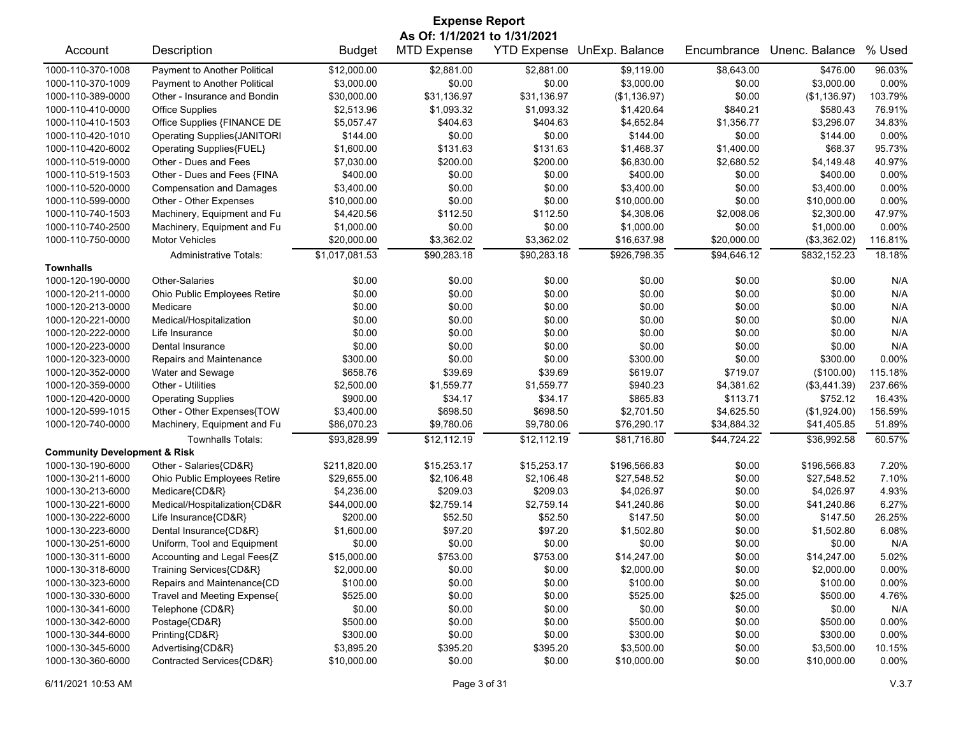| <b>Expense Report</b>                   |                                    |                |                              |             |                            |             |                |         |
|-----------------------------------------|------------------------------------|----------------|------------------------------|-------------|----------------------------|-------------|----------------|---------|
|                                         |                                    |                | As Of: 1/1/2021 to 1/31/2021 |             |                            |             |                |         |
| Account                                 | Description                        | <b>Budget</b>  | <b>MTD Expense</b>           |             | YTD Expense UnExp. Balance | Encumbrance | Unenc. Balance | % Used  |
| 1000-110-370-1008                       | Payment to Another Political       | \$12,000.00    | \$2,881.00                   | \$2,881.00  | \$9,119.00                 | \$8,643.00  | \$476.00       | 96.03%  |
| 1000-110-370-1009                       | Payment to Another Political       | \$3,000.00     | \$0.00                       | \$0.00      | \$3,000.00                 | \$0.00      | \$3,000.00     | 0.00%   |
| 1000-110-389-0000                       | Other - Insurance and Bondin       | \$30,000.00    | \$31,136.97                  | \$31,136.97 | (\$1,136.97)               | \$0.00      | (\$1,136.97)   | 103.79% |
| 1000-110-410-0000                       | <b>Office Supplies</b>             | \$2,513.96     | \$1,093.32                   | \$1,093.32  | \$1,420.64                 | \$840.21    | \$580.43       | 76.91%  |
| 1000-110-410-1503                       | Office Supplies {FINANCE DE        | \$5,057.47     | \$404.63                     | \$404.63    | \$4,652.84                 | \$1,356.77  | \$3,296.07     | 34.83%  |
| 1000-110-420-1010                       | <b>Operating Supplies{JANITORI</b> | \$144.00       | \$0.00                       | \$0.00      | \$144.00                   | \$0.00      | \$144.00       | 0.00%   |
| 1000-110-420-6002                       | Operating Supplies{FUEL}           | \$1,600.00     | \$131.63                     | \$131.63    | \$1,468.37                 | \$1,400.00  | \$68.37        | 95.73%  |
| 1000-110-519-0000                       | Other - Dues and Fees              | \$7,030.00     | \$200.00                     | \$200.00    | \$6,830.00                 | \$2,680.52  | \$4,149.48     | 40.97%  |
| 1000-110-519-1503                       | Other - Dues and Fees {FINA        | \$400.00       | \$0.00                       | \$0.00      | \$400.00                   | \$0.00      | \$400.00       | 0.00%   |
| 1000-110-520-0000                       | <b>Compensation and Damages</b>    | \$3,400.00     | \$0.00                       | \$0.00      | \$3,400.00                 | \$0.00      | \$3,400.00     | 0.00%   |
| 1000-110-599-0000                       | Other - Other Expenses             | \$10,000.00    | \$0.00                       | \$0.00      | \$10,000.00                | \$0.00      | \$10,000.00    | 0.00%   |
| 1000-110-740-1503                       | Machinery, Equipment and Fu        | \$4,420.56     | \$112.50                     | \$112.50    | \$4,308.06                 | \$2,008.06  | \$2,300.00     | 47.97%  |
| 1000-110-740-2500                       | Machinery, Equipment and Fu        | \$1,000.00     | \$0.00                       | \$0.00      | \$1,000.00                 | \$0.00      | \$1,000.00     | 0.00%   |
| 1000-110-750-0000                       | <b>Motor Vehicles</b>              | \$20,000.00    | \$3,362.02                   | \$3,362.02  | \$16,637.98                | \$20,000.00 | (\$3,362.02)   | 116.81% |
|                                         | <b>Administrative Totals:</b>      | \$1,017,081.53 | \$90,283.18                  | \$90,283.18 | \$926,798.35               | \$94,646.12 | \$832,152.23   | 18.18%  |
| <b>Townhalls</b>                        |                                    |                |                              |             |                            |             |                |         |
| 1000-120-190-0000                       | Other-Salaries                     | \$0.00         | \$0.00                       | \$0.00      | \$0.00                     | \$0.00      | \$0.00         | N/A     |
| 1000-120-211-0000                       | Ohio Public Employees Retire       | \$0.00         | \$0.00                       | \$0.00      | \$0.00                     | \$0.00      | \$0.00         | N/A     |
| 1000-120-213-0000                       | Medicare                           | \$0.00         | \$0.00                       | \$0.00      | \$0.00                     | \$0.00      | \$0.00         | N/A     |
| 1000-120-221-0000                       | Medical/Hospitalization            | \$0.00         | \$0.00                       | \$0.00      | \$0.00                     | \$0.00      | \$0.00         | N/A     |
| 1000-120-222-0000                       | Life Insurance                     | \$0.00         | \$0.00                       | \$0.00      | \$0.00                     | \$0.00      | \$0.00         | N/A     |
| 1000-120-223-0000                       | Dental Insurance                   | \$0.00         | \$0.00                       | \$0.00      | \$0.00                     | \$0.00      | \$0.00         | N/A     |
| 1000-120-323-0000                       | Repairs and Maintenance            | \$300.00       | \$0.00                       | \$0.00      | \$300.00                   | \$0.00      | \$300.00       | 0.00%   |
| 1000-120-352-0000                       | Water and Sewage                   | \$658.76       | \$39.69                      | \$39.69     | \$619.07                   | \$719.07    | (\$100.00)     | 115.18% |
| 1000-120-359-0000                       | Other - Utilities                  | \$2,500.00     | \$1,559.77                   | \$1,559.77  | \$940.23                   | \$4,381.62  | (\$3,441.39)   | 237.66% |
| 1000-120-420-0000                       | <b>Operating Supplies</b>          | \$900.00       | \$34.17                      | \$34.17     | \$865.83                   | \$113.71    | \$752.12       | 16.43%  |
| 1000-120-599-1015                       | Other - Other Expenses{TOW         | \$3,400.00     | \$698.50                     | \$698.50    | \$2,701.50                 | \$4,625.50  | (\$1,924.00)   | 156.59% |
| 1000-120-740-0000                       | Machinery, Equipment and Fu        | \$86,070.23    | \$9,780.06                   | \$9,780.06  | \$76,290.17                | \$34,884.32 | \$41,405.85    | 51.89%  |
|                                         | <b>Townhalls Totals:</b>           | \$93,828.99    | \$12,112.19                  | \$12,112.19 | \$81,716.80                | \$44,724.22 | \$36,992.58    | 60.57%  |
| <b>Community Development &amp; Risk</b> |                                    |                |                              |             |                            |             |                |         |
| 1000-130-190-6000                       | Other - Salaries{CD&R}             | \$211,820.00   | \$15,253.17                  | \$15,253.17 | \$196,566.83               | \$0.00      | \$196,566.83   | 7.20%   |
| 1000-130-211-6000                       | Ohio Public Employees Retire       | \$29,655.00    | \$2,106.48                   | \$2,106.48  | \$27,548.52                | \$0.00      | \$27,548.52    | 7.10%   |
| 1000-130-213-6000                       | Medicare{CD&R}                     | \$4,236.00     | \$209.03                     | \$209.03    | \$4,026.97                 | \$0.00      | \$4,026.97     | 4.93%   |
| 1000-130-221-6000                       | Medical/Hospitalization{CD&R       | \$44,000.00    | \$2,759.14                   | \$2,759.14  | \$41,240.86                | \$0.00      | \$41,240.86    | 6.27%   |
| 1000-130-222-6000                       | Life Insurance{CD&R}               | \$200.00       | \$52.50                      | \$52.50     | \$147.50                   | \$0.00      | \$147.50       | 26.25%  |
| 1000-130-223-6000                       | Dental Insurance{CD&R}             | \$1,600.00     | \$97.20                      | \$97.20     | \$1,502.80                 | \$0.00      | \$1,502.80     | 6.08%   |
| 1000-130-251-6000                       | Uniform, Tool and Equipment        | \$0.00         | \$0.00                       | \$0.00      | \$0.00                     | \$0.00      | \$0.00         | N/A     |
| 1000-130-311-6000                       | Accounting and Legal Fees{Z        | \$15,000.00    | \$753.00                     | \$753.00    | \$14,247.00                | \$0.00      | \$14,247.00    | 5.02%   |
| 1000-130-318-6000                       | Training Services{CD&R}            | \$2,000.00     | \$0.00                       | \$0.00      | \$2,000.00                 | \$0.00      | \$2,000.00     | 0.00%   |
| 1000-130-323-6000                       | Repairs and Maintenance{CD         | \$100.00       | \$0.00                       | \$0.00      | \$100.00                   | \$0.00      | \$100.00       | 0.00%   |
| 1000-130-330-6000                       | Travel and Meeting Expense{        | \$525.00       | \$0.00                       | \$0.00      | \$525.00                   | \$25.00     | \$500.00       | 4.76%   |
| 1000-130-341-6000                       | Telephone {CD&R}                   | \$0.00         | \$0.00                       | \$0.00      | \$0.00                     | \$0.00      | \$0.00         | N/A     |
| 1000-130-342-6000                       | Postage{CD&R}                      | \$500.00       | \$0.00                       | \$0.00      | \$500.00                   | \$0.00      | \$500.00       | 0.00%   |
| 1000-130-344-6000                       | Printing{CD&R}                     | \$300.00       | \$0.00                       | \$0.00      | \$300.00                   | \$0.00      | \$300.00       | 0.00%   |
| 1000-130-345-6000                       | Advertising{CD&R}                  | \$3,895.20     | \$395.20                     | \$395.20    | \$3,500.00                 | \$0.00      | \$3,500.00     | 10.15%  |
| 1000-130-360-6000                       | Contracted Services{CD&R}          | \$10,000.00    | \$0.00                       | \$0.00      | \$10,000.00                | \$0.00      | \$10,000.00    | 0.00%   |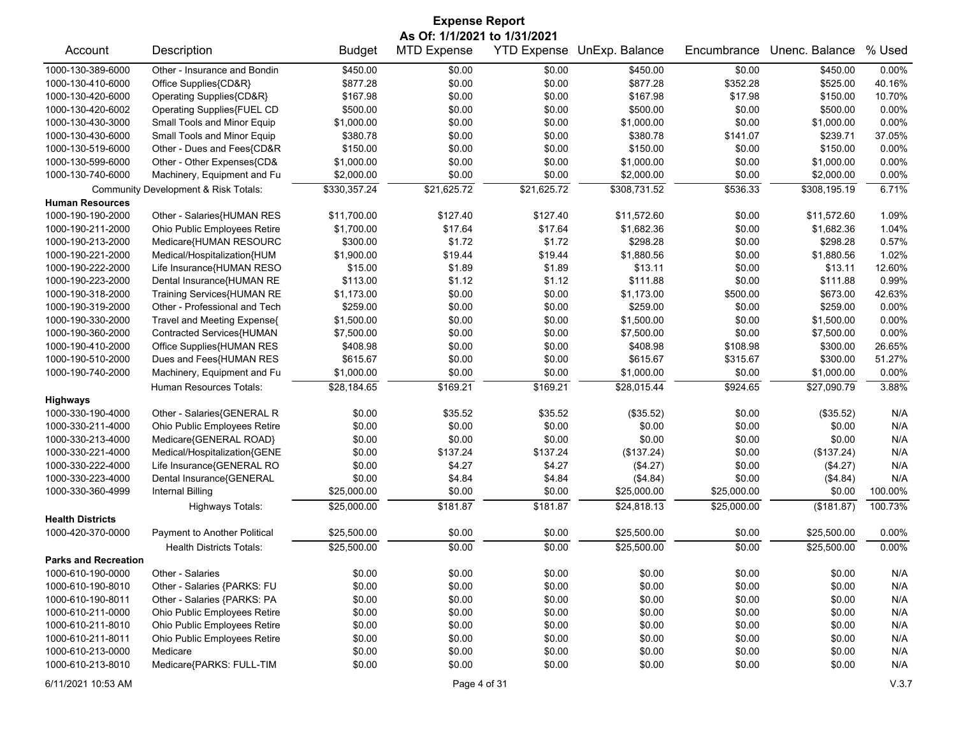| <b>Expense Report</b>       |                                      |               |                              |                    |                |             |                |          |  |
|-----------------------------|--------------------------------------|---------------|------------------------------|--------------------|----------------|-------------|----------------|----------|--|
|                             |                                      |               | As Of: 1/1/2021 to 1/31/2021 |                    |                |             |                |          |  |
| Account                     | Description                          | <b>Budget</b> | <b>MTD Expense</b>           | <b>YTD Expense</b> | UnExp. Balance | Encumbrance | Unenc. Balance | % Used   |  |
| 1000-130-389-6000           | Other - Insurance and Bondin         | \$450.00      | \$0.00                       | \$0.00             | \$450.00       | \$0.00      | \$450.00       | 0.00%    |  |
| 1000-130-410-6000           | Office Supplies{CD&R}                | \$877.28      | \$0.00                       | \$0.00             | \$877.28       | \$352.28    | \$525.00       | 40.16%   |  |
| 1000-130-420-6000           | Operating Supplies{CD&R}             | \$167.98      | \$0.00                       | \$0.00             | \$167.98       | \$17.98     | \$150.00       | 10.70%   |  |
| 1000-130-420-6002           | Operating Supplies{FUEL CD           | \$500.00      | \$0.00                       | \$0.00             | \$500.00       | \$0.00      | \$500.00       | 0.00%    |  |
| 1000-130-430-3000           | Small Tools and Minor Equip          | \$1,000.00    | \$0.00                       | \$0.00             | \$1,000.00     | \$0.00      | \$1,000.00     | 0.00%    |  |
| 1000-130-430-6000           | Small Tools and Minor Equip          | \$380.78      | \$0.00                       | \$0.00             | \$380.78       | \$141.07    | \$239.71       | 37.05%   |  |
| 1000-130-519-6000           | Other - Dues and Fees{CD&R           | \$150.00      | \$0.00                       | \$0.00             | \$150.00       | \$0.00      | \$150.00       | 0.00%    |  |
| 1000-130-599-6000           | Other - Other Expenses{CD&           | \$1,000.00    | \$0.00                       | \$0.00             | \$1,000.00     | \$0.00      | \$1,000.00     | 0.00%    |  |
| 1000-130-740-6000           | Machinery, Equipment and Fu          | \$2,000.00    | \$0.00                       | \$0.00             | \$2,000.00     | \$0.00      | \$2,000.00     | 0.00%    |  |
|                             | Community Development & Risk Totals: | \$330,357.24  | \$21,625.72                  | \$21,625.72        | \$308,731.52   | \$536.33    | \$308,195.19   | 6.71%    |  |
| <b>Human Resources</b>      |                                      |               |                              |                    |                |             |                |          |  |
| 1000-190-190-2000           | Other - Salaries{HUMAN RES           | \$11,700.00   | \$127.40                     | \$127.40           | \$11,572.60    | \$0.00      | \$11,572.60    | 1.09%    |  |
| 1000-190-211-2000           | Ohio Public Employees Retire         | \$1,700.00    | \$17.64                      | \$17.64            | \$1,682.36     | \$0.00      | \$1,682.36     | 1.04%    |  |
| 1000-190-213-2000           | Medicare{HUMAN RESOURC               | \$300.00      | \$1.72                       | \$1.72             | \$298.28       | \$0.00      | \$298.28       | 0.57%    |  |
| 1000-190-221-2000           | Medical/Hospitalization{HUM          | \$1,900.00    | \$19.44                      | \$19.44            | \$1,880.56     | \$0.00      | \$1,880.56     | 1.02%    |  |
| 1000-190-222-2000           | Life Insurance{HUMAN RESO            | \$15.00       | \$1.89                       | \$1.89             | \$13.11        | \$0.00      | \$13.11        | 12.60%   |  |
| 1000-190-223-2000           | Dental Insurance{HUMAN RE            | \$113.00      | \$1.12                       | \$1.12             | \$111.88       | \$0.00      | \$111.88       | 0.99%    |  |
| 1000-190-318-2000           | Training Services{HUMAN RE           | \$1,173.00    | \$0.00                       | \$0.00             | \$1,173.00     | \$500.00    | \$673.00       | 42.63%   |  |
| 1000-190-319-2000           | Other - Professional and Tech        | \$259.00      | \$0.00                       | \$0.00             | \$259.00       | \$0.00      | \$259.00       | 0.00%    |  |
| 1000-190-330-2000           | Travel and Meeting Expense{          | \$1,500.00    | \$0.00                       | \$0.00             | \$1,500.00     | \$0.00      | \$1,500.00     | 0.00%    |  |
| 1000-190-360-2000           | Contracted Services{HUMAN            | \$7,500.00    | \$0.00                       | \$0.00             | \$7,500.00     | \$0.00      | \$7,500.00     | 0.00%    |  |
| 1000-190-410-2000           | Office Supplies{HUMAN RES            | \$408.98      | \$0.00                       | \$0.00             | \$408.98       | \$108.98    | \$300.00       | 26.65%   |  |
| 1000-190-510-2000           | Dues and Fees{HUMAN RES              | \$615.67      | \$0.00                       | \$0.00             | \$615.67       | \$315.67    | \$300.00       | 51.27%   |  |
| 1000-190-740-2000           | Machinery, Equipment and Fu          | \$1,000.00    | \$0.00                       | \$0.00             | \$1,000.00     | \$0.00      | \$1,000.00     | 0.00%    |  |
|                             | <b>Human Resources Totals:</b>       | \$28,184.65   | \$169.21                     | \$169.21           | \$28,015.44    | \$924.65    | \$27,090.79    | 3.88%    |  |
| <b>Highways</b>             |                                      |               |                              |                    |                |             |                |          |  |
| 1000-330-190-4000           | Other - Salaries{GENERAL R           | \$0.00        | \$35.52                      | \$35.52            | (\$35.52)      | \$0.00      | (\$35.52)      | N/A      |  |
| 1000-330-211-4000           | Ohio Public Employees Retire         | \$0.00        | \$0.00                       | \$0.00             | \$0.00         | \$0.00      | \$0.00         | N/A      |  |
| 1000-330-213-4000           | Medicare{GENERAL ROAD}               | \$0.00        | \$0.00                       | \$0.00             | \$0.00         | \$0.00      | \$0.00         | N/A      |  |
| 1000-330-221-4000           | Medical/Hospitalization{GENE         | \$0.00        | \$137.24                     | \$137.24           | (\$137.24)     | \$0.00      | (\$137.24)     | N/A      |  |
| 1000-330-222-4000           | Life Insurance{GENERAL RO            | \$0.00        | \$4.27                       | \$4.27             | (\$4.27)       | \$0.00      | (\$4.27)       | N/A      |  |
| 1000-330-223-4000           | Dental Insurance{GENERAL             | \$0.00        | \$4.84                       | \$4.84             | (\$4.84)       | \$0.00      | (\$4.84)       | N/A      |  |
| 1000-330-360-4999           | <b>Internal Billing</b>              | \$25,000.00   | \$0.00                       | \$0.00             | \$25,000.00    | \$25,000.00 | \$0.00         | 100.00%  |  |
|                             | <b>Highways Totals:</b>              | \$25,000.00   | \$181.87                     | \$181.87           | \$24,818.13    | \$25,000.00 | (\$181.87)     | 100.73%  |  |
| <b>Health Districts</b>     |                                      |               |                              |                    |                |             |                |          |  |
| 1000-420-370-0000           | Payment to Another Political         | \$25,500.00   | \$0.00                       | \$0.00             | \$25,500.00    | \$0.00      | \$25,500.00    | $0.00\%$ |  |
|                             | <b>Health Districts Totals:</b>      | \$25,500.00   | \$0.00                       | \$0.00             | \$25,500.00    | \$0.00      | \$25,500.00    | 0.00%    |  |
| <b>Parks and Recreation</b> |                                      |               |                              |                    |                |             |                |          |  |
| 1000-610-190-0000           | Other - Salaries                     | \$0.00        | \$0.00                       | \$0.00             | \$0.00         | \$0.00      | \$0.00         | N/A      |  |
| 1000-610-190-8010           | Other - Salaries {PARKS: FU          | \$0.00        | \$0.00                       | \$0.00             | \$0.00         | \$0.00      | \$0.00         | N/A      |  |
| 1000-610-190-8011           | Other - Salaries {PARKS: PA          | \$0.00        | \$0.00                       | \$0.00             | \$0.00         | \$0.00      | \$0.00         | N/A      |  |
| 1000-610-211-0000           | Ohio Public Employees Retire         | \$0.00        | \$0.00                       | \$0.00             | \$0.00         | \$0.00      | \$0.00         | N/A      |  |
| 1000-610-211-8010           | Ohio Public Employees Retire         | \$0.00        | \$0.00                       | \$0.00             | \$0.00         | \$0.00      | \$0.00         | N/A      |  |
| 1000-610-211-8011           | Ohio Public Employees Retire         | \$0.00        | \$0.00                       | \$0.00             | \$0.00         | \$0.00      | \$0.00         | N/A      |  |
| 1000-610-213-0000           | Medicare                             | \$0.00        | \$0.00                       | \$0.00             | \$0.00         | \$0.00      | \$0.00         | N/A      |  |
| 1000-610-213-8010           | Medicare{PARKS: FULL-TIM             | \$0.00        | \$0.00                       | \$0.00             | \$0.00         | \$0.00      | \$0.00         | N/A      |  |
| 6/11/2021 10:53 AM          |                                      |               | Page 4 of 31                 |                    |                |             |                | V.3.7    |  |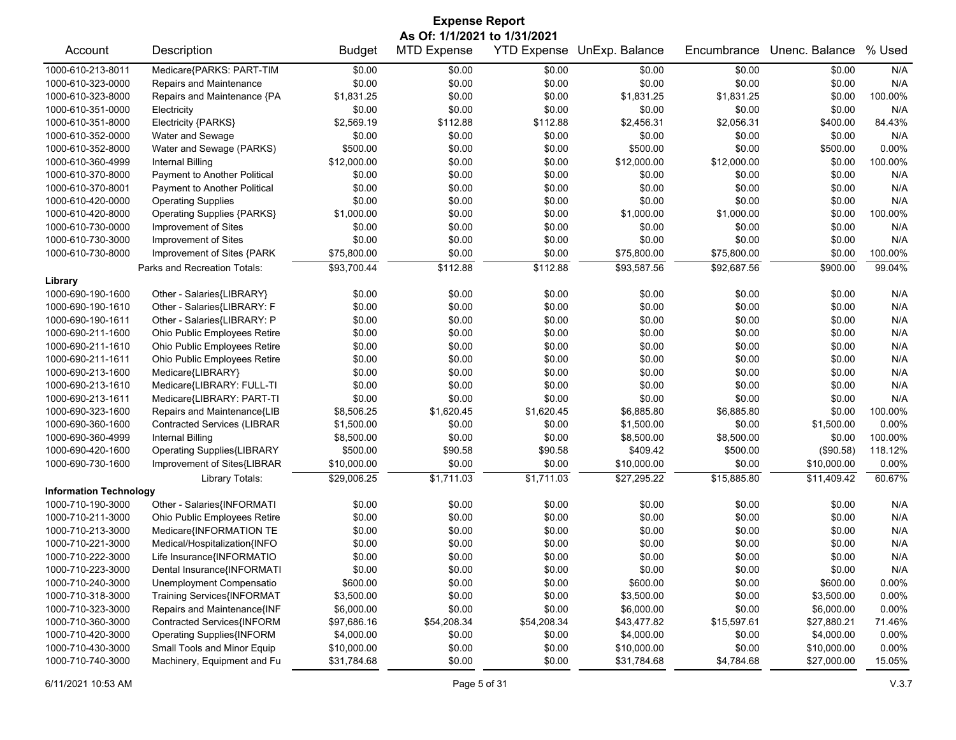| <b>Expense Report</b>         |                                    |               |                    |             |                            |             |                |         |  |
|-------------------------------|------------------------------------|---------------|--------------------|-------------|----------------------------|-------------|----------------|---------|--|
| As Of: 1/1/2021 to 1/31/2021  |                                    |               |                    |             |                            |             |                |         |  |
| Account                       | Description                        | <b>Budget</b> | <b>MTD Expense</b> |             | YTD Expense UnExp. Balance | Encumbrance | Unenc. Balance | % Used  |  |
| 1000-610-213-8011             | Medicare{PARKS: PART-TIM           | \$0.00        | \$0.00             | \$0.00      | \$0.00                     | \$0.00      | \$0.00         | N/A     |  |
| 1000-610-323-0000             | Repairs and Maintenance            | \$0.00        | \$0.00             | \$0.00      | \$0.00                     | \$0.00      | \$0.00         | N/A     |  |
| 1000-610-323-8000             | Repairs and Maintenance {PA        | \$1,831.25    | \$0.00             | \$0.00      | \$1,831.25                 | \$1,831.25  | \$0.00         | 100.00% |  |
| 1000-610-351-0000             | Electricity                        | \$0.00        | \$0.00             | \$0.00      | \$0.00                     | \$0.00      | \$0.00         | N/A     |  |
| 1000-610-351-8000             | Electricity {PARKS}                | \$2,569.19    | \$112.88           | \$112.88    | \$2,456.31                 | \$2,056.31  | \$400.00       | 84.43%  |  |
| 1000-610-352-0000             | Water and Sewage                   | \$0.00        | \$0.00             | \$0.00      | \$0.00                     | \$0.00      | \$0.00         | N/A     |  |
| 1000-610-352-8000             | Water and Sewage (PARKS)           | \$500.00      | \$0.00             | \$0.00      | \$500.00                   | \$0.00      | \$500.00       | 0.00%   |  |
| 1000-610-360-4999             | <b>Internal Billing</b>            | \$12,000.00   | \$0.00             | \$0.00      | \$12,000.00                | \$12,000.00 | \$0.00         | 100.00% |  |
| 1000-610-370-8000             | Payment to Another Political       | \$0.00        | \$0.00             | \$0.00      | \$0.00                     | \$0.00      | \$0.00         | N/A     |  |
| 1000-610-370-8001             | Payment to Another Political       | \$0.00        | \$0.00             | \$0.00      | \$0.00                     | \$0.00      | \$0.00         | N/A     |  |
| 1000-610-420-0000             | <b>Operating Supplies</b>          | \$0.00        | \$0.00             | \$0.00      | \$0.00                     | \$0.00      | \$0.00         | N/A     |  |
| 1000-610-420-8000             | <b>Operating Supplies {PARKS}</b>  | \$1,000.00    | \$0.00             | \$0.00      | \$1,000.00                 | \$1,000.00  | \$0.00         | 100.00% |  |
| 1000-610-730-0000             | Improvement of Sites               | \$0.00        | \$0.00             | \$0.00      | \$0.00                     | \$0.00      | \$0.00         | N/A     |  |
| 1000-610-730-3000             | Improvement of Sites               | \$0.00        | \$0.00             | \$0.00      | \$0.00                     | \$0.00      | \$0.00         | N/A     |  |
| 1000-610-730-8000             | Improvement of Sites {PARK         | \$75,800.00   | \$0.00             | \$0.00      | \$75,800.00                | \$75,800.00 | \$0.00         | 100.00% |  |
|                               | Parks and Recreation Totals:       | \$93,700.44   | \$112.88           | \$112.88    | \$93,587.56                | \$92,687.56 | \$900.00       | 99.04%  |  |
| Library                       |                                    |               |                    |             |                            |             |                |         |  |
| 1000-690-190-1600             | Other - Salaries{LIBRARY}          | \$0.00        | \$0.00             | \$0.00      | \$0.00                     | \$0.00      | \$0.00         | N/A     |  |
| 1000-690-190-1610             | Other - Salaries{LIBRARY: F        | \$0.00        | \$0.00             | \$0.00      | \$0.00                     | \$0.00      | \$0.00         | N/A     |  |
| 1000-690-190-1611             | Other - Salaries{LIBRARY: P        | \$0.00        | \$0.00             | \$0.00      | \$0.00                     | \$0.00      | \$0.00         | N/A     |  |
| 1000-690-211-1600             | Ohio Public Employees Retire       | \$0.00        | \$0.00             | \$0.00      | \$0.00                     | \$0.00      | \$0.00         | N/A     |  |
| 1000-690-211-1610             | Ohio Public Employees Retire       | \$0.00        | \$0.00             | \$0.00      | \$0.00                     | \$0.00      | \$0.00         | N/A     |  |
| 1000-690-211-1611             | Ohio Public Employees Retire       | \$0.00        | \$0.00             | \$0.00      | \$0.00                     | \$0.00      | \$0.00         | N/A     |  |
| 1000-690-213-1600             | Medicare{LIBRARY}                  | \$0.00        | \$0.00             | \$0.00      | \$0.00                     | \$0.00      | \$0.00         | N/A     |  |
| 1000-690-213-1610             | Medicare{LIBRARY: FULL-TI          | \$0.00        | \$0.00             | \$0.00      | \$0.00                     | \$0.00      | \$0.00         | N/A     |  |
| 1000-690-213-1611             | Medicare{LIBRARY: PART-TI          | \$0.00        | \$0.00             | \$0.00      | \$0.00                     | \$0.00      | \$0.00         | N/A     |  |
| 1000-690-323-1600             | Repairs and Maintenance{LIB        | \$8,506.25    | \$1,620.45         | \$1,620.45  | \$6,885.80                 | \$6,885.80  | \$0.00         | 100.00% |  |
| 1000-690-360-1600             | <b>Contracted Services (LIBRAR</b> | \$1,500.00    | \$0.00             | \$0.00      | \$1,500.00                 | \$0.00      | \$1,500.00     | 0.00%   |  |
| 1000-690-360-4999             | <b>Internal Billing</b>            | \$8,500.00    | \$0.00             | \$0.00      | \$8,500.00                 | \$8,500.00  | \$0.00         | 100.00% |  |
| 1000-690-420-1600             | <b>Operating Supplies{LIBRARY</b>  | \$500.00      | \$90.58            | \$90.58     | \$409.42                   | \$500.00    | (\$90.58)      | 118.12% |  |
| 1000-690-730-1600             | Improvement of Sites{LIBRAR        | \$10,000.00   | \$0.00             | \$0.00      | \$10,000.00                | \$0.00      | \$10,000.00    | 0.00%   |  |
|                               | Library Totals:                    | \$29,006.25   | \$1,711.03         | \$1,711.03  | \$27,295.22                | \$15,885.80 | \$11,409.42    | 60.67%  |  |
| <b>Information Technology</b> |                                    |               |                    |             |                            |             |                |         |  |
| 1000-710-190-3000             | Other - Salaries{INFORMATI         | \$0.00        | \$0.00             | \$0.00      | \$0.00                     | \$0.00      | \$0.00         | N/A     |  |
| 1000-710-211-3000             | Ohio Public Employees Retire       | \$0.00        | \$0.00             | \$0.00      | \$0.00                     | \$0.00      | \$0.00         | N/A     |  |
| 1000-710-213-3000             | Medicare{INFORMATION TE            | \$0.00        | \$0.00             | \$0.00      | \$0.00                     | \$0.00      | \$0.00         | N/A     |  |
| 1000-710-221-3000             | Medical/Hospitalization{INFO       | \$0.00        | \$0.00             | \$0.00      | \$0.00                     | \$0.00      | \$0.00         | N/A     |  |
| 1000-710-222-3000             | Life Insurance{INFORMATIO          | \$0.00        | \$0.00             | \$0.00      | \$0.00                     | \$0.00      | \$0.00         | N/A     |  |
| 1000-710-223-3000             | Dental Insurance{INFORMATI         | \$0.00        | \$0.00             | \$0.00      | \$0.00                     | \$0.00      | \$0.00         | N/A     |  |
| 1000-710-240-3000             | Unemployment Compensatio           | \$600.00      | \$0.00             | \$0.00      | \$600.00                   | \$0.00      | \$600.00       | 0.00%   |  |
| 1000-710-318-3000             | Training Services{INFORMAT         | \$3,500.00    | \$0.00             | \$0.00      | \$3,500.00                 | \$0.00      | \$3,500.00     | 0.00%   |  |
| 1000-710-323-3000             | Repairs and Maintenance{INF        | \$6,000.00    | \$0.00             | \$0.00      | \$6,000.00                 | \$0.00      | \$6,000.00     | 0.00%   |  |
| 1000-710-360-3000             | Contracted Services{INFORM         | \$97,686.16   | \$54,208.34        | \$54,208.34 | \$43,477.82                | \$15,597.61 | \$27,880.21    | 71.46%  |  |
| 1000-710-420-3000             | <b>Operating Supplies{INFORM</b>   | \$4,000.00    | \$0.00             | \$0.00      | \$4,000.00                 | \$0.00      | \$4,000.00     | 0.00%   |  |
| 1000-710-430-3000             | Small Tools and Minor Equip        | \$10,000.00   | \$0.00             | \$0.00      | \$10,000.00                | \$0.00      | \$10,000.00    | 0.00%   |  |
| 1000-710-740-3000             | Machinery, Equipment and Fu        | \$31,784.68   | \$0.00             | \$0.00      | \$31,784.68                | \$4,784.68  | \$27,000.00    | 15.05%  |  |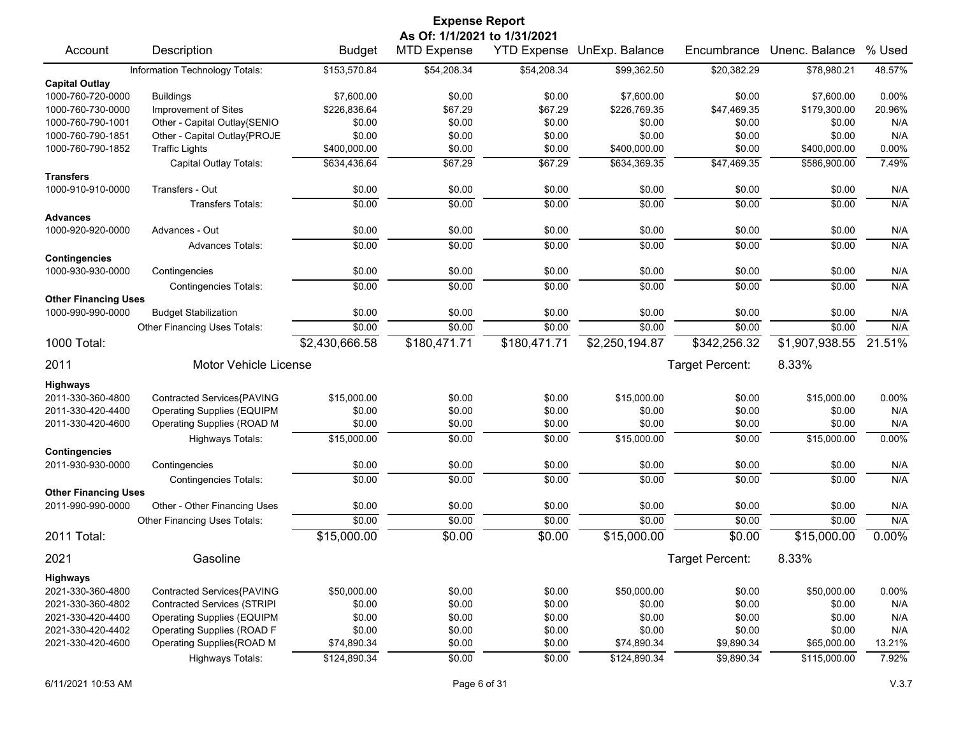| <b>Expense Report</b>                     |                                    |                |                              |                    |                |                 |                |          |  |  |
|-------------------------------------------|------------------------------------|----------------|------------------------------|--------------------|----------------|-----------------|----------------|----------|--|--|
|                                           |                                    |                | As Of: 1/1/2021 to 1/31/2021 |                    |                |                 |                |          |  |  |
| Account                                   | Description                        | <b>Budget</b>  | <b>MTD Expense</b>           | <b>YTD Expense</b> | UnExp. Balance | Encumbrance     | Unenc. Balance | % Used   |  |  |
|                                           | Information Technology Totals:     | \$153,570.84   | \$54,208.34                  | \$54,208.34        | \$99,362.50    | \$20,382.29     | \$78,980.21    | 48.57%   |  |  |
| <b>Capital Outlay</b>                     |                                    |                |                              |                    |                |                 |                |          |  |  |
| 1000-760-720-0000                         | <b>Buildings</b>                   | \$7,600.00     | \$0.00                       | \$0.00             | \$7,600.00     | \$0.00          | \$7,600.00     | 0.00%    |  |  |
| 1000-760-730-0000                         | Improvement of Sites               | \$226,836.64   | \$67.29                      | \$67.29            | \$226,769.35   | \$47,469.35     | \$179,300.00   | 20.96%   |  |  |
| 1000-760-790-1001                         | Other - Capital Outlay{SENIO       | \$0.00         | \$0.00                       | \$0.00             | \$0.00         | \$0.00          | \$0.00         | N/A      |  |  |
| 1000-760-790-1851                         | Other - Capital Outlay{PROJE       | \$0.00         | \$0.00                       | \$0.00             | \$0.00         | \$0.00          | \$0.00         | N/A      |  |  |
| 1000-760-790-1852                         | <b>Traffic Lights</b>              | \$400,000.00   | \$0.00                       | \$0.00             | \$400,000.00   | \$0.00          | \$400,000.00   | 0.00%    |  |  |
|                                           | Capital Outlay Totals:             | \$634,436.64   | \$67.29                      | \$67.29            | \$634,369.35   | \$47,469.35     | \$586,900.00   | 7.49%    |  |  |
| <b>Transfers</b>                          |                                    |                |                              |                    |                |                 |                |          |  |  |
| 1000-910-910-0000                         | Transfers - Out                    | \$0.00         | \$0.00                       | \$0.00             | \$0.00         | \$0.00          | \$0.00         | N/A      |  |  |
|                                           | <b>Transfers Totals:</b>           | \$0.00         | \$0.00                       | \$0.00             | \$0.00         | \$0.00          | \$0.00         | N/A      |  |  |
| <b>Advances</b>                           |                                    |                |                              |                    |                |                 |                |          |  |  |
| 1000-920-920-0000                         | Advances - Out                     | \$0.00         | \$0.00                       | \$0.00             | \$0.00         | \$0.00          | \$0.00         | N/A      |  |  |
|                                           | <b>Advances Totals:</b>            | \$0.00         | \$0.00                       | \$0.00             | \$0.00         | \$0.00          | \$0.00         | N/A      |  |  |
| <b>Contingencies</b><br>1000-930-930-0000 | Contingencies                      | \$0.00         | \$0.00                       | \$0.00             | \$0.00         | \$0.00          | \$0.00         | N/A      |  |  |
|                                           | <b>Contingencies Totals:</b>       | \$0.00         | \$0.00                       | \$0.00             | \$0.00         | \$0.00          | \$0.00         | N/A      |  |  |
| <b>Other Financing Uses</b>               |                                    |                |                              |                    |                |                 |                |          |  |  |
| 1000-990-990-0000                         | <b>Budget Stabilization</b>        | \$0.00         | \$0.00                       | \$0.00             | \$0.00         | \$0.00          | \$0.00         | N/A      |  |  |
|                                           | Other Financing Uses Totals:       | \$0.00         | \$0.00                       | \$0.00             | \$0.00         | \$0.00          | \$0.00         | N/A      |  |  |
| 1000 Total:                               |                                    | \$2,430,666.58 | \$180,471.71                 | \$180,471.71       | \$2,250,194.87 | \$342,256.32    | \$1,907,938.55 | 21.51%   |  |  |
|                                           |                                    |                |                              |                    |                |                 |                |          |  |  |
| 2011                                      | <b>Motor Vehicle License</b>       |                |                              |                    |                | Target Percent: | 8.33%          |          |  |  |
| <b>Highways</b>                           |                                    |                |                              |                    |                |                 |                |          |  |  |
| 2011-330-360-4800                         | Contracted Services{PAVING         | \$15,000.00    | \$0.00                       | \$0.00             | \$15,000.00    | \$0.00          | \$15,000.00    | 0.00%    |  |  |
| 2011-330-420-4400                         | <b>Operating Supplies (EQUIPM</b>  | \$0.00         | \$0.00                       | \$0.00             | \$0.00         | \$0.00          | \$0.00         | N/A      |  |  |
| 2011-330-420-4600                         | Operating Supplies (ROAD M         | \$0.00         | \$0.00                       | \$0.00             | \$0.00         | \$0.00          | \$0.00         | N/A      |  |  |
|                                           | <b>Highways Totals:</b>            | \$15,000.00    | \$0.00                       | \$0.00             | \$15,000.00    | \$0.00          | \$15,000.00    | 0.00%    |  |  |
| <b>Contingencies</b>                      |                                    |                |                              |                    |                |                 |                |          |  |  |
| 2011-930-930-0000                         | Contingencies                      | \$0.00         | \$0.00                       | \$0.00             | \$0.00         | \$0.00          | \$0.00         | N/A      |  |  |
|                                           | <b>Contingencies Totals:</b>       | \$0.00         | \$0.00                       | \$0.00             | \$0.00         | \$0.00          | \$0.00         | N/A      |  |  |
| <b>Other Financing Uses</b>               |                                    |                |                              |                    |                |                 |                |          |  |  |
| 2011-990-990-0000                         | Other - Other Financing Uses       | \$0.00         | \$0.00                       | \$0.00             | \$0.00         | \$0.00          | \$0.00         | N/A      |  |  |
|                                           | Other Financing Uses Totals:       | \$0.00         | \$0.00                       | \$0.00             | \$0.00         | \$0.00          | \$0.00         | N/A      |  |  |
| 2011 Total:                               |                                    | \$15,000.00    | \$0.00                       | \$0.00             | \$15,000.00    | \$0.00          | \$15,000.00    | $0.00\%$ |  |  |
| 2021                                      | Gasoline                           |                |                              |                    |                | Target Percent: | 8.33%          |          |  |  |
| <b>Highways</b>                           |                                    |                |                              |                    |                |                 |                |          |  |  |
| 2021-330-360-4800                         | Contracted Services{PAVING         | \$50,000.00    | \$0.00                       | \$0.00             | \$50,000.00    | \$0.00          | \$50,000.00    | 0.00%    |  |  |
| 2021-330-360-4802                         | <b>Contracted Services (STRIPI</b> | \$0.00         | \$0.00                       | \$0.00             | \$0.00         | \$0.00          | \$0.00         | N/A      |  |  |
| 2021-330-420-4400                         | <b>Operating Supplies (EQUIPM</b>  | \$0.00         | \$0.00                       | \$0.00             | \$0.00         | \$0.00          | \$0.00         | N/A      |  |  |
| 2021-330-420-4402                         | Operating Supplies (ROAD F         | \$0.00         | \$0.00                       | \$0.00             | \$0.00         | \$0.00          | \$0.00         | N/A      |  |  |
| 2021-330-420-4600                         | Operating Supplies{ROAD M          | \$74,890.34    | \$0.00                       | \$0.00             | \$74,890.34    | \$9,890.34      | \$65,000.00    | 13.21%   |  |  |
|                                           | Highways Totals:                   | \$124,890.34   | \$0.00                       | \$0.00             | \$124,890.34   | \$9,890.34      | \$115,000.00   | 7.92%    |  |  |
|                                           |                                    |                |                              |                    |                |                 |                |          |  |  |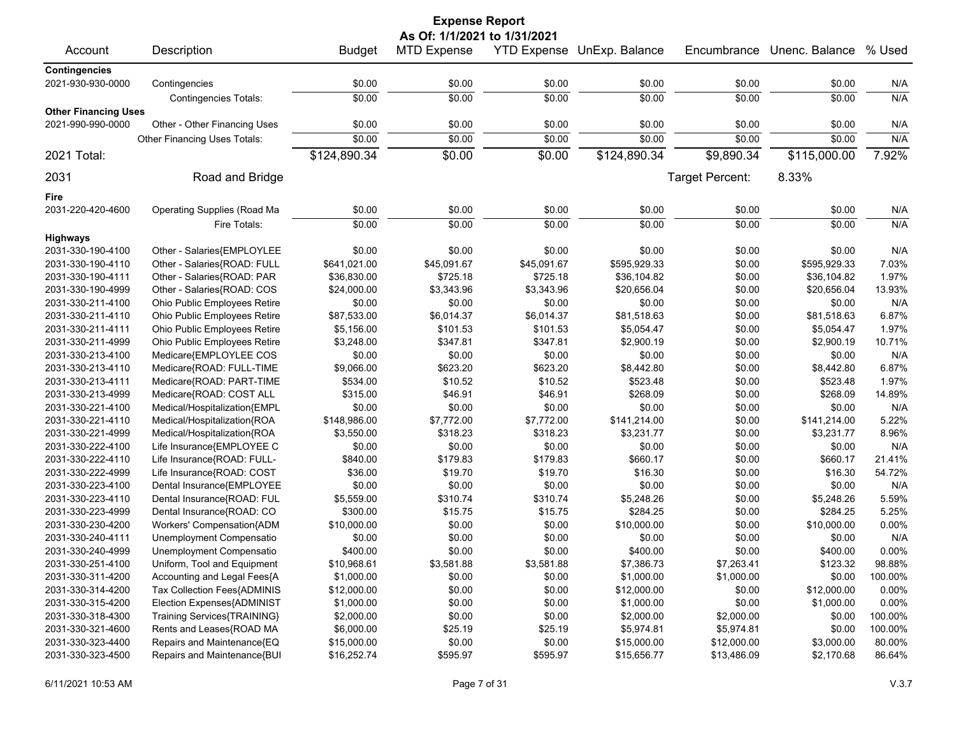|                             |                              |               | <b>Expense Report</b>        |             |                            |                 |                |              |
|-----------------------------|------------------------------|---------------|------------------------------|-------------|----------------------------|-----------------|----------------|--------------|
|                             |                              |               | As Of: 1/1/2021 to 1/31/2021 |             |                            |                 |                |              |
| Account                     | Description                  | <b>Budget</b> | <b>MTD Expense</b>           |             | YTD Expense UnExp. Balance | Encumbrance     | Unenc. Balance | % Used       |
| <b>Contingencies</b>        |                              |               |                              |             |                            |                 |                |              |
| 2021-930-930-0000           | Contingencies                | \$0.00        | \$0.00                       | \$0.00      | \$0.00                     | \$0.00          | \$0.00         | N/A          |
|                             | <b>Contingencies Totals:</b> | \$0.00        | \$0.00                       | \$0.00      | \$0.00                     | \$0.00          | \$0.00         | N/A          |
| <b>Other Financing Uses</b> |                              |               |                              |             |                            |                 |                |              |
| 2021-990-990-0000           | Other - Other Financing Uses | \$0.00        | \$0.00                       | \$0.00      | \$0.00                     | \$0.00          | \$0.00         | N/A          |
|                             | Other Financing Uses Totals: | \$0.00        | \$0.00                       | \$0.00      | \$0.00                     | \$0.00          | \$0.00         | N/A          |
| 2021 Total:                 |                              | \$124,890.34  | \$0.00                       | \$0.00      | \$124,890.34               | \$9,890.34      | \$115,000.00   | 7.92%        |
| 2031                        | Road and Bridge              |               |                              |             |                            | Target Percent: | 8.33%          |              |
| Fire                        |                              |               |                              |             |                            |                 |                |              |
| 2031-220-420-4600           | Operating Supplies (Road Ma  | \$0.00        | \$0.00                       | \$0.00      | \$0.00                     | \$0.00          | \$0.00         | N/A          |
|                             | Fire Totals:                 | \$0.00        | \$0.00                       | \$0.00      | \$0.00                     | \$0.00          | \$0.00         | N/A          |
| <b>Highways</b>             |                              |               |                              |             |                            |                 |                |              |
| 2031-330-190-4100           | Other - Salaries{EMPLOYLEE   | \$0.00        | \$0.00                       | \$0.00      | \$0.00                     | \$0.00          | \$0.00         | N/A          |
| 2031-330-190-4110           | Other - Salaries{ROAD: FULL  | \$641,021.00  | \$45,091.67                  | \$45,091.67 | \$595,929.33               | \$0.00          | \$595,929.33   | 7.03%        |
| 2031-330-190-4111           | Other - Salaries{ROAD: PAR   | \$36,830.00   | \$725.18                     | \$725.18    | \$36,104.82                | \$0.00          | \$36,104.82    | 1.97%        |
| 2031-330-190-4999           | Other - Salaries{ROAD: COS   | \$24,000.00   | \$3,343.96                   | \$3,343.96  | \$20,656.04                | \$0.00          | \$20,656.04    | 13.93%       |
| 2031-330-211-4100           | Ohio Public Employees Retire | \$0.00        | \$0.00                       | \$0.00      | \$0.00                     | \$0.00          | \$0.00         | N/A          |
| 2031-330-211-4110           | Ohio Public Employees Retire | \$87,533.00   | \$6,014.37                   | \$6,014.37  | \$81,518.63                | \$0.00          | \$81,518.63    | 6.87%        |
| 2031-330-211-4111           | Ohio Public Employees Retire | \$5,156.00    | \$101.53                     | \$101.53    | \$5,054.47                 | \$0.00          | \$5,054.47     | 1.97%        |
| 2031-330-211-4999           | Ohio Public Employees Retire | \$3,248.00    | \$347.81                     | \$347.81    | \$2,900.19                 | \$0.00          | \$2,900.19     | 10.71%       |
| 2031-330-213-4100           | Medicare{EMPLOYLEE COS       | \$0.00        | \$0.00                       | \$0.00      | \$0.00                     | \$0.00          | \$0.00         | N/A          |
| 2031-330-213-4110           | Medicare{ROAD: FULL-TIME     | \$9,066.00    | \$623.20                     | \$623.20    | \$8,442.80                 | \$0.00          | \$8,442.80     | 6.87%        |
| 2031-330-213-4111           | Medicare{ROAD: PART-TIME     | \$534.00      | \$10.52                      | \$10.52     | \$523.48                   | \$0.00          | \$523.48       | 1.97%        |
| 2031-330-213-4999           | Medicare{ROAD: COST ALL      | \$315.00      | \$46.91                      | \$46.91     | \$268.09                   | \$0.00          | \$268.09       | 14.89%       |
|                             |                              |               |                              |             |                            |                 |                |              |
| 2031-330-221-4100           | Medical/Hospitalization{EMPL | \$0.00        | \$0.00                       | \$0.00      | \$0.00                     | \$0.00          | \$0.00         | N/A          |
| 2031-330-221-4110           | Medical/Hospitalization{ROA  | \$148,986.00  | \$7,772.00                   | \$7,772.00  | \$141,214.00               | \$0.00          | \$141,214.00   | 5.22%        |
| 2031-330-221-4999           | Medical/Hospitalization{ROA  | \$3,550.00    | \$318.23                     | \$318.23    | \$3,231.77                 | \$0.00          | \$3,231.77     | 8.96%<br>N/A |
| 2031-330-222-4100           | Life Insurance{EMPLOYEE C    | \$0.00        | \$0.00                       | \$0.00      | \$0.00                     | \$0.00          | \$0.00         |              |
| 2031-330-222-4110           | Life Insurance{ROAD: FULL-   | \$840.00      | \$179.83                     | \$179.83    | \$660.17                   | \$0.00          | \$660.17       | 21.41%       |
| 2031-330-222-4999           | Life Insurance{ROAD: COST    | \$36.00       | \$19.70                      | \$19.70     | \$16.30                    | \$0.00          | \$16.30        | 54.72%       |
| 2031-330-223-4100           | Dental Insurance{EMPLOYEE    | \$0.00        | \$0.00                       | \$0.00      | \$0.00                     | \$0.00          | \$0.00         | N/A          |
| 2031-330-223-4110           | Dental Insurance{ROAD: FUL   | \$5,559.00    | \$310.74                     | \$310.74    | \$5,248.26                 | \$0.00          | \$5,248.26     | 5.59%        |
| 2031-330-223-4999           | Dental Insurance{ROAD: CO    | \$300.00      | \$15.75                      | \$15.75     | \$284.25                   | \$0.00          | \$284.25       | 5.25%        |
| 2031-330-230-4200           | Workers' Compensation{ADM    | \$10,000.00   | \$0.00                       | \$0.00      | \$10,000.00                | \$0.00          | \$10,000.00    | 0.00%        |
| 2031-330-240-4111           | Unemployment Compensatio     | \$0.00        | \$0.00                       | \$0.00      | \$0.00                     | \$0.00          | \$0.00         | N/A          |
| 2031-330-240-4999           | Unemployment Compensatio     | \$400.00      | \$0.00                       | \$0.00      | \$400.00                   | \$0.00          | \$400.00       | 0.00%        |
| 2031-330-251-4100           | Uniform, Tool and Equipment  | \$10,968.61   | \$3,581.88                   | \$3,581.88  | \$7,386.73                 | \$7,263.41      | \$123.32       | 98.88%       |
| 2031-330-311-4200           | Accounting and Legal Fees{A  | \$1,000.00    | \$0.00                       | \$0.00      | \$1,000.00                 | \$1,000.00      | \$0.00         | 100.00%      |
| 2031-330-314-4200           | Tax Collection Fees{ADMINIS  | \$12,000.00   | \$0.00                       | \$0.00      | \$12,000.00                | \$0.00          | \$12,000.00    | 0.00%        |
| 2031-330-315-4200           | Election Expenses{ADMINIST   | \$1,000.00    | \$0.00                       | \$0.00      | \$1,000.00                 | \$0.00          | \$1,000.00     | 0.00%        |
| 2031-330-318-4300           | Training Services{TRAINING}  | \$2,000.00    | \$0.00                       | \$0.00      | \$2,000.00                 | \$2,000.00      | \$0.00         | 100.00%      |
| 2031-330-321-4600           | Rents and Leases{ROAD MA     | \$6,000.00    | \$25.19                      | \$25.19     | \$5,974.81                 | \$5,974.81      | \$0.00         | 100.00%      |
| 2031-330-323-4400           | Repairs and Maintenance{EQ   | \$15,000.00   | \$0.00                       | \$0.00      | \$15,000.00                | \$12,000.00     | \$3,000.00     | 80.00%       |
| 2031-330-323-4500           | Repairs and Maintenance{BUI  | \$16,252.74   | \$595.97                     | \$595.97    | \$15,656.77                | \$13,486.09     | \$2,170.68     | 86.64%       |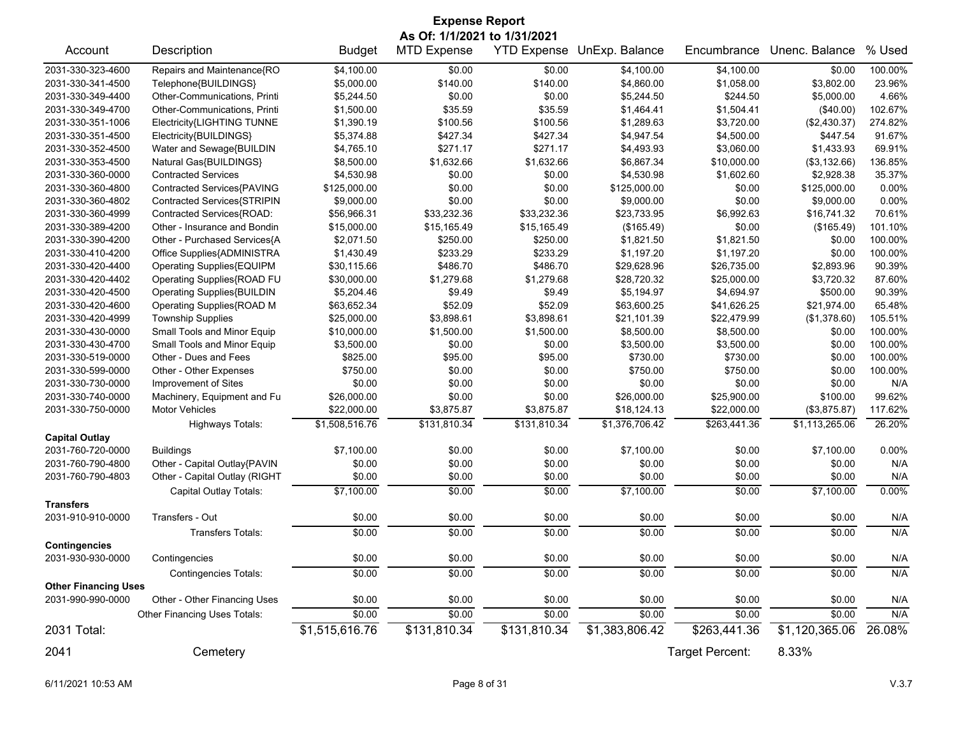|                             |                                   |                | <b>Expense Report</b>        |              |                            |                 |                |         |
|-----------------------------|-----------------------------------|----------------|------------------------------|--------------|----------------------------|-----------------|----------------|---------|
|                             |                                   |                | As Of: 1/1/2021 to 1/31/2021 |              |                            |                 |                |         |
| Account                     | Description                       | <b>Budget</b>  | <b>MTD Expense</b>           |              | YTD Expense UnExp. Balance | Encumbrance     | Unenc. Balance | % Used  |
| 2031-330-323-4600           | Repairs and Maintenance{RO        | \$4,100.00     | \$0.00                       | \$0.00       | \$4,100.00                 | \$4,100.00      | \$0.00         | 100.00% |
| 2031-330-341-4500           | Telephone{BUILDINGS}              | \$5,000.00     | \$140.00                     | \$140.00     | \$4,860.00                 | \$1,058.00      | \$3,802.00     | 23.96%  |
| 2031-330-349-4400           | Other-Communications, Printi      | \$5,244.50     | \$0.00                       | \$0.00       | \$5,244.50                 | \$244.50        | \$5,000.00     | 4.66%   |
| 2031-330-349-4700           | Other-Communications, Printi      | \$1,500.00     | \$35.59                      | \$35.59      | \$1,464.41                 | \$1,504.41      | (\$40.00)      | 102.67% |
| 2031-330-351-1006           | Electricity{LIGHTING TUNNE        | \$1,390.19     | \$100.56                     | \$100.56     | \$1,289.63                 | \$3,720.00      | (\$2,430.37)   | 274.82% |
| 2031-330-351-4500           | Electricity{BUILDINGS}            | \$5,374.88     | \$427.34                     | \$427.34     | \$4,947.54                 | \$4,500.00      | \$447.54       | 91.67%  |
| 2031-330-352-4500           | Water and Sewage{BUILDIN          | \$4,765.10     | \$271.17                     | \$271.17     | \$4,493.93                 | \$3,060.00      | \$1,433.93     | 69.91%  |
| 2031-330-353-4500           | Natural Gas{BUILDINGS}            | \$8,500.00     | \$1,632.66                   | \$1,632.66   | \$6,867.34                 | \$10,000.00     | (\$3,132.66)   | 136.85% |
| 2031-330-360-0000           | <b>Contracted Services</b>        | \$4,530.98     | \$0.00                       | \$0.00       | \$4,530.98                 | \$1,602.60      | \$2,928.38     | 35.37%  |
| 2031-330-360-4800           | Contracted Services{PAVING        | \$125,000.00   | \$0.00                       | \$0.00       | \$125,000.00               | \$0.00          | \$125,000.00   | 0.00%   |
| 2031-330-360-4802           | Contracted Services{STRIPIN       | \$9,000.00     | \$0.00                       | \$0.00       | \$9,000.00                 | \$0.00          | \$9,000.00     | 0.00%   |
| 2031-330-360-4999           | Contracted Services{ROAD:         | \$56,966.31    | \$33,232.36                  | \$33,232.36  | \$23,733.95                | \$6,992.63      | \$16,741.32    | 70.61%  |
| 2031-330-389-4200           | Other - Insurance and Bondin      | \$15,000.00    | \$15,165.49                  | \$15,165.49  | (\$165.49)                 | \$0.00          | (\$165.49)     | 101.10% |
| 2031-330-390-4200           | Other - Purchased Services{A      | \$2,071.50     | \$250.00                     | \$250.00     | \$1,821.50                 | \$1,821.50      | \$0.00         | 100.00% |
| 2031-330-410-4200           | Office Supplies{ADMINISTRA        | \$1,430.49     | \$233.29                     | \$233.29     | \$1,197.20                 | \$1,197.20      | \$0.00         | 100.00% |
| 2031-330-420-4400           | Operating Supplies{EQUIPM         | \$30,115.66    | \$486.70                     | \$486.70     | \$29,628.96                | \$26,735.00     | \$2,893.96     | 90.39%  |
| 2031-330-420-4402           | Operating Supplies{ROAD FU        | \$30,000.00    | \$1,279.68                   | \$1,279.68   | \$28,720.32                | \$25,000.00     | \$3,720.32     | 87.60%  |
| 2031-330-420-4500           | <b>Operating Supplies{BUILDIN</b> | \$5,204.46     | \$9.49                       | \$9.49       | \$5,194.97                 | \$4,694.97      | \$500.00       | 90.39%  |
| 2031-330-420-4600           | Operating Supplies{ROAD M         | \$63,652.34    | \$52.09                      | \$52.09      | \$63,600.25                | \$41,626.25     | \$21,974.00    | 65.48%  |
| 2031-330-420-4999           | <b>Township Supplies</b>          | \$25,000.00    | \$3,898.61                   | \$3,898.61   | \$21,101.39                | \$22,479.99     | (\$1,378.60)   | 105.51% |
| 2031-330-430-0000           | Small Tools and Minor Equip       | \$10,000.00    | \$1,500.00                   | \$1,500.00   | \$8,500.00                 | \$8,500.00      | \$0.00         | 100.00% |
| 2031-330-430-4700           | Small Tools and Minor Equip       | \$3,500.00     | \$0.00                       | \$0.00       | \$3,500.00                 | \$3,500.00      | \$0.00         | 100.00% |
| 2031-330-519-0000           | Other - Dues and Fees             | \$825.00       | \$95.00                      | \$95.00      | \$730.00                   | \$730.00        | \$0.00         | 100.00% |
| 2031-330-599-0000           | Other - Other Expenses            | \$750.00       | \$0.00                       | \$0.00       | \$750.00                   | \$750.00        | \$0.00         | 100.00% |
| 2031-330-730-0000           | Improvement of Sites              | \$0.00         | \$0.00                       | \$0.00       | \$0.00                     | \$0.00          | \$0.00         | N/A     |
| 2031-330-740-0000           | Machinery, Equipment and Fu       | \$26,000.00    | \$0.00                       | \$0.00       | \$26,000.00                | \$25,900.00     | \$100.00       | 99.62%  |
| 2031-330-750-0000           | <b>Motor Vehicles</b>             | \$22,000.00    | \$3,875.87                   | \$3,875.87   | \$18,124.13                | \$22,000.00     | (\$3,875.87)   | 117.62% |
|                             |                                   |                |                              | \$131,810.34 | \$1,376,706.42             | \$263,441.36    |                | 26.20%  |
|                             | <b>Highways Totals:</b>           | \$1,508,516.76 | \$131,810.34                 |              |                            |                 | \$1,113,265.06 |         |
| <b>Capital Outlay</b>       |                                   |                |                              |              |                            |                 |                |         |
| 2031-760-720-0000           | <b>Buildings</b>                  | \$7,100.00     | \$0.00                       | \$0.00       | \$7,100.00                 | \$0.00          | \$7,100.00     | 0.00%   |
| 2031-760-790-4800           | Other - Capital Outlay{PAVIN      | \$0.00         | \$0.00                       | \$0.00       | \$0.00<br>\$0.00           | \$0.00          | \$0.00         | N/A     |
| 2031-760-790-4803           | Other - Capital Outlay (RIGHT     | \$0.00         | \$0.00                       | \$0.00       |                            | \$0.00          | \$0.00         | N/A     |
|                             | Capital Outlay Totals:            | \$7,100.00     | \$0.00                       | \$0.00       | \$7,100.00                 | \$0.00          | \$7,100.00     | 0.00%   |
| <b>Transfers</b>            |                                   |                |                              |              |                            |                 |                |         |
| 2031-910-910-0000           | Transfers - Out                   | \$0.00         | \$0.00                       | \$0.00       | \$0.00                     | \$0.00          | \$0.00         | N/A     |
|                             | <b>Transfers Totals:</b>          | \$0.00         | \$0.00                       | \$0.00       | \$0.00                     | \$0.00          | \$0.00         | N/A     |
| <b>Contingencies</b>        |                                   |                |                              |              |                            |                 |                |         |
| 2031-930-930-0000           | Contingencies                     | \$0.00         | \$0.00                       | \$0.00       | \$0.00                     | \$0.00          | \$0.00         | N/A     |
|                             | <b>Contingencies Totals:</b>      | \$0.00         | \$0.00                       | \$0.00       | \$0.00                     | \$0.00          | \$0.00         | N/A     |
| <b>Other Financing Uses</b> |                                   |                |                              |              |                            |                 |                |         |
| 2031-990-990-0000           | Other - Other Financing Uses      | \$0.00         | \$0.00                       | \$0.00       | \$0.00                     | \$0.00          | \$0.00         | N/A     |
|                             | Other Financing Uses Totals:      | \$0.00         | \$0.00                       | \$0.00       | \$0.00                     | \$0.00          | \$0.00         | N/A     |
| 2031 Total:                 |                                   | \$1,515,616.76 | \$131,810.34                 | \$131,810.34 | \$1,383,806.42             | \$263,441.36    | \$1,120,365.06 | 26.08%  |
| 2041                        | Cemetery                          |                |                              |              |                            | Target Percent: | 8.33%          |         |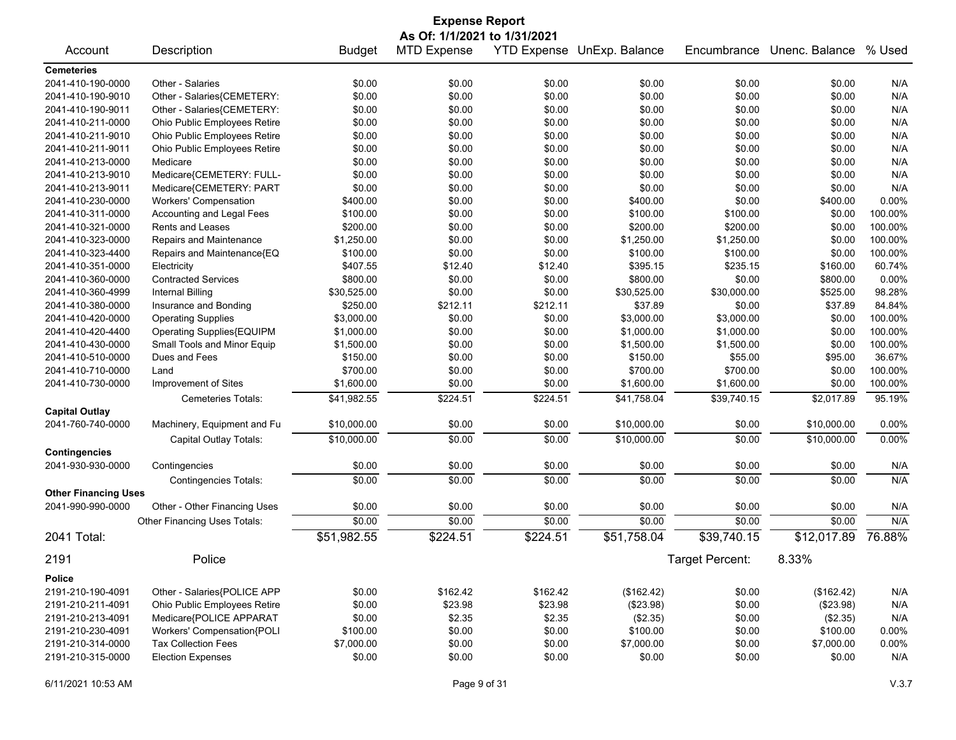| <b>Expense Report</b>       |                              |               |                    |          |                            |                 |                |          |
|-----------------------------|------------------------------|---------------|--------------------|----------|----------------------------|-----------------|----------------|----------|
|                             | As Of: 1/1/2021 to 1/31/2021 |               |                    |          |                            |                 |                |          |
| Account                     | Description                  | <b>Budget</b> | <b>MTD Expense</b> |          | YTD Expense UnExp. Balance | Encumbrance     | Unenc. Balance | % Used   |
| <b>Cemeteries</b>           |                              |               |                    |          |                            |                 |                |          |
| 2041-410-190-0000           | Other - Salaries             | \$0.00        | \$0.00             | \$0.00   | \$0.00                     | \$0.00          | \$0.00         | N/A      |
| 2041-410-190-9010           | Other - Salaries{CEMETERY:   | \$0.00        | \$0.00             | \$0.00   | \$0.00                     | \$0.00          | \$0.00         | N/A      |
| 2041-410-190-9011           | Other - Salaries{CEMETERY:   | \$0.00        | \$0.00             | \$0.00   | \$0.00                     | \$0.00          | \$0.00         | N/A      |
| 2041-410-211-0000           | Ohio Public Employees Retire | \$0.00        | \$0.00             | \$0.00   | \$0.00                     | \$0.00          | \$0.00         | N/A      |
| 2041-410-211-9010           | Ohio Public Employees Retire | \$0.00        | \$0.00             | \$0.00   | \$0.00                     | \$0.00          | \$0.00         | N/A      |
| 2041-410-211-9011           | Ohio Public Employees Retire | \$0.00        | \$0.00             | \$0.00   | \$0.00                     | \$0.00          | \$0.00         | N/A      |
| 2041-410-213-0000           | Medicare                     | \$0.00        | \$0.00             | \$0.00   | \$0.00                     | \$0.00          | \$0.00         | N/A      |
| 2041-410-213-9010           | Medicare{CEMETERY: FULL-     | \$0.00        | \$0.00             | \$0.00   | \$0.00                     | \$0.00          | \$0.00         | N/A      |
| 2041-410-213-9011           | Medicare{CEMETERY: PART      | \$0.00        | \$0.00             | \$0.00   | \$0.00                     | \$0.00          | \$0.00         | N/A      |
| 2041-410-230-0000           | <b>Workers' Compensation</b> | \$400.00      | \$0.00             | \$0.00   | \$400.00                   | \$0.00          | \$400.00       | 0.00%    |
| 2041-410-311-0000           | Accounting and Legal Fees    | \$100.00      | \$0.00             | \$0.00   | \$100.00                   | \$100.00        | \$0.00         | 100.00%  |
| 2041-410-321-0000           | Rents and Leases             | \$200.00      | \$0.00             | \$0.00   | \$200.00                   | \$200.00        | \$0.00         | 100.00%  |
| 2041-410-323-0000           | Repairs and Maintenance      | \$1,250.00    | \$0.00             | \$0.00   | \$1,250.00                 | \$1,250.00      | \$0.00         | 100.00%  |
| 2041-410-323-4400           | Repairs and Maintenance{EQ   | \$100.00      | \$0.00             | \$0.00   | \$100.00                   | \$100.00        | \$0.00         | 100.00%  |
| 2041-410-351-0000           | Electricity                  | \$407.55      | \$12.40            | \$12.40  | \$395.15                   | \$235.15        | \$160.00       | 60.74%   |
| 2041-410-360-0000           | <b>Contracted Services</b>   | \$800.00      | \$0.00             | \$0.00   | \$800.00                   | \$0.00          | \$800.00       | 0.00%    |
| 2041-410-360-4999           | <b>Internal Billing</b>      | \$30,525.00   | \$0.00             | \$0.00   | \$30,525.00                | \$30,000.00     | \$525.00       | 98.28%   |
| 2041-410-380-0000           | Insurance and Bonding        | \$250.00      | \$212.11           | \$212.11 | \$37.89                    | \$0.00          | \$37.89        | 84.84%   |
| 2041-410-420-0000           | <b>Operating Supplies</b>    | \$3,000.00    | \$0.00             | \$0.00   | \$3,000.00                 | \$3,000.00      | \$0.00         | 100.00%  |
| 2041-410-420-4400           | Operating Supplies{EQUIPM    | \$1,000.00    | \$0.00             | \$0.00   | \$1,000.00                 | \$1,000.00      | \$0.00         | 100.00%  |
| 2041-410-430-0000           | Small Tools and Minor Equip  | \$1,500.00    | \$0.00             | \$0.00   | \$1,500.00                 | \$1,500.00      | \$0.00         | 100.00%  |
| 2041-410-510-0000           | Dues and Fees                | \$150.00      | \$0.00             | \$0.00   | \$150.00                   | \$55.00         | \$95.00        | 36.67%   |
| 2041-410-710-0000           | Land                         | \$700.00      | \$0.00             | \$0.00   | \$700.00                   | \$700.00        | \$0.00         | 100.00%  |
| 2041-410-730-0000           | Improvement of Sites         | \$1,600.00    | \$0.00             | \$0.00   | \$1,600.00                 | \$1,600.00      | \$0.00         | 100.00%  |
|                             | Cemeteries Totals:           | \$41,982.55   | \$224.51           | \$224.51 | \$41,758.04                | \$39,740.15     | \$2,017.89     | 95.19%   |
| <b>Capital Outlay</b>       |                              |               |                    |          |                            |                 |                |          |
| 2041-760-740-0000           | Machinery, Equipment and Fu  | \$10,000.00   | \$0.00             | \$0.00   | \$10,000.00                | \$0.00          | \$10,000.00    | 0.00%    |
|                             |                              |               |                    |          |                            |                 |                |          |
|                             | Capital Outlay Totals:       | \$10,000.00   | \$0.00             | \$0.00   | \$10,000.00                | \$0.00          | \$10,000.00    | 0.00%    |
| <b>Contingencies</b>        |                              |               |                    |          |                            |                 |                |          |
| 2041-930-930-0000           | Contingencies                | \$0.00        | \$0.00             | \$0.00   | \$0.00                     | \$0.00          | \$0.00         | N/A      |
|                             | <b>Contingencies Totals:</b> | \$0.00        | \$0.00             | \$0.00   | \$0.00                     | \$0.00          | \$0.00         | N/A      |
| <b>Other Financing Uses</b> |                              |               |                    |          |                            |                 |                |          |
| 2041-990-990-0000           | Other - Other Financing Uses | \$0.00        | \$0.00             | \$0.00   | \$0.00                     | \$0.00          | \$0.00         | N/A      |
|                             | Other Financing Uses Totals: | \$0.00        | \$0.00             | \$0.00   | \$0.00                     | \$0.00          | \$0.00         | N/A      |
| 2041 Total:                 |                              | \$51,982.55   | \$224.51           | \$224.51 | \$51,758.04                | \$39,740.15     | \$12,017.89    | 76.88%   |
| 2191                        | Police                       |               |                    |          |                            | Target Percent: | 8.33%          |          |
| <b>Police</b>               |                              |               |                    |          |                            |                 |                |          |
|                             |                              |               |                    |          |                            |                 |                |          |
| 2191-210-190-4091           | Other - Salaries{POLICE APP  | \$0.00        | \$162.42           | \$162.42 | (\$162.42)                 | \$0.00          | (\$162.42)     | N/A      |
| 2191-210-211-4091           | Ohio Public Employees Retire | \$0.00        | \$23.98            | \$23.98  | (\$23.98)                  | \$0.00          | (\$23.98)      | N/A      |
| 2191-210-213-4091           | Medicare{POLICE APPARAT      | \$0.00        | \$2.35             | \$2.35   | (\$2.35)                   | \$0.00          | (\$2.35)       | N/A      |
| 2191-210-230-4091           | Workers' Compensation{POLI   | \$100.00      | \$0.00             | \$0.00   | \$100.00                   | \$0.00          | \$100.00       | 0.00%    |
| 2191-210-314-0000           | <b>Tax Collection Fees</b>   | \$7,000.00    | \$0.00             | \$0.00   | \$7,000.00                 | \$0.00          | \$7,000.00     | $0.00\%$ |
| 2191-210-315-0000           | <b>Election Expenses</b>     | \$0.00        | \$0.00             | \$0.00   | \$0.00                     | \$0.00          | \$0.00         | N/A      |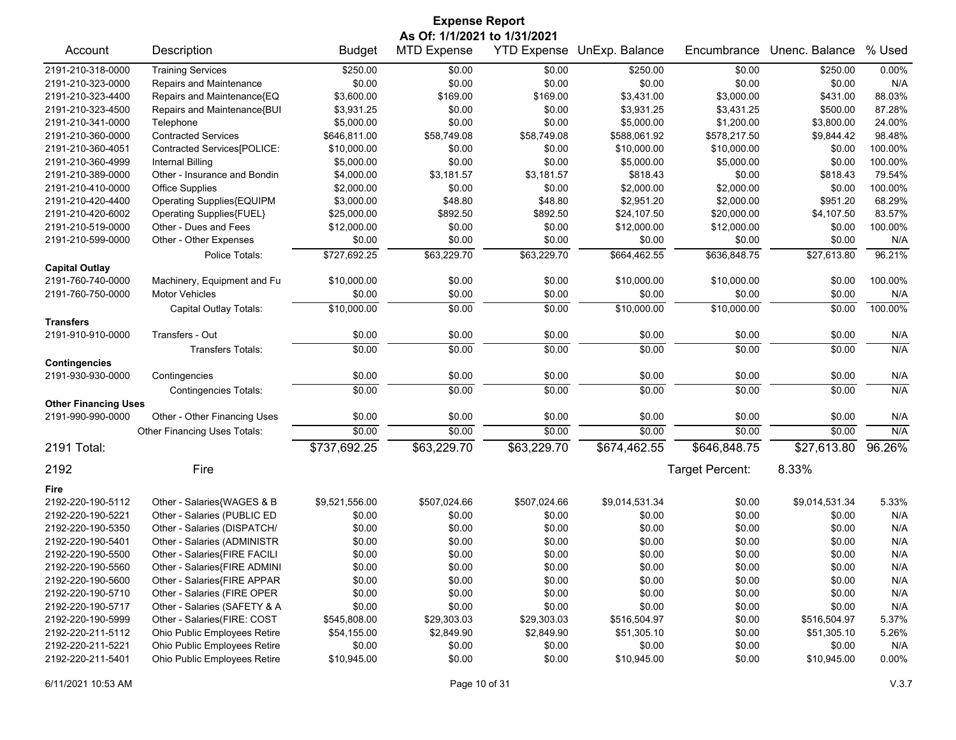| <b>Expense Report</b>       |                              |                |                              |                    |                |                 |                |         |
|-----------------------------|------------------------------|----------------|------------------------------|--------------------|----------------|-----------------|----------------|---------|
|                             |                              |                | As Of: 1/1/2021 to 1/31/2021 |                    |                |                 |                |         |
| Account                     | Description                  | <b>Budget</b>  | <b>MTD Expense</b>           | <b>YTD Expense</b> | UnExp. Balance | Encumbrance     | Unenc. Balance | % Used  |
| 2191-210-318-0000           | <b>Training Services</b>     | \$250.00       | \$0.00                       | \$0.00             | \$250.00       | \$0.00          | \$250.00       | 0.00%   |
| 2191-210-323-0000           | Repairs and Maintenance      | \$0.00         | \$0.00                       | \$0.00             | \$0.00         | \$0.00          | \$0.00         | N/A     |
| 2191-210-323-4400           | Repairs and Maintenance{EQ   | \$3,600.00     | \$169.00                     | \$169.00           | \$3,431.00     | \$3,000.00      | \$431.00       | 88.03%  |
| 2191-210-323-4500           | Repairs and Maintenance{BUI  | \$3,931.25     | \$0.00                       | \$0.00             | \$3,931.25     | \$3,431.25      | \$500.00       | 87.28%  |
| 2191-210-341-0000           | Telephone                    | \$5,000.00     | \$0.00                       | \$0.00             | \$5,000.00     | \$1,200.00      | \$3,800.00     | 24.00%  |
| 2191-210-360-0000           | <b>Contracted Services</b>   | \$646,811.00   | \$58,749.08                  | \$58,749.08        | \$588,061.92   | \$578,217.50    | \$9,844.42     | 98.48%  |
| 2191-210-360-4051           | Contracted Services[POLICE:  | \$10,000.00    | \$0.00                       | \$0.00             | \$10,000.00    | \$10,000.00     | \$0.00         | 100.00% |
| 2191-210-360-4999           | Internal Billing             | \$5,000.00     | \$0.00                       | \$0.00             | \$5,000.00     | \$5,000.00      | \$0.00         | 100.00% |
| 2191-210-389-0000           | Other - Insurance and Bondin | \$4,000.00     | \$3,181.57                   | \$3,181.57         | \$818.43       | \$0.00          | \$818.43       | 79.54%  |
| 2191-210-410-0000           | <b>Office Supplies</b>       | \$2,000.00     | \$0.00                       | \$0.00             | \$2,000.00     | \$2,000.00      | \$0.00         | 100.00% |
| 2191-210-420-4400           | Operating Supplies{EQUIPM    | \$3,000.00     | \$48.80                      | \$48.80            | \$2,951.20     | \$2,000.00      | \$951.20       | 68.29%  |
| 2191-210-420-6002           | Operating Supplies{FUEL}     | \$25,000.00    | \$892.50                     | \$892.50           | \$24,107.50    | \$20,000.00     | \$4,107.50     | 83.57%  |
| 2191-210-519-0000           | Other - Dues and Fees        | \$12,000.00    | \$0.00                       | \$0.00             | \$12,000.00    | \$12,000.00     | \$0.00         | 100.00% |
| 2191-210-599-0000           | Other - Other Expenses       | \$0.00         | \$0.00                       | \$0.00             | \$0.00         | \$0.00          | \$0.00         | N/A     |
|                             | Police Totals:               | \$727,692.25   | \$63,229.70                  | \$63,229.70        | \$664,462.55   | \$636,848.75    | \$27,613.80    | 96.21%  |
| <b>Capital Outlay</b>       |                              |                |                              |                    |                |                 |                |         |
| 2191-760-740-0000           | Machinery, Equipment and Fu  | \$10,000.00    | \$0.00                       | \$0.00             | \$10,000.00    | \$10,000.00     | \$0.00         | 100.00% |
| 2191-760-750-0000           | <b>Motor Vehicles</b>        | \$0.00         | \$0.00                       | \$0.00             | \$0.00         | \$0.00          | \$0.00         | N/A     |
|                             | Capital Outlay Totals:       | \$10,000.00    | \$0.00                       | \$0.00             | \$10.000.00    | \$10.000.00     | \$0.00         | 100.00% |
| <b>Transfers</b>            |                              |                |                              |                    |                |                 |                |         |
| 2191-910-910-0000           | Transfers - Out              | \$0.00         | \$0.00                       | \$0.00             | \$0.00         | \$0.00          | \$0.00         | N/A     |
|                             | <b>Transfers Totals:</b>     | \$0.00         | \$0.00                       | \$0.00             | \$0.00         | \$0.00          | \$0.00         | N/A     |
| <b>Contingencies</b>        |                              |                |                              |                    |                |                 |                |         |
| 2191-930-930-0000           | Contingencies                | \$0.00         | \$0.00                       | \$0.00             | \$0.00         | \$0.00          | \$0.00         | N/A     |
|                             | <b>Contingencies Totals:</b> | $\sqrt{$0.00}$ | \$0.00                       | \$0.00             | \$0.00         | \$0.00          | \$0.00         | N/A     |
| <b>Other Financing Uses</b> |                              |                |                              |                    |                |                 |                |         |
| 2191-990-990-0000           | Other - Other Financing Uses | \$0.00         | \$0.00                       | \$0.00             | \$0.00         | \$0.00          | \$0.00         | N/A     |
|                             | Other Financing Uses Totals: | \$0.00         | \$0.00                       | \$0.00             | \$0.00         | \$0.00          | \$0.00         | N/A     |
| 2191 Total:                 |                              | \$737,692.25   | \$63,229.70                  | \$63,229.70        | \$674,462.55   | \$646,848.75    | \$27,613.80    | 96.26%  |
| 2192                        | Fire                         |                |                              |                    |                | Target Percent: | 8.33%          |         |
|                             |                              |                |                              |                    |                |                 |                |         |
| Fire                        |                              |                |                              |                    |                |                 |                |         |
| 2192-220-190-5112           | Other - Salaries{WAGES & B   | \$9,521,556.00 | \$507,024.66                 | \$507,024.66       | \$9,014,531.34 | \$0.00          | \$9,014,531.34 | 5.33%   |
| 2192-220-190-5221           | Other - Salaries (PUBLIC ED  | \$0.00         | \$0.00                       | \$0.00             | \$0.00         | \$0.00          | \$0.00         | N/A     |
| 2192-220-190-5350           | Other - Salaries (DISPATCH/  | \$0.00         | \$0.00                       | \$0.00             | \$0.00         | \$0.00          | \$0.00         | N/A     |
| 2192-220-190-5401           | Other - Salaries (ADMINISTR  | \$0.00         | \$0.00                       | \$0.00             | \$0.00         | \$0.00          | \$0.00         | N/A     |
| 2192-220-190-5500           | Other - Salaries{FIRE FACILI | \$0.00         | \$0.00                       | \$0.00             | \$0.00         | \$0.00          | \$0.00         | N/A     |
| 2192-220-190-5560           | Other - Salaries{FIRE ADMINI | \$0.00         | \$0.00                       | \$0.00             | \$0.00         | \$0.00          | \$0.00         | N/A     |
| 2192-220-190-5600           | Other - Salaries{FIRE APPAR  | \$0.00         | \$0.00                       | \$0.00             | \$0.00         | \$0.00          | \$0.00         | N/A     |
| 2192-220-190-5710           | Other - Salaries (FIRE OPER  | \$0.00         | \$0.00                       | \$0.00             | \$0.00         | \$0.00          | \$0.00         | N/A     |
| 2192-220-190-5717           | Other - Salaries (SAFETY & A | \$0.00         | \$0.00                       | \$0.00             | \$0.00         | \$0.00          | \$0.00         | N/A     |
| 2192-220-190-5999           | Other - Salaries(FIRE: COST  | \$545,808.00   | \$29,303.03                  | \$29,303.03        | \$516,504.97   | \$0.00          | \$516,504.97   | 5.37%   |
| 2192-220-211-5112           | Ohio Public Employees Retire | \$54,155.00    | \$2,849.90                   | \$2,849.90         | \$51,305.10    | \$0.00          | \$51,305.10    | 5.26%   |
| 2192-220-211-5221           | Ohio Public Employees Retire | \$0.00         | \$0.00                       | \$0.00             | \$0.00         | \$0.00          | \$0.00         | N/A     |
| 2192-220-211-5401           | Ohio Public Employees Retire | \$10,945.00    | \$0.00                       | \$0.00             | \$10,945.00    | \$0.00          | \$10,945.00    | 0.00%   |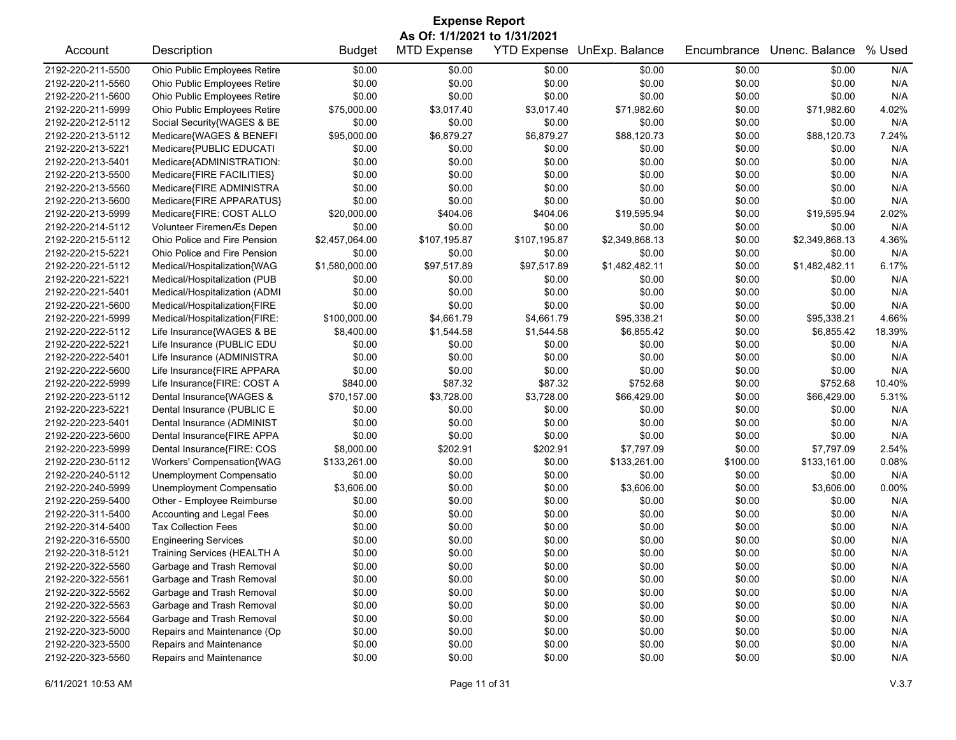| <b>Expense Report</b> |                               |                |                              |              |                                   |             |                |        |  |
|-----------------------|-------------------------------|----------------|------------------------------|--------------|-----------------------------------|-------------|----------------|--------|--|
|                       |                               |                | As Of: 1/1/2021 to 1/31/2021 |              |                                   |             |                |        |  |
| Account               | Description                   | <b>Budget</b>  | <b>MTD Expense</b>           |              | <b>YTD Expense UnExp. Balance</b> | Encumbrance | Unenc. Balance | % Used |  |
| 2192-220-211-5500     | Ohio Public Employees Retire  | \$0.00         | \$0.00                       | \$0.00       | \$0.00                            | \$0.00      | \$0.00         | N/A    |  |
| 2192-220-211-5560     | Ohio Public Employees Retire  | \$0.00         | \$0.00                       | \$0.00       | \$0.00                            | \$0.00      | \$0.00         | N/A    |  |
| 2192-220-211-5600     | Ohio Public Employees Retire  | \$0.00         | \$0.00                       | \$0.00       | \$0.00                            | \$0.00      | \$0.00         | N/A    |  |
| 2192-220-211-5999     | Ohio Public Employees Retire  | \$75,000.00    | \$3,017.40                   | \$3,017.40   | \$71,982.60                       | \$0.00      | \$71,982.60    | 4.02%  |  |
| 2192-220-212-5112     | Social Security{WAGES & BE    | \$0.00         | \$0.00                       | \$0.00       | \$0.00                            | \$0.00      | \$0.00         | N/A    |  |
| 2192-220-213-5112     | Medicare{WAGES & BENEFI       | \$95,000.00    | \$6,879.27                   | \$6,879.27   | \$88,120.73                       | \$0.00      | \$88,120.73    | 7.24%  |  |
| 2192-220-213-5221     | Medicare{PUBLIC EDUCATI       | \$0.00         | \$0.00                       | \$0.00       | \$0.00                            | \$0.00      | \$0.00         | N/A    |  |
| 2192-220-213-5401     | Medicare{ADMINISTRATION:      | \$0.00         | \$0.00                       | \$0.00       | \$0.00                            | \$0.00      | \$0.00         | N/A    |  |
| 2192-220-213-5500     | Medicare{FIRE FACILITIES}     | \$0.00         | \$0.00                       | \$0.00       | \$0.00                            | \$0.00      | \$0.00         | N/A    |  |
| 2192-220-213-5560     | Medicare{FIRE ADMINISTRA      | \$0.00         | \$0.00                       | \$0.00       | \$0.00                            | \$0.00      | \$0.00         | N/A    |  |
| 2192-220-213-5600     | Medicare{FIRE APPARATUS}      | \$0.00         | \$0.00                       | \$0.00       | \$0.00                            | \$0.00      | \$0.00         | N/A    |  |
| 2192-220-213-5999     | Medicare{FIRE: COST ALLO      | \$20,000.00    | \$404.06                     | \$404.06     | \$19,595.94                       | \$0.00      | \$19,595.94    | 2.02%  |  |
| 2192-220-214-5112     | Volunteer FiremenÆs Depen     | \$0.00         | \$0.00                       | \$0.00       | \$0.00                            | \$0.00      | \$0.00         | N/A    |  |
| 2192-220-215-5112     | Ohio Police and Fire Pension  | \$2,457,064.00 | \$107,195.87                 | \$107,195.87 | \$2,349,868.13                    | \$0.00      | \$2,349,868.13 | 4.36%  |  |
| 2192-220-215-5221     | Ohio Police and Fire Pension  | \$0.00         | \$0.00                       | \$0.00       | \$0.00                            | \$0.00      | \$0.00         | N/A    |  |
| 2192-220-221-5112     | Medical/Hospitalization{WAG   | \$1,580,000.00 | \$97,517.89                  | \$97,517.89  | \$1,482,482.11                    | \$0.00      | \$1,482,482.11 | 6.17%  |  |
| 2192-220-221-5221     | Medical/Hospitalization (PUB  | \$0.00         | \$0.00                       | \$0.00       | \$0.00                            | \$0.00      | \$0.00         | N/A    |  |
| 2192-220-221-5401     | Medical/Hospitalization (ADMI | \$0.00         | \$0.00                       | \$0.00       | \$0.00                            | \$0.00      | \$0.00         | N/A    |  |
| 2192-220-221-5600     | Medical/Hospitalization{FIRE  | \$0.00         | \$0.00                       | \$0.00       | \$0.00                            | \$0.00      | \$0.00         | N/A    |  |
| 2192-220-221-5999     | Medical/Hospitalization{FIRE: | \$100,000.00   | \$4,661.79                   | \$4,661.79   | \$95,338.21                       | \$0.00      | \$95,338.21    | 4.66%  |  |
| 2192-220-222-5112     | Life Insurance{WAGES & BE     | \$8,400.00     | \$1,544.58                   | \$1,544.58   | \$6,855.42                        | \$0.00      | \$6,855.42     | 18.39% |  |
| 2192-220-222-5221     | Life Insurance (PUBLIC EDU    | \$0.00         | \$0.00                       | \$0.00       | \$0.00                            | \$0.00      | \$0.00         | N/A    |  |
| 2192-220-222-5401     | Life Insurance (ADMINISTRA    | \$0.00         | \$0.00                       | \$0.00       | \$0.00                            | \$0.00      | \$0.00         | N/A    |  |
| 2192-220-222-5600     | Life Insurance{FIRE APPARA    | \$0.00         | \$0.00                       | \$0.00       | \$0.00                            | \$0.00      | \$0.00         | N/A    |  |
| 2192-220-222-5999     | Life Insurance{FIRE: COST A   | \$840.00       | \$87.32                      | \$87.32      | \$752.68                          | \$0.00      | \$752.68       | 10.40% |  |
| 2192-220-223-5112     | Dental Insurance{WAGES &      | \$70,157.00    | \$3,728.00                   | \$3,728.00   | \$66,429.00                       | \$0.00      | \$66,429.00    | 5.31%  |  |
| 2192-220-223-5221     | Dental Insurance (PUBLIC E    | \$0.00         | \$0.00                       | \$0.00       | \$0.00                            | \$0.00      | \$0.00         | N/A    |  |
| 2192-220-223-5401     | Dental Insurance (ADMINIST    | \$0.00         | \$0.00                       | \$0.00       | \$0.00                            | \$0.00      | \$0.00         | N/A    |  |
| 2192-220-223-5600     | Dental Insurance{FIRE APPA    | \$0.00         | \$0.00                       | \$0.00       | \$0.00                            | \$0.00      | \$0.00         | N/A    |  |
| 2192-220-223-5999     | Dental Insurance{FIRE: COS    | \$8,000.00     | \$202.91                     | \$202.91     | \$7,797.09                        | \$0.00      | \$7,797.09     | 2.54%  |  |
| 2192-220-230-5112     | Workers' Compensation{WAG     | \$133,261.00   | \$0.00                       | \$0.00       | \$133,261.00                      | \$100.00    | \$133,161.00   | 0.08%  |  |
| 2192-220-240-5112     | Unemployment Compensatio      | \$0.00         | \$0.00                       | \$0.00       | \$0.00                            | \$0.00      | \$0.00         | N/A    |  |
| 2192-220-240-5999     | Unemployment Compensatio      | \$3,606.00     | \$0.00                       | \$0.00       | \$3,606.00                        | \$0.00      | \$3,606.00     | 0.00%  |  |
| 2192-220-259-5400     | Other - Employee Reimburse    | \$0.00         | \$0.00                       | \$0.00       | \$0.00                            | \$0.00      | \$0.00         | N/A    |  |
| 2192-220-311-5400     | Accounting and Legal Fees     | \$0.00         | \$0.00                       | \$0.00       | \$0.00                            | \$0.00      | \$0.00         | N/A    |  |
| 2192-220-314-5400     | <b>Tax Collection Fees</b>    | \$0.00         | \$0.00                       | \$0.00       | \$0.00                            | \$0.00      | \$0.00         | N/A    |  |
| 2192-220-316-5500     | <b>Engineering Services</b>   | \$0.00         | \$0.00                       | \$0.00       | \$0.00                            | \$0.00      | \$0.00         | N/A    |  |
| 2192-220-318-5121     | Training Services (HEALTH A   | \$0.00         | \$0.00                       | \$0.00       | \$0.00                            | \$0.00      | \$0.00         | N/A    |  |
| 2192-220-322-5560     | Garbage and Trash Removal     | \$0.00         | \$0.00                       | \$0.00       | \$0.00                            | \$0.00      | \$0.00         | N/A    |  |
| 2192-220-322-5561     | Garbage and Trash Removal     | \$0.00         | \$0.00                       | \$0.00       | \$0.00                            | \$0.00      | \$0.00         | N/A    |  |
| 2192-220-322-5562     | Garbage and Trash Removal     | \$0.00         | \$0.00                       | \$0.00       | \$0.00                            | \$0.00      | \$0.00         | N/A    |  |
| 2192-220-322-5563     | Garbage and Trash Removal     | \$0.00         | \$0.00                       | \$0.00       | \$0.00                            | \$0.00      | \$0.00         | N/A    |  |
| 2192-220-322-5564     | Garbage and Trash Removal     | \$0.00         | \$0.00                       | \$0.00       | \$0.00                            | \$0.00      | \$0.00         | N/A    |  |
| 2192-220-323-5000     | Repairs and Maintenance (Op   | \$0.00         | \$0.00                       | \$0.00       | \$0.00                            | \$0.00      | \$0.00         | N/A    |  |
| 2192-220-323-5500     | Repairs and Maintenance       | \$0.00         | \$0.00                       | \$0.00       | \$0.00                            | \$0.00      | \$0.00         | N/A    |  |
| 2192-220-323-5560     | Repairs and Maintenance       | \$0.00         | \$0.00                       | \$0.00       | \$0.00                            | \$0.00      | \$0.00         | N/A    |  |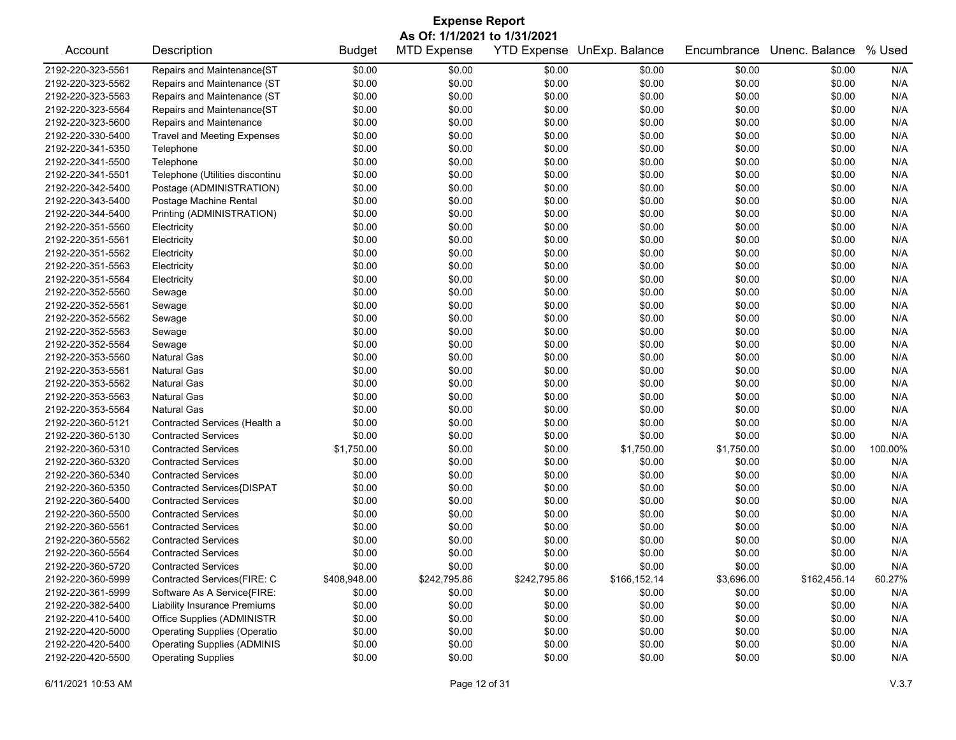| <b>Expense Report</b><br>As Of: 1/1/2021 to 1/31/2021 |                                     |               |                    |              |                            |             |                |         |
|-------------------------------------------------------|-------------------------------------|---------------|--------------------|--------------|----------------------------|-------------|----------------|---------|
| Account                                               | Description                         | <b>Budget</b> | <b>MTD Expense</b> |              | YTD Expense UnExp. Balance | Encumbrance | Unenc. Balance | % Used  |
| 2192-220-323-5561                                     | Repairs and Maintenance{ST          | \$0.00        | \$0.00             | \$0.00       | \$0.00                     | \$0.00      | \$0.00         | N/A     |
| 2192-220-323-5562                                     | Repairs and Maintenance (ST         | \$0.00        | \$0.00             | \$0.00       | \$0.00                     | \$0.00      | \$0.00         | N/A     |
| 2192-220-323-5563                                     | Repairs and Maintenance (ST         | \$0.00        | \$0.00             | \$0.00       | \$0.00                     | \$0.00      | \$0.00         | N/A     |
| 2192-220-323-5564                                     | Repairs and Maintenance{ST          | \$0.00        | \$0.00             | \$0.00       | \$0.00                     | \$0.00      | \$0.00         | N/A     |
| 2192-220-323-5600                                     | Repairs and Maintenance             | \$0.00        | \$0.00             | \$0.00       | \$0.00                     | \$0.00      | \$0.00         | N/A     |
| 2192-220-330-5400                                     | <b>Travel and Meeting Expenses</b>  | \$0.00        | \$0.00             | \$0.00       | \$0.00                     | \$0.00      | \$0.00         | N/A     |
| 2192-220-341-5350                                     | Telephone                           | \$0.00        | \$0.00             | \$0.00       | \$0.00                     | \$0.00      | \$0.00         | N/A     |
| 2192-220-341-5500                                     | Telephone                           | \$0.00        | \$0.00             | \$0.00       | \$0.00                     | \$0.00      | \$0.00         | N/A     |
| 2192-220-341-5501                                     | Telephone (Utilities discontinu     | \$0.00        | \$0.00             | \$0.00       | \$0.00                     | \$0.00      | \$0.00         | N/A     |
| 2192-220-342-5400                                     | Postage (ADMINISTRATION)            | \$0.00        | \$0.00             | \$0.00       | \$0.00                     | \$0.00      | \$0.00         | N/A     |
| 2192-220-343-5400                                     | Postage Machine Rental              | \$0.00        | \$0.00             | \$0.00       | \$0.00                     | \$0.00      | \$0.00         | N/A     |
| 2192-220-344-5400                                     | Printing (ADMINISTRATION)           | \$0.00        | \$0.00             | \$0.00       | \$0.00                     | \$0.00      | \$0.00         | N/A     |
| 2192-220-351-5560                                     | Electricity                         | \$0.00        | \$0.00             | \$0.00       | \$0.00                     | \$0.00      | \$0.00         | N/A     |
| 2192-220-351-5561                                     | Electricity                         | \$0.00        | \$0.00             | \$0.00       | \$0.00                     | \$0.00      | \$0.00         | N/A     |
| 2192-220-351-5562                                     | Electricity                         | \$0.00        | \$0.00             | \$0.00       | \$0.00                     | \$0.00      | \$0.00         | N/A     |
| 2192-220-351-5563                                     | Electricity                         | \$0.00        | \$0.00             | \$0.00       | \$0.00                     | \$0.00      | \$0.00         | N/A     |
| 2192-220-351-5564                                     | Electricity                         | \$0.00        | \$0.00             | \$0.00       | \$0.00                     | \$0.00      | \$0.00         | N/A     |
| 2192-220-352-5560                                     | Sewage                              | \$0.00        | \$0.00             | \$0.00       | \$0.00                     | \$0.00      | \$0.00         | N/A     |
| 2192-220-352-5561                                     | Sewage                              | \$0.00        | \$0.00             | \$0.00       | \$0.00                     | \$0.00      | \$0.00         | N/A     |
| 2192-220-352-5562                                     | Sewage                              | \$0.00        | \$0.00             | \$0.00       | \$0.00                     | \$0.00      | \$0.00         | N/A     |
| 2192-220-352-5563                                     | Sewage                              | \$0.00        | \$0.00             | \$0.00       | \$0.00                     | \$0.00      | \$0.00         | N/A     |
| 2192-220-352-5564                                     | Sewage                              | \$0.00        | \$0.00             | \$0.00       | \$0.00                     | \$0.00      | \$0.00         | N/A     |
| 2192-220-353-5560                                     | <b>Natural Gas</b>                  | \$0.00        | \$0.00             | \$0.00       | \$0.00                     | \$0.00      | \$0.00         | N/A     |
| 2192-220-353-5561                                     | <b>Natural Gas</b>                  | \$0.00        | \$0.00             | \$0.00       | \$0.00                     | \$0.00      | \$0.00         | N/A     |
| 2192-220-353-5562                                     | <b>Natural Gas</b>                  | \$0.00        | \$0.00             | \$0.00       | \$0.00                     | \$0.00      | \$0.00         | N/A     |
| 2192-220-353-5563                                     | <b>Natural Gas</b>                  | \$0.00        | \$0.00             | \$0.00       | \$0.00                     | \$0.00      | \$0.00         | N/A     |
| 2192-220-353-5564                                     | <b>Natural Gas</b>                  | \$0.00        | \$0.00             | \$0.00       | \$0.00                     | \$0.00      | \$0.00         | N/A     |
| 2192-220-360-5121                                     | Contracted Services (Health a       | \$0.00        | \$0.00             | \$0.00       | \$0.00                     | \$0.00      | \$0.00         | N/A     |
| 2192-220-360-5130                                     | <b>Contracted Services</b>          | \$0.00        | \$0.00             | \$0.00       | \$0.00                     | \$0.00      | \$0.00         | N/A     |
| 2192-220-360-5310                                     | <b>Contracted Services</b>          | \$1,750.00    | \$0.00             | \$0.00       | \$1,750.00                 | \$1,750.00  | \$0.00         | 100.00% |
| 2192-220-360-5320                                     | <b>Contracted Services</b>          | \$0.00        | \$0.00             | \$0.00       | \$0.00                     | \$0.00      | \$0.00         | N/A     |
| 2192-220-360-5340                                     | <b>Contracted Services</b>          | \$0.00        | \$0.00             | \$0.00       | \$0.00                     | \$0.00      | \$0.00         | N/A     |
| 2192-220-360-5350                                     | Contracted Services{DISPAT          | \$0.00        | \$0.00             | \$0.00       | \$0.00                     | \$0.00      | \$0.00         | N/A     |
| 2192-220-360-5400                                     | <b>Contracted Services</b>          | \$0.00        | \$0.00             | \$0.00       | \$0.00                     | \$0.00      | \$0.00         | N/A     |
| 2192-220-360-5500                                     | <b>Contracted Services</b>          | \$0.00        | \$0.00             | \$0.00       | \$0.00                     | \$0.00      | \$0.00         | N/A     |
| 2192-220-360-5561                                     | <b>Contracted Services</b>          | \$0.00        | \$0.00             | \$0.00       | \$0.00                     | \$0.00      | \$0.00         | N/A     |
| 2192-220-360-5562                                     | <b>Contracted Services</b>          | \$0.00        | \$0.00             | \$0.00       | \$0.00                     | \$0.00      | \$0.00         | N/A     |
| 2192-220-360-5564                                     | <b>Contracted Services</b>          | \$0.00        | \$0.00             | \$0.00       | \$0.00                     | \$0.00      | \$0.00         | N/A     |
| 2192-220-360-5720                                     | <b>Contracted Services</b>          | \$0.00        | \$0.00             | \$0.00       | \$0.00                     | \$0.00      | \$0.00         | N/A     |
| 2192-220-360-5999                                     | Contracted Services(FIRE: C         | \$408,948.00  | \$242,795.86       | \$242,795.86 | \$166,152.14               | \$3,696.00  | \$162,456.14   | 60.27%  |
| 2192-220-361-5999                                     | Software As A Service{FIRE:         | \$0.00        | \$0.00             | \$0.00       | \$0.00                     | \$0.00      | \$0.00         | N/A     |
| 2192-220-382-5400                                     | Liability Insurance Premiums        | \$0.00        | \$0.00             | \$0.00       | \$0.00                     | \$0.00      | \$0.00         | N/A     |
| 2192-220-410-5400                                     | Office Supplies (ADMINISTR          | \$0.00        | \$0.00             | \$0.00       | \$0.00                     | \$0.00      | \$0.00         | N/A     |
| 2192-220-420-5000                                     | <b>Operating Supplies (Operatio</b> | \$0.00        | \$0.00             | \$0.00       | \$0.00                     | \$0.00      | \$0.00         | N/A     |
| 2192-220-420-5400                                     | <b>Operating Supplies (ADMINIS</b>  | \$0.00        | \$0.00             | \$0.00       | \$0.00                     | \$0.00      | \$0.00         | N/A     |
| 2192-220-420-5500                                     | <b>Operating Supplies</b>           | \$0.00        | \$0.00             | \$0.00       | \$0.00                     | \$0.00      | \$0.00         | N/A     |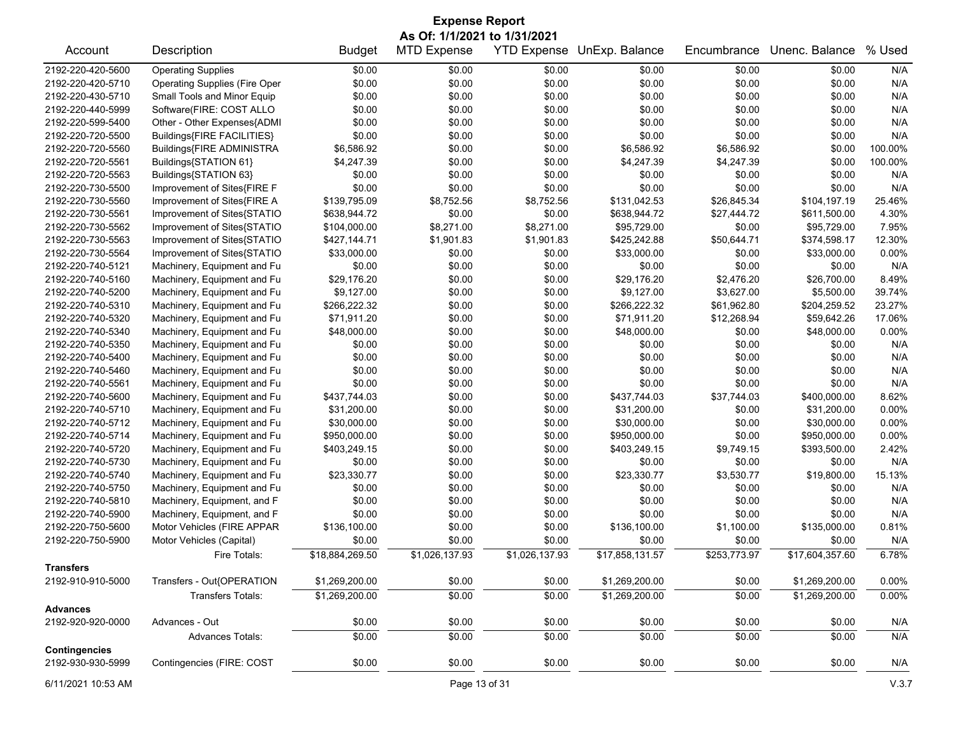| <b>Expense Report</b>                                                                                                       |                                                           |                 |                |                |                 |              |                 |         |  |
|-----------------------------------------------------------------------------------------------------------------------------|-----------------------------------------------------------|-----------------|----------------|----------------|-----------------|--------------|-----------------|---------|--|
| As Of: 1/1/2021 to 1/31/2021<br><b>MTD Expense</b><br>YTD Expense UnExp. Balance<br>Unenc. Balance<br>% Used<br>Description |                                                           |                 |                |                |                 |              |                 |         |  |
| Account                                                                                                                     |                                                           | <b>Budget</b>   |                |                |                 | Encumbrance  |                 |         |  |
| 2192-220-420-5600                                                                                                           | <b>Operating Supplies</b>                                 | \$0.00          | \$0.00         | \$0.00         | \$0.00          | \$0.00       | \$0.00          | N/A     |  |
| 2192-220-420-5710                                                                                                           | <b>Operating Supplies (Fire Oper</b>                      | \$0.00          | \$0.00         | \$0.00         | \$0.00          | \$0.00       | \$0.00          | N/A     |  |
| 2192-220-430-5710                                                                                                           | Small Tools and Minor Equip                               | \$0.00          | \$0.00         | \$0.00         | \$0.00          | \$0.00       | \$0.00          | N/A     |  |
| 2192-220-440-5999                                                                                                           | Software(FIRE: COST ALLO                                  | \$0.00          | \$0.00         | \$0.00         | \$0.00          | \$0.00       | \$0.00          | N/A     |  |
| 2192-220-599-5400                                                                                                           | Other - Other Expenses{ADMI                               | \$0.00          | \$0.00         | \$0.00         | \$0.00          | \$0.00       | \$0.00          | N/A     |  |
| 2192-220-720-5500                                                                                                           | Buildings{FIRE FACILITIES}                                | \$0.00          | \$0.00         | \$0.00         | \$0.00          | \$0.00       | \$0.00          | N/A     |  |
| 2192-220-720-5560                                                                                                           | Buildings{FIRE ADMINISTRA                                 | \$6,586.92      | \$0.00         | \$0.00         | \$6,586.92      | \$6,586.92   | \$0.00          | 100.00% |  |
| 2192-220-720-5561                                                                                                           | Buildings{STATION 61}                                     | \$4,247.39      | \$0.00         | \$0.00         | \$4,247.39      | \$4,247.39   | \$0.00          | 100.00% |  |
| 2192-220-720-5563                                                                                                           | Buildings{STATION 63}                                     | \$0.00          | \$0.00         | \$0.00         | \$0.00          | \$0.00       | \$0.00          | N/A     |  |
| 2192-220-730-5500                                                                                                           | Improvement of Sites{FIRE F                               | \$0.00          | \$0.00         | \$0.00         | \$0.00          | \$0.00       | \$0.00          | N/A     |  |
| 2192-220-730-5560                                                                                                           | Improvement of Sites{FIRE A                               | \$139,795.09    | \$8,752.56     | \$8,752.56     | \$131,042.53    | \$26,845.34  | \$104,197.19    | 25.46%  |  |
| 2192-220-730-5561                                                                                                           | Improvement of Sites{STATIO                               | \$638,944.72    | \$0.00         | \$0.00         | \$638,944.72    | \$27,444.72  | \$611,500.00    | 4.30%   |  |
| 2192-220-730-5562                                                                                                           | Improvement of Sites{STATIO                               | \$104,000.00    | \$8,271.00     | \$8,271.00     | \$95,729.00     | \$0.00       | \$95,729.00     | 7.95%   |  |
| 2192-220-730-5563                                                                                                           | Improvement of Sites{STATIO                               | \$427,144.71    | \$1,901.83     | \$1,901.83     | \$425,242.88    | \$50,644.71  | \$374,598.17    | 12.30%  |  |
| 2192-220-730-5564                                                                                                           | Improvement of Sites{STATIO                               | \$33,000.00     | \$0.00         | \$0.00         | \$33,000.00     | \$0.00       | \$33,000.00     | 0.00%   |  |
| 2192-220-740-5121                                                                                                           | Machinery, Equipment and Fu                               | \$0.00          | \$0.00         | \$0.00         | \$0.00          | \$0.00       | \$0.00          | N/A     |  |
| 2192-220-740-5160                                                                                                           | Machinery, Equipment and Fu                               | \$29,176.20     | \$0.00         | \$0.00         | \$29,176.20     | \$2,476.20   | \$26,700.00     | 8.49%   |  |
| 2192-220-740-5200                                                                                                           | Machinery, Equipment and Fu                               | \$9,127.00      | \$0.00         | \$0.00         | \$9,127.00      | \$3,627.00   | \$5,500.00      | 39.74%  |  |
| 2192-220-740-5310                                                                                                           | Machinery, Equipment and Fu                               | \$266,222.32    | \$0.00         | \$0.00         | \$266,222.32    | \$61,962.80  | \$204,259.52    | 23.27%  |  |
| 2192-220-740-5320                                                                                                           | Machinery, Equipment and Fu                               | \$71,911.20     | \$0.00         | \$0.00         | \$71,911.20     | \$12,268.94  | \$59,642.26     | 17.06%  |  |
| 2192-220-740-5340                                                                                                           | Machinery, Equipment and Fu                               | \$48,000.00     | \$0.00         | \$0.00         | \$48,000.00     | \$0.00       | \$48,000.00     | 0.00%   |  |
| 2192-220-740-5350                                                                                                           | Machinery, Equipment and Fu                               | \$0.00          | \$0.00         | \$0.00         | \$0.00          | \$0.00       | \$0.00          | N/A     |  |
| 2192-220-740-5400                                                                                                           | Machinery, Equipment and Fu                               | \$0.00          | \$0.00         | \$0.00         | \$0.00          | \$0.00       | \$0.00          | N/A     |  |
| 2192-220-740-5460                                                                                                           | Machinery, Equipment and Fu                               | \$0.00          | \$0.00         | \$0.00         | \$0.00          | \$0.00       | \$0.00          | N/A     |  |
| 2192-220-740-5561                                                                                                           | Machinery, Equipment and Fu                               | \$0.00          | \$0.00         | \$0.00         | \$0.00          | \$0.00       | \$0.00          | N/A     |  |
| 2192-220-740-5600                                                                                                           | Machinery, Equipment and Fu                               | \$437,744.03    | \$0.00         | \$0.00         | \$437,744.03    | \$37,744.03  | \$400,000.00    | 8.62%   |  |
| 2192-220-740-5710                                                                                                           | Machinery, Equipment and Fu                               | \$31,200.00     | \$0.00         | \$0.00         | \$31,200.00     | \$0.00       | \$31,200.00     | 0.00%   |  |
| 2192-220-740-5712                                                                                                           | Machinery, Equipment and Fu                               | \$30,000.00     | \$0.00         | \$0.00         | \$30,000.00     | \$0.00       | \$30,000.00     | 0.00%   |  |
| 2192-220-740-5714                                                                                                           | Machinery, Equipment and Fu                               | \$950,000.00    | \$0.00         | \$0.00         | \$950,000.00    | \$0.00       | \$950,000.00    | 0.00%   |  |
| 2192-220-740-5720                                                                                                           | Machinery, Equipment and Fu                               | \$403,249.15    | \$0.00         | \$0.00         | \$403,249.15    | \$9,749.15   | \$393,500.00    | 2.42%   |  |
| 2192-220-740-5730                                                                                                           | Machinery, Equipment and Fu                               | \$0.00          | \$0.00         | \$0.00         | \$0.00          | \$0.00       | \$0.00          | N/A     |  |
| 2192-220-740-5740                                                                                                           | Machinery, Equipment and Fu                               | \$23,330.77     | \$0.00         | \$0.00         | \$23,330.77     | \$3,530.77   | \$19,800.00     | 15.13%  |  |
| 2192-220-740-5750                                                                                                           | Machinery, Equipment and Fu                               | \$0.00          | \$0.00         | \$0.00         | \$0.00          | \$0.00       | \$0.00          | N/A     |  |
| 2192-220-740-5810                                                                                                           | Machinery, Equipment, and F                               | \$0.00          | \$0.00         | \$0.00         | \$0.00          | \$0.00       | \$0.00          | N/A     |  |
| 2192-220-740-5900                                                                                                           |                                                           | \$0.00          | \$0.00         | \$0.00         | \$0.00          | \$0.00       | \$0.00          | N/A     |  |
| 2192-220-750-5600                                                                                                           | Machinery, Equipment, and F<br>Motor Vehicles (FIRE APPAR | \$136,100.00    | \$0.00         | \$0.00         | \$136,100.00    | \$1,100.00   | \$135,000.00    | 0.81%   |  |
| 2192-220-750-5900                                                                                                           |                                                           | \$0.00          | \$0.00         | \$0.00         | \$0.00          | \$0.00       | \$0.00          | N/A     |  |
|                                                                                                                             | Motor Vehicles (Capital)                                  |                 |                |                |                 |              |                 |         |  |
| <b>Transfers</b>                                                                                                            | Fire Totals:                                              | \$18,884,269.50 | \$1,026,137.93 | \$1,026,137.93 | \$17,858,131.57 | \$253,773.97 | \$17,604,357.60 | 6.78%   |  |
| 2192-910-910-5000                                                                                                           | Transfers - Out{OPERATION                                 | \$1,269,200.00  | \$0.00         | \$0.00         | \$1,269,200.00  | \$0.00       | \$1,269,200.00  | 0.00%   |  |
|                                                                                                                             | <b>Transfers Totals:</b>                                  | \$1,269,200.00  | \$0.00         | \$0.00         | \$1,269,200.00  | \$0.00       | \$1,269,200.00  | 0.00%   |  |
| <b>Advances</b>                                                                                                             |                                                           |                 |                |                |                 |              |                 |         |  |
| 2192-920-920-0000                                                                                                           | Advances - Out                                            | \$0.00          | \$0.00         | \$0.00         | \$0.00          | \$0.00       | \$0.00          | N/A     |  |
|                                                                                                                             | Advances Totals:                                          | \$0.00          | \$0.00         | \$0.00         | \$0.00          | \$0.00       | \$0.00          | N/A     |  |
| <b>Contingencies</b>                                                                                                        |                                                           |                 |                |                |                 |              |                 |         |  |
| 2192-930-930-5999                                                                                                           | Contingencies (FIRE: COST                                 | \$0.00          | \$0.00         | \$0.00         | \$0.00          | \$0.00       | \$0.00          | N/A     |  |

6/11/2021 10:53 AM Page 13 of 31 V.3.7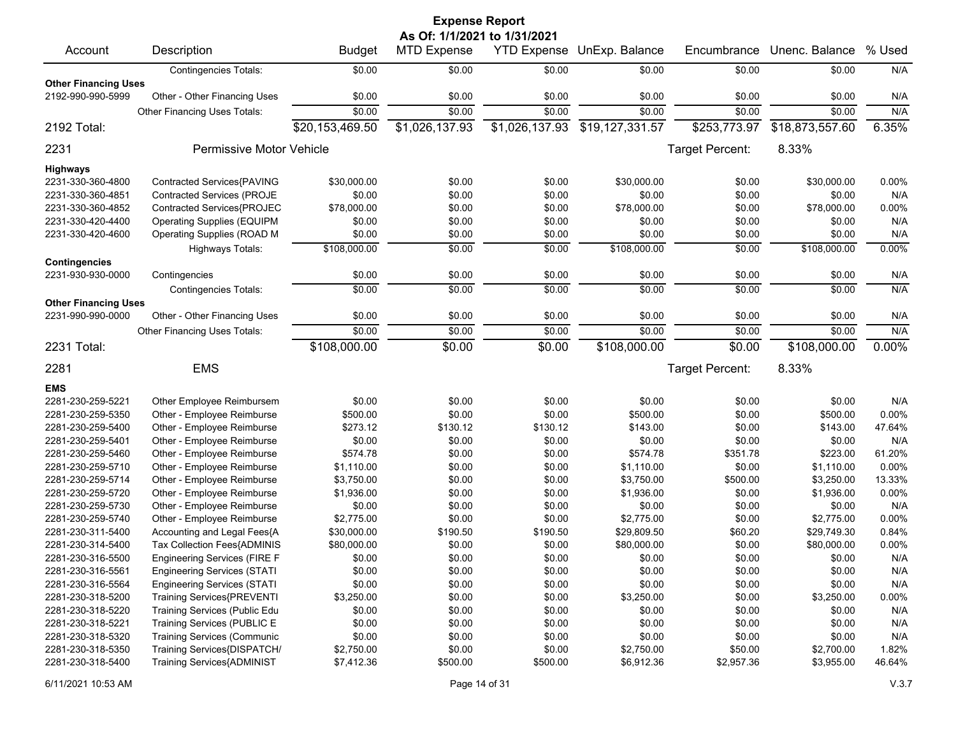|                                                  |                                    |                 | <b>Expense Report</b>        |                    |                 |                 |                 |        |
|--------------------------------------------------|------------------------------------|-----------------|------------------------------|--------------------|-----------------|-----------------|-----------------|--------|
|                                                  |                                    |                 | As Of: 1/1/2021 to 1/31/2021 |                    |                 |                 |                 |        |
| Account                                          | Description                        | <b>Budget</b>   | <b>MTD Expense</b>           | <b>YTD Expense</b> | UnExp. Balance  | Encumbrance     | Unenc. Balance  | % Used |
|                                                  | <b>Contingencies Totals:</b>       | \$0.00          | \$0.00                       | \$0.00             | \$0.00          | \$0.00          | \$0.00          | N/A    |
| <b>Other Financing Uses</b><br>2192-990-990-5999 | Other - Other Financing Uses       | \$0.00          | \$0.00                       | \$0.00             | \$0.00          | \$0.00          | \$0.00          | N/A    |
|                                                  | Other Financing Uses Totals:       | \$0.00          | \$0.00                       | \$0.00             | \$0.00          | \$0.00          | \$0.00          | N/A    |
| 2192 Total:                                      |                                    | \$20,153,469.50 | \$1,026,137.93               | \$1,026,137.93     | \$19,127,331.57 | \$253,773.97    | \$18,873,557.60 | 6.35%  |
| 2231                                             | <b>Permissive Motor Vehicle</b>    |                 |                              |                    |                 | Target Percent: | 8.33%           |        |
| <b>Highways</b>                                  |                                    |                 |                              |                    |                 |                 |                 |        |
| 2231-330-360-4800                                | Contracted Services{PAVING         | \$30,000.00     | \$0.00                       | \$0.00             | \$30,000.00     | \$0.00          | \$30,000.00     | 0.00%  |
| 2231-330-360-4851                                | Contracted Services (PROJE         | \$0.00          | \$0.00                       | \$0.00             | \$0.00          | \$0.00          | \$0.00          | N/A    |
| 2231-330-360-4852                                | Contracted Services{PROJEC         | \$78,000.00     | \$0.00                       | \$0.00             | \$78,000.00     | \$0.00          | \$78,000.00     | 0.00%  |
| 2231-330-420-4400                                | <b>Operating Supplies (EQUIPM</b>  | \$0.00          | \$0.00                       | \$0.00             | \$0.00          | \$0.00          | \$0.00          | N/A    |
| 2231-330-420-4600                                | Operating Supplies (ROAD M         | \$0.00          | \$0.00                       | \$0.00             | \$0.00          | \$0.00          | \$0.00          | N/A    |
|                                                  | Highways Totals:                   | \$108,000.00    | \$0.00                       | \$0.00             | \$108,000.00    | \$0.00          | \$108,000.00    | 0.00%  |
| <b>Contingencies</b>                             |                                    |                 |                              |                    |                 |                 |                 |        |
| 2231-930-930-0000                                | Contingencies                      | \$0.00          | \$0.00                       | \$0.00             | \$0.00          | \$0.00          | \$0.00          | N/A    |
| <b>Other Financing Uses</b>                      | <b>Contingencies Totals:</b>       | \$0.00          | \$0.00                       | \$0.00             | \$0.00          | \$0.00          | \$0.00          | N/A    |
| 2231-990-990-0000                                | Other - Other Financing Uses       | \$0.00          | \$0.00                       | \$0.00             | \$0.00          | \$0.00          | \$0.00          | N/A    |
|                                                  | Other Financing Uses Totals:       | \$0.00          | \$0.00                       | \$0.00             | \$0.00          | \$0.00          | \$0.00          | N/A    |
| 2231 Total:                                      |                                    | \$108,000.00    | \$0.00                       | \$0.00             | \$108,000.00    | \$0.00          | \$108,000.00    | 0.00%  |
| 2281                                             | <b>EMS</b>                         |                 |                              |                    |                 | Target Percent: | 8.33%           |        |
|                                                  |                                    |                 |                              |                    |                 |                 |                 |        |
| <b>EMS</b>                                       |                                    |                 |                              |                    |                 |                 |                 |        |
| 2281-230-259-5221                                | Other Employee Reimbursem          | \$0.00          | \$0.00                       | \$0.00             | \$0.00          | \$0.00          | \$0.00          | N/A    |
| 2281-230-259-5350                                | Other - Employee Reimburse         | \$500.00        | \$0.00                       | \$0.00             | \$500.00        | \$0.00          | \$500.00        | 0.00%  |
| 2281-230-259-5400                                | Other - Employee Reimburse         | \$273.12        | \$130.12                     | \$130.12           | \$143.00        | \$0.00          | \$143.00        | 47.64% |
| 2281-230-259-5401                                | Other - Employee Reimburse         | \$0.00          | \$0.00                       | \$0.00             | \$0.00          | \$0.00          | \$0.00          | N/A    |
| 2281-230-259-5460                                | Other - Employee Reimburse         | \$574.78        | \$0.00                       | \$0.00             | \$574.78        | \$351.78        | \$223.00        | 61.20% |
| 2281-230-259-5710                                | Other - Employee Reimburse         | \$1,110.00      | \$0.00                       | \$0.00             | \$1,110.00      | \$0.00          | \$1,110.00      | 0.00%  |
| 2281-230-259-5714                                | Other - Employee Reimburse         | \$3,750.00      | \$0.00                       | \$0.00             | \$3,750.00      | \$500.00        | \$3,250.00      | 13.33% |
| 2281-230-259-5720                                | Other - Employee Reimburse         | \$1,936.00      | \$0.00                       | \$0.00             | \$1,936.00      | \$0.00          | \$1,936.00      | 0.00%  |
| 2281-230-259-5730                                | Other - Employee Reimburse         | \$0.00          | \$0.00                       | \$0.00             | \$0.00          | \$0.00          | \$0.00          | N/A    |
| 2281-230-259-5740                                | Other - Employee Reimburse         | \$2,775.00      | \$0.00                       | \$0.00             | \$2,775.00      | \$0.00          | \$2,775.00      | 0.00%  |
| 2281-230-311-5400                                | Accounting and Legal Fees{A        | \$30,000.00     | \$190.50                     | \$190.50           | \$29,809.50     | \$60.20         | \$29,749.30     | 0.84%  |
| 2281-230-314-5400                                | Tax Collection Fees{ADMINIS        | \$80,000.00     | \$0.00                       | \$0.00             | \$80,000.00     | \$0.00          | \$80,000.00     | 0.00%  |
| 2281-230-316-5500                                | Engineering Services (FIRE F       | \$0.00          | \$0.00                       | \$0.00             | \$0.00          | \$0.00          | \$0.00          | N/A    |
| 2281-230-316-5561                                | <b>Engineering Services (STATI</b> | \$0.00          | \$0.00                       | \$0.00             | \$0.00          | \$0.00          | \$0.00          | N/A    |
| 2281-230-316-5564                                | <b>Engineering Services (STATI</b> | \$0.00          | \$0.00                       | \$0.00             | \$0.00          | \$0.00          | \$0.00          | N/A    |
| 2281-230-318-5200                                | <b>Training Services{PREVENTI</b>  | \$3,250.00      | \$0.00                       | \$0.00             | \$3,250.00      | \$0.00          | \$3,250.00      | 0.00%  |
| 2281-230-318-5220                                | Training Services (Public Edu      | \$0.00          | \$0.00                       | \$0.00             | \$0.00          | \$0.00          | \$0.00          | N/A    |
| 2281-230-318-5221                                | Training Services (PUBLIC E        | \$0.00          | \$0.00                       | \$0.00             | \$0.00          | \$0.00          | \$0.00          | N/A    |
| 2281-230-318-5320                                | <b>Training Services (Communic</b> | \$0.00          | \$0.00                       | \$0.00             | \$0.00          | \$0.00          | \$0.00          | N/A    |
| 2281-230-318-5350                                | Training Services{DISPATCH/        | \$2,750.00      | \$0.00                       | \$0.00             | \$2,750.00      | \$50.00         | \$2,700.00      | 1.82%  |
| 2281-230-318-5400                                | <b>Training Services{ADMINIST</b>  | \$7,412.36      | \$500.00                     | \$500.00           | \$6,912.36      | \$2,957.36      | \$3,955.00      | 46.64% |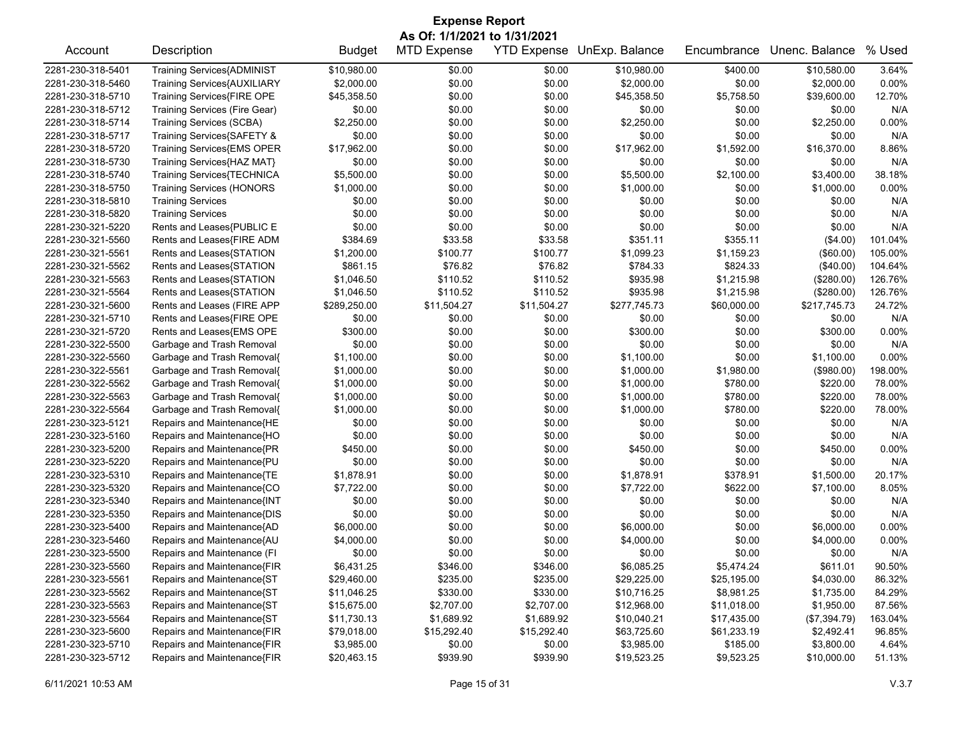| <b>Expense Report</b> |                                   |               |                              |             |                            |             |                |         |  |  |
|-----------------------|-----------------------------------|---------------|------------------------------|-------------|----------------------------|-------------|----------------|---------|--|--|
|                       |                                   |               | As Of: 1/1/2021 to 1/31/2021 |             |                            |             |                |         |  |  |
| Account               | Description                       | <b>Budget</b> | <b>MTD Expense</b>           |             | YTD Expense UnExp. Balance | Encumbrance | Unenc. Balance | % Used  |  |  |
| 2281-230-318-5401     | <b>Training Services{ADMINIST</b> | \$10,980.00   | \$0.00                       | \$0.00      | \$10,980.00                | \$400.00    | \$10,580.00    | 3.64%   |  |  |
| 2281-230-318-5460     | Training Services{AUXILIARY       | \$2,000.00    | \$0.00                       | \$0.00      | \$2,000.00                 | \$0.00      | \$2,000.00     | 0.00%   |  |  |
| 2281-230-318-5710     | Training Services{FIRE OPE        | \$45,358.50   | \$0.00                       | \$0.00      | \$45,358.50                | \$5,758.50  | \$39,600.00    | 12.70%  |  |  |
| 2281-230-318-5712     | Training Services (Fire Gear)     | \$0.00        | \$0.00                       | \$0.00      | \$0.00                     | \$0.00      | \$0.00         | N/A     |  |  |
| 2281-230-318-5714     | <b>Training Services (SCBA)</b>   | \$2,250.00    | \$0.00                       | \$0.00      | \$2,250.00                 | \$0.00      | \$2,250.00     | 0.00%   |  |  |
| 2281-230-318-5717     | Training Services{SAFETY &        | \$0.00        | \$0.00                       | \$0.00      | \$0.00                     | \$0.00      | \$0.00         | N/A     |  |  |
| 2281-230-318-5720     | Training Services{EMS OPER        | \$17,962.00   | \$0.00                       | \$0.00      | \$17,962.00                | \$1,592.00  | \$16,370.00    | 8.86%   |  |  |
| 2281-230-318-5730     | Training Services{HAZ MAT}        | \$0.00        | \$0.00                       | \$0.00      | \$0.00                     | \$0.00      | \$0.00         | N/A     |  |  |
| 2281-230-318-5740     | Training Services{TECHNICA        | \$5,500.00    | \$0.00                       | \$0.00      | \$5,500.00                 | \$2,100.00  | \$3,400.00     | 38.18%  |  |  |
| 2281-230-318-5750     | <b>Training Services (HONORS</b>  | \$1,000.00    | \$0.00                       | \$0.00      | \$1,000.00                 | \$0.00      | \$1,000.00     | 0.00%   |  |  |
| 2281-230-318-5810     | <b>Training Services</b>          | \$0.00        | \$0.00                       | \$0.00      | \$0.00                     | \$0.00      | \$0.00         | N/A     |  |  |
| 2281-230-318-5820     | <b>Training Services</b>          | \$0.00        | \$0.00                       | \$0.00      | \$0.00                     | \$0.00      | \$0.00         | N/A     |  |  |
| 2281-230-321-5220     | Rents and Leases{PUBLIC E         | \$0.00        | \$0.00                       | \$0.00      | \$0.00                     | \$0.00      | \$0.00         | N/A     |  |  |
| 2281-230-321-5560     | Rents and Leases{FIRE ADM         | \$384.69      | \$33.58                      | \$33.58     | \$351.11                   | \$355.11    | (\$4.00)       | 101.04% |  |  |
| 2281-230-321-5561     | Rents and Leases{STATION          | \$1,200.00    | \$100.77                     | \$100.77    | \$1,099.23                 | \$1,159.23  | (\$60.00)      | 105.00% |  |  |
| 2281-230-321-5562     | Rents and Leases{STATION          | \$861.15      | \$76.82                      | \$76.82     | \$784.33                   | \$824.33    | (\$40.00)      | 104.64% |  |  |
| 2281-230-321-5563     | Rents and Leases{STATION          | \$1,046.50    | \$110.52                     | \$110.52    | \$935.98                   | \$1,215.98  | (\$280.00)     | 126.76% |  |  |
| 2281-230-321-5564     | Rents and Leases{STATION          | \$1,046.50    | \$110.52                     | \$110.52    | \$935.98                   | \$1,215.98  | (\$280.00)     | 126.76% |  |  |
| 2281-230-321-5600     | Rents and Leases (FIRE APP        | \$289,250.00  | \$11,504.27                  | \$11,504.27 | \$277,745.73               | \$60,000.00 | \$217,745.73   | 24.72%  |  |  |
| 2281-230-321-5710     | Rents and Leases{FIRE OPE         | \$0.00        | \$0.00                       | \$0.00      | \$0.00                     | \$0.00      | \$0.00         | N/A     |  |  |
| 2281-230-321-5720     | Rents and Leases{EMS OPE          | \$300.00      | \$0.00                       | \$0.00      | \$300.00                   | \$0.00      | \$300.00       | 0.00%   |  |  |
| 2281-230-322-5500     | Garbage and Trash Removal         | \$0.00        | \$0.00                       | \$0.00      | \$0.00                     | \$0.00      | \$0.00         | N/A     |  |  |
| 2281-230-322-5560     | Garbage and Trash Removal{        | \$1,100.00    | \$0.00                       | \$0.00      | \$1,100.00                 | \$0.00      | \$1,100.00     | 0.00%   |  |  |
| 2281-230-322-5561     | Garbage and Trash Removal{        | \$1,000.00    | \$0.00                       | \$0.00      | \$1,000.00                 | \$1,980.00  | (\$980.00)     | 198.00% |  |  |
| 2281-230-322-5562     | Garbage and Trash Removal{        | \$1,000.00    | \$0.00                       | \$0.00      | \$1,000.00                 | \$780.00    | \$220.00       | 78.00%  |  |  |
| 2281-230-322-5563     | Garbage and Trash Removal{        | \$1,000.00    | \$0.00                       | \$0.00      | \$1,000.00                 | \$780.00    | \$220.00       | 78.00%  |  |  |
| 2281-230-322-5564     | Garbage and Trash Removal{        | \$1,000.00    | \$0.00                       | \$0.00      | \$1,000.00                 | \$780.00    | \$220.00       | 78.00%  |  |  |
| 2281-230-323-5121     | Repairs and Maintenance{HE        | \$0.00        | \$0.00                       | \$0.00      | \$0.00                     | \$0.00      | \$0.00         | N/A     |  |  |
| 2281-230-323-5160     | Repairs and Maintenance{HO        | \$0.00        | \$0.00                       | \$0.00      | \$0.00                     | \$0.00      | \$0.00         | N/A     |  |  |
| 2281-230-323-5200     | Repairs and Maintenance{PR        | \$450.00      | \$0.00                       | \$0.00      | \$450.00                   | \$0.00      | \$450.00       | 0.00%   |  |  |
| 2281-230-323-5220     | Repairs and Maintenance{PU        | \$0.00        | \$0.00                       | \$0.00      | \$0.00                     | \$0.00      | \$0.00         | N/A     |  |  |
| 2281-230-323-5310     | Repairs and Maintenance{TE        | \$1,878.91    | \$0.00                       | \$0.00      | \$1,878.91                 | \$378.91    | \$1,500.00     | 20.17%  |  |  |
| 2281-230-323-5320     | Repairs and Maintenance{CO        | \$7,722.00    | \$0.00                       | \$0.00      | \$7,722.00                 | \$622.00    | \$7,100.00     | 8.05%   |  |  |
| 2281-230-323-5340     | Repairs and Maintenance{INT       | \$0.00        | \$0.00                       | \$0.00      | \$0.00                     | \$0.00      | \$0.00         | N/A     |  |  |
| 2281-230-323-5350     | Repairs and Maintenance{DIS       | \$0.00        | \$0.00                       | \$0.00      | \$0.00                     | \$0.00      | \$0.00         | N/A     |  |  |
| 2281-230-323-5400     | Repairs and Maintenance{AD        | \$6,000.00    | \$0.00                       | \$0.00      | \$6,000.00                 | \$0.00      | \$6,000.00     | 0.00%   |  |  |
| 2281-230-323-5460     | Repairs and Maintenance{AU        | \$4,000.00    | \$0.00                       | \$0.00      | \$4,000.00                 | \$0.00      | \$4,000.00     | 0.00%   |  |  |
| 2281-230-323-5500     | Repairs and Maintenance (FI       | \$0.00        | \$0.00                       | \$0.00      | \$0.00                     | \$0.00      | \$0.00         | N/A     |  |  |
| 2281-230-323-5560     | Repairs and Maintenance{FIR       | \$6,431.25    | \$346.00                     | \$346.00    | \$6,085.25                 | \$5,474.24  | \$611.01       | 90.50%  |  |  |
| 2281-230-323-5561     | Repairs and Maintenance{ST        | \$29,460.00   | \$235.00                     | \$235.00    | \$29,225.00                | \$25,195.00 | \$4,030.00     | 86.32%  |  |  |
| 2281-230-323-5562     | Repairs and Maintenance{ST        | \$11,046.25   | \$330.00                     | \$330.00    | \$10,716.25                | \$8,981.25  | \$1,735.00     | 84.29%  |  |  |
| 2281-230-323-5563     | Repairs and Maintenance{ST        | \$15,675.00   | \$2,707.00                   | \$2,707.00  | \$12,968.00                | \$11,018.00 | \$1,950.00     | 87.56%  |  |  |
| 2281-230-323-5564     | Repairs and Maintenance{ST        | \$11,730.13   | \$1,689.92                   | \$1,689.92  | \$10,040.21                | \$17,435.00 | (\$7,394.79)   | 163.04% |  |  |
| 2281-230-323-5600     | Repairs and Maintenance{FIR       | \$79,018.00   | \$15,292.40                  | \$15,292.40 | \$63,725.60                | \$61,233.19 | \$2,492.41     | 96.85%  |  |  |
| 2281-230-323-5710     | Repairs and Maintenance{FIR       | \$3,985.00    | \$0.00                       | \$0.00      | \$3,985.00                 | \$185.00    | \$3,800.00     | 4.64%   |  |  |
| 2281-230-323-5712     | Repairs and Maintenance{FIR       | \$20,463.15   | \$939.90                     | \$939.90    | \$19,523.25                | \$9,523.25  | \$10,000.00    | 51.13%  |  |  |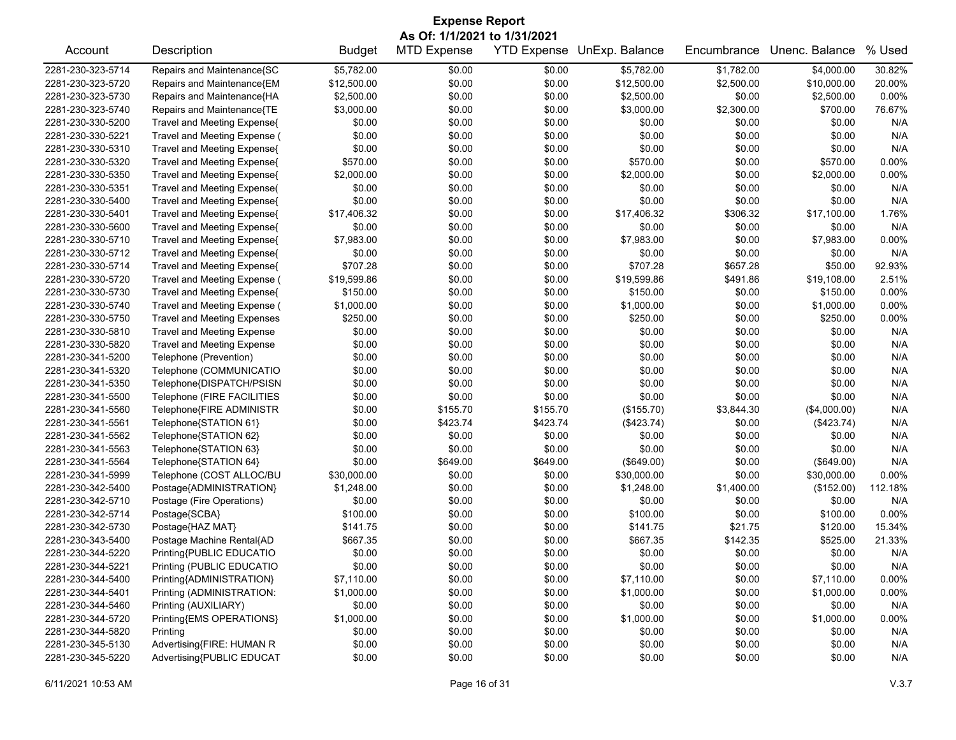| <b>Expense Report</b> |                                    |               |                              |          |                            |             |                |          |  |
|-----------------------|------------------------------------|---------------|------------------------------|----------|----------------------------|-------------|----------------|----------|--|
|                       |                                    |               | As Of: 1/1/2021 to 1/31/2021 |          |                            |             |                |          |  |
| Account               | Description                        | <b>Budget</b> | <b>MTD Expense</b>           |          | YTD Expense UnExp. Balance | Encumbrance | Unenc. Balance | % Used   |  |
| 2281-230-323-5714     | Repairs and Maintenance{SC         | \$5,782.00    | \$0.00                       | \$0.00   | \$5,782.00                 | \$1,782.00  | \$4,000.00     | 30.82%   |  |
| 2281-230-323-5720     | Repairs and Maintenance{EM         | \$12,500.00   | \$0.00                       | \$0.00   | \$12,500.00                | \$2,500.00  | \$10,000.00    | 20.00%   |  |
| 2281-230-323-5730     | Repairs and Maintenance{HA         | \$2,500.00    | \$0.00                       | \$0.00   | \$2,500.00                 | \$0.00      | \$2,500.00     | 0.00%    |  |
| 2281-230-323-5740     | Repairs and Maintenance{TE         | \$3,000.00    | \$0.00                       | \$0.00   | \$3,000.00                 | \$2,300.00  | \$700.00       | 76.67%   |  |
| 2281-230-330-5200     | Travel and Meeting Expense{        | \$0.00        | \$0.00                       | \$0.00   | \$0.00                     | \$0.00      | \$0.00         | N/A      |  |
| 2281-230-330-5221     | Travel and Meeting Expense (       | \$0.00        | \$0.00                       | \$0.00   | \$0.00                     | \$0.00      | \$0.00         | N/A      |  |
| 2281-230-330-5310     | Travel and Meeting Expense{        | \$0.00        | \$0.00                       | \$0.00   | \$0.00                     | \$0.00      | \$0.00         | N/A      |  |
| 2281-230-330-5320     | Travel and Meeting Expense{        | \$570.00      | \$0.00                       | \$0.00   | \$570.00                   | \$0.00      | \$570.00       | 0.00%    |  |
| 2281-230-330-5350     | Travel and Meeting Expense{        | \$2,000.00    | \$0.00                       | \$0.00   | \$2,000.00                 | \$0.00      | \$2,000.00     | 0.00%    |  |
| 2281-230-330-5351     | Travel and Meeting Expense(        | \$0.00        | \$0.00                       | \$0.00   | \$0.00                     | \$0.00      | \$0.00         | N/A      |  |
| 2281-230-330-5400     | Travel and Meeting Expense{        | \$0.00        | \$0.00                       | \$0.00   | \$0.00                     | \$0.00      | \$0.00         | N/A      |  |
| 2281-230-330-5401     | Travel and Meeting Expense{        | \$17,406.32   | \$0.00                       | \$0.00   | \$17,406.32                | \$306.32    | \$17,100.00    | 1.76%    |  |
| 2281-230-330-5600     | Travel and Meeting Expense{        | \$0.00        | \$0.00                       | \$0.00   | \$0.00                     | \$0.00      | \$0.00         | N/A      |  |
| 2281-230-330-5710     | Travel and Meeting Expense{        | \$7,983.00    | \$0.00                       | \$0.00   | \$7,983.00                 | \$0.00      | \$7,983.00     | 0.00%    |  |
| 2281-230-330-5712     | Travel and Meeting Expense{        | \$0.00        | \$0.00                       | \$0.00   | \$0.00                     | \$0.00      | \$0.00         | N/A      |  |
| 2281-230-330-5714     | Travel and Meeting Expense{        | \$707.28      | \$0.00                       | \$0.00   | \$707.28                   | \$657.28    | \$50.00        | 92.93%   |  |
| 2281-230-330-5720     | Travel and Meeting Expense (       | \$19,599.86   | \$0.00                       | \$0.00   | \$19,599.86                | \$491.86    | \$19,108.00    | 2.51%    |  |
| 2281-230-330-5730     | Travel and Meeting Expense{        | \$150.00      | \$0.00                       | \$0.00   | \$150.00                   | \$0.00      | \$150.00       | 0.00%    |  |
| 2281-230-330-5740     | Travel and Meeting Expense (       | \$1,000.00    | \$0.00                       | \$0.00   | \$1,000.00                 | \$0.00      | \$1,000.00     | 0.00%    |  |
| 2281-230-330-5750     | <b>Travel and Meeting Expenses</b> | \$250.00      | \$0.00                       | \$0.00   | \$250.00                   | \$0.00      | \$250.00       | 0.00%    |  |
| 2281-230-330-5810     | <b>Travel and Meeting Expense</b>  | \$0.00        | \$0.00                       | \$0.00   | \$0.00                     | \$0.00      | \$0.00         | N/A      |  |
| 2281-230-330-5820     | <b>Travel and Meeting Expense</b>  | \$0.00        | \$0.00                       | \$0.00   | \$0.00                     | \$0.00      | \$0.00         | N/A      |  |
| 2281-230-341-5200     | Telephone (Prevention)             | \$0.00        | \$0.00                       | \$0.00   | \$0.00                     | \$0.00      | \$0.00         | N/A      |  |
| 2281-230-341-5320     | Telephone (COMMUNICATIO            | \$0.00        | \$0.00                       | \$0.00   | \$0.00                     | \$0.00      | \$0.00         | N/A      |  |
| 2281-230-341-5350     | Telephone{DISPATCH/PSISN           | \$0.00        | \$0.00                       | \$0.00   | \$0.00                     | \$0.00      | \$0.00         | N/A      |  |
| 2281-230-341-5500     | Telephone (FIRE FACILITIES         | \$0.00        | \$0.00                       | \$0.00   | \$0.00                     | \$0.00      | \$0.00         | N/A      |  |
| 2281-230-341-5560     | Telephone{FIRE ADMINISTR           | \$0.00        | \$155.70                     | \$155.70 | (\$155.70)                 | \$3,844.30  | (\$4,000.00)   | N/A      |  |
| 2281-230-341-5561     | Telephone{STATION 61}              | \$0.00        | \$423.74                     | \$423.74 | (\$423.74)                 | \$0.00      | (\$423.74)     | N/A      |  |
| 2281-230-341-5562     | Telephone{STATION 62}              | \$0.00        | \$0.00                       | \$0.00   | \$0.00                     | \$0.00      | \$0.00         | N/A      |  |
| 2281-230-341-5563     | Telephone{STATION 63}              | \$0.00        | \$0.00                       | \$0.00   | \$0.00                     | \$0.00      | \$0.00         | N/A      |  |
| 2281-230-341-5564     | Telephone{STATION 64}              | \$0.00        | \$649.00                     | \$649.00 | (\$649.00)                 | \$0.00      | (\$649.00)     | N/A      |  |
| 2281-230-341-5999     | Telephone (COST ALLOC/BU           | \$30,000.00   | \$0.00                       | \$0.00   | \$30,000.00                | \$0.00      | \$30,000.00    | 0.00%    |  |
| 2281-230-342-5400     | Postage{ADMINISTRATION}            | \$1,248.00    | \$0.00                       | \$0.00   | \$1,248.00                 | \$1,400.00  | (\$152.00)     | 112.18%  |  |
| 2281-230-342-5710     | Postage (Fire Operations)          | \$0.00        | \$0.00                       | \$0.00   | \$0.00                     | \$0.00      | \$0.00         | N/A      |  |
| 2281-230-342-5714     | Postage{SCBA}                      | \$100.00      | \$0.00                       | \$0.00   | \$100.00                   | \$0.00      | \$100.00       | 0.00%    |  |
| 2281-230-342-5730     | Postage{HAZ MAT}                   | \$141.75      | \$0.00                       | \$0.00   | \$141.75                   | \$21.75     | \$120.00       | 15.34%   |  |
| 2281-230-343-5400     | Postage Machine Rental{AD          | \$667.35      | \$0.00                       | \$0.00   | \$667.35                   | \$142.35    | \$525.00       | 21.33%   |  |
| 2281-230-344-5220     | Printing{PUBLIC EDUCATIO           | \$0.00        | \$0.00                       | \$0.00   | \$0.00                     | \$0.00      | \$0.00         | N/A      |  |
| 2281-230-344-5221     | Printing (PUBLIC EDUCATIO          | \$0.00        | \$0.00                       | \$0.00   | \$0.00                     | \$0.00      | \$0.00         | N/A      |  |
| 2281-230-344-5400     | Printing{ADMINISTRATION}           | \$7,110.00    | \$0.00                       | \$0.00   | \$7,110.00                 | \$0.00      | \$7,110.00     | 0.00%    |  |
| 2281-230-344-5401     | Printing (ADMINISTRATION:          | \$1,000.00    | \$0.00                       | \$0.00   | \$1,000.00                 | \$0.00      | \$1,000.00     | 0.00%    |  |
| 2281-230-344-5460     | Printing (AUXILIARY)               | \$0.00        | \$0.00                       | \$0.00   | \$0.00                     | \$0.00      | \$0.00         | N/A      |  |
| 2281-230-344-5720     | Printing{EMS OPERATIONS}           | \$1,000.00    | \$0.00                       | \$0.00   | \$1,000.00                 | \$0.00      | \$1,000.00     | $0.00\%$ |  |
| 2281-230-344-5820     | Printing                           | \$0.00        | \$0.00                       | \$0.00   | \$0.00                     | \$0.00      | \$0.00         | N/A      |  |
| 2281-230-345-5130     | Advertising{FIRE: HUMAN R          | \$0.00        | \$0.00                       | \$0.00   | \$0.00                     | \$0.00      | \$0.00         | N/A      |  |
| 2281-230-345-5220     | Advertising{PUBLIC EDUCAT          | \$0.00        | \$0.00                       | \$0.00   | \$0.00                     | \$0.00      | \$0.00         | N/A      |  |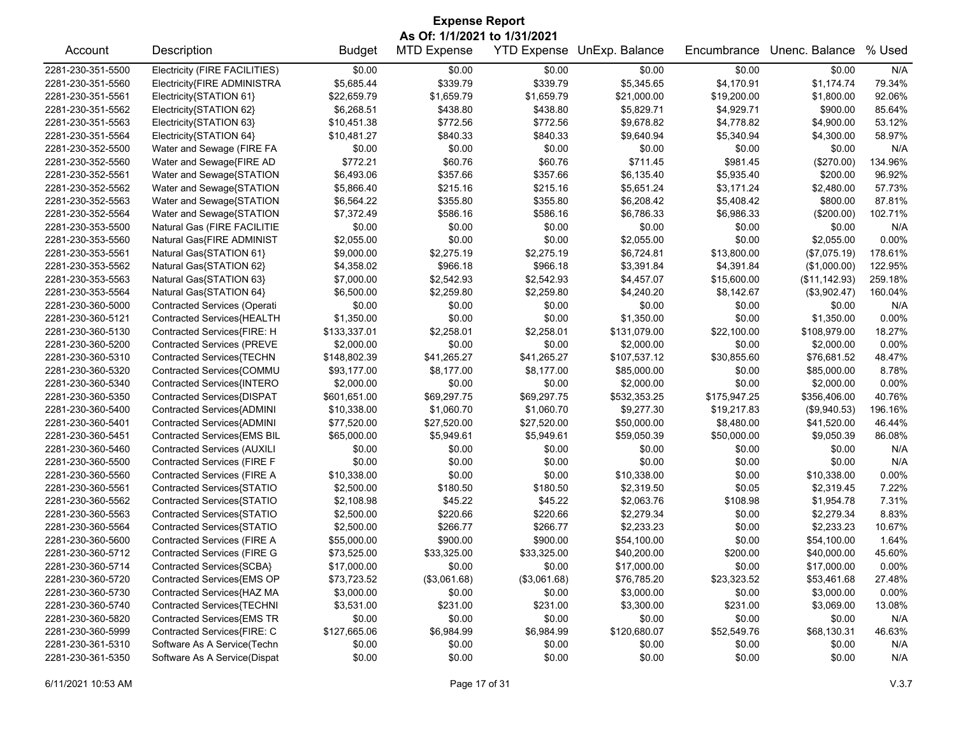| <b>Expense Report</b><br>As Of: 1/1/2021 to 1/31/2021 |                                                          |               |                    |              |                            |                             |                |          |  |
|-------------------------------------------------------|----------------------------------------------------------|---------------|--------------------|--------------|----------------------------|-----------------------------|----------------|----------|--|
| Account                                               | Description                                              | <b>Budget</b> | <b>MTD Expense</b> |              | YTD Expense UnExp. Balance | Encumbrance                 | Unenc. Balance | % Used   |  |
| 2281-230-351-5500                                     | Electricity (FIRE FACILITIES)                            | \$0.00        | \$0.00             | \$0.00       | \$0.00                     | \$0.00                      | \$0.00         | N/A      |  |
| 2281-230-351-5560                                     | Electricity{FIRE ADMINISTRA                              | \$5,685.44    | \$339.79           | \$339.79     | \$5,345.65                 | \$4,170.91                  | \$1,174.74     | 79.34%   |  |
| 2281-230-351-5561                                     | Electricity{STATION 61}                                  | \$22,659.79   | \$1,659.79         | \$1,659.79   | \$21,000.00                | \$19,200.00                 | \$1,800.00     | 92.06%   |  |
| 2281-230-351-5562                                     | Electricity{STATION 62}                                  | \$6,268.51    | \$438.80           | \$438.80     | \$5,829.71                 | \$4,929.71                  | \$900.00       | 85.64%   |  |
| 2281-230-351-5563                                     | Electricity{STATION 63}                                  | \$10,451.38   | \$772.56           | \$772.56     | \$9,678.82                 | \$4,778.82                  | \$4,900.00     | 53.12%   |  |
| 2281-230-351-5564                                     | Electricity{STATION 64}                                  | \$10,481.27   | \$840.33           | \$840.33     | \$9,640.94                 | \$5,340.94                  | \$4,300.00     | 58.97%   |  |
| 2281-230-352-5500                                     | Water and Sewage (FIRE FA                                | \$0.00        | \$0.00             | \$0.00       | \$0.00                     | \$0.00                      | \$0.00         | N/A      |  |
| 2281-230-352-5560                                     | Water and Sewage{FIRE AD                                 | \$772.21      | \$60.76            | \$60.76      | \$711.45                   | \$981.45                    | (\$270.00)     | 134.96%  |  |
| 2281-230-352-5561                                     | Water and Sewage{STATION                                 | \$6,493.06    | \$357.66           | \$357.66     | \$6,135.40                 | \$5,935.40                  | \$200.00       | 96.92%   |  |
| 2281-230-352-5562                                     | Water and Sewage{STATION                                 | \$5,866.40    | \$215.16           | \$215.16     | \$5,651.24                 | \$3,171.24                  | \$2,480.00     | 57.73%   |  |
| 2281-230-352-5563                                     | Water and Sewage{STATION                                 | \$6,564.22    | \$355.80           | \$355.80     | \$6,208.42                 | \$5,408.42                  | \$800.00       | 87.81%   |  |
| 2281-230-352-5564                                     | Water and Sewage{STATION                                 | \$7,372.49    | \$586.16           | \$586.16     | \$6,786.33                 | \$6,986.33                  | (\$200.00)     | 102.71%  |  |
| 2281-230-353-5500                                     | Natural Gas (FIRE FACILITIE                              | \$0.00        | \$0.00             | \$0.00       | \$0.00                     | \$0.00                      | \$0.00         | N/A      |  |
| 2281-230-353-5560                                     | Natural Gas{FIRE ADMINIST                                | \$2,055.00    | \$0.00             | \$0.00       | \$2,055.00                 | \$0.00                      | \$2,055.00     | $0.00\%$ |  |
| 2281-230-353-5561                                     | Natural Gas{STATION 61}                                  | \$9,000.00    | \$2,275.19         | \$2,275.19   | \$6,724.81                 | \$13,800.00                 | (\$7,075.19)   | 178.61%  |  |
| 2281-230-353-5562                                     | Natural Gas{STATION 62}                                  | \$4,358.02    | \$966.18           | \$966.18     | \$3,391.84                 | \$4,391.84                  | (\$1,000.00)   | 122.95%  |  |
| 2281-230-353-5563                                     | Natural Gas{STATION 63}                                  | \$7,000.00    | \$2,542.93         | \$2,542.93   | \$4,457.07                 | \$15,600.00                 | (\$11,142.93)  | 259.18%  |  |
| 2281-230-353-5564                                     | Natural Gas{STATION 64}                                  | \$6,500.00    | \$2,259.80         | \$2,259.80   | \$4,240.20                 | \$8,142.67                  | (\$3,902.47)   | 160.04%  |  |
| 2281-230-360-5000                                     | <b>Contracted Services (Operati</b>                      | \$0.00        | \$0.00             | \$0.00       | \$0.00                     | \$0.00                      | \$0.00         | N/A      |  |
| 2281-230-360-5121                                     | Contracted Services{HEALTH                               | \$1,350.00    | \$0.00             | \$0.00       | \$1,350.00                 | \$0.00                      | \$1,350.00     | 0.00%    |  |
| 2281-230-360-5130                                     | Contracted Services{FIRE: H                              | \$133,337.01  | \$2,258.01         | \$2,258.01   | \$131,079.00               | \$22,100.00                 | \$108,979.00   | 18.27%   |  |
| 2281-230-360-5200                                     | <b>Contracted Services (PREVE</b>                        | \$2,000.00    | \$0.00             | \$0.00       | \$2,000.00                 | \$0.00                      | \$2,000.00     | 0.00%    |  |
| 2281-230-360-5310                                     | Contracted Services{TECHN                                | \$148,802.39  | \$41,265.27        | \$41,265.27  | \$107,537.12               | \$30,855.60                 | \$76,681.52    | 48.47%   |  |
| 2281-230-360-5320                                     | Contracted Services{COMMU                                | \$93,177.00   | \$8,177.00         | \$8,177.00   | \$85,000.00                | \$0.00                      | \$85,000.00    | 8.78%    |  |
| 2281-230-360-5340                                     | Contracted Services{INTERO                               | \$2,000.00    | \$0.00             | \$0.00       | \$2,000.00                 | \$0.00                      | \$2,000.00     | 0.00%    |  |
| 2281-230-360-5350                                     |                                                          | \$601,651.00  | \$69,297.75        | \$69,297.75  |                            |                             | \$356,406.00   | 40.76%   |  |
| 2281-230-360-5400                                     | Contracted Services{DISPAT<br>Contracted Services{ADMINI | \$10,338.00   | \$1,060.70         | \$1,060.70   | \$532,353.25<br>\$9,277.30 | \$175,947.25<br>\$19,217.83 | (\$9,940.53)   | 196.16%  |  |
|                                                       |                                                          |               |                    |              |                            |                             |                |          |  |
| 2281-230-360-5401                                     | Contracted Services{ADMINI                               | \$77,520.00   | \$27,520.00        | \$27,520.00  | \$50,000.00                | \$8,480.00                  | \$41,520.00    | 46.44%   |  |
| 2281-230-360-5451                                     | Contracted Services{EMS BIL                              | \$65,000.00   | \$5,949.61         | \$5,949.61   | \$59,050.39                | \$50,000.00                 | \$9,050.39     | 86.08%   |  |
| 2281-230-360-5460                                     | <b>Contracted Services (AUXILI</b>                       | \$0.00        | \$0.00             | \$0.00       | \$0.00                     | \$0.00                      | \$0.00         | N/A      |  |
| 2281-230-360-5500                                     | Contracted Services (FIRE F                              | \$0.00        | \$0.00             | \$0.00       | \$0.00                     | \$0.00                      | \$0.00         | N/A      |  |
| 2281-230-360-5560                                     | Contracted Services (FIRE A                              | \$10,338.00   | \$0.00             | \$0.00       | \$10,338.00                | \$0.00                      | \$10,338.00    | $0.00\%$ |  |
| 2281-230-360-5561                                     | Contracted Services{STATIO                               | \$2,500.00    | \$180.50           | \$180.50     | \$2,319.50                 | \$0.05                      | \$2,319.45     | 7.22%    |  |
| 2281-230-360-5562                                     | Contracted Services{STATIO                               | \$2,108.98    | \$45.22            | \$45.22      | \$2,063.76                 | \$108.98                    | \$1,954.78     | 7.31%    |  |
| 2281-230-360-5563                                     | Contracted Services{STATIO                               | \$2,500.00    | \$220.66           | \$220.66     | \$2,279.34                 | \$0.00                      | \$2,279.34     | 8.83%    |  |
| 2281-230-360-5564                                     | Contracted Services{STATIO                               | \$2,500.00    | \$266.77           | \$266.77     | \$2,233.23                 | \$0.00                      | \$2,233.23     | 10.67%   |  |
| 2281-230-360-5600                                     | Contracted Services (FIRE A                              | \$55,000.00   | \$900.00           | \$900.00     | \$54,100.00                | \$0.00                      | \$54,100.00    | 1.64%    |  |
| 2281-230-360-5712                                     | <b>Contracted Services (FIRE G</b>                       | \$73,525.00   | \$33,325.00        | \$33,325.00  | \$40,200.00                | \$200.00                    | \$40,000.00    | 45.60%   |  |
| 2281-230-360-5714                                     | Contracted Services{SCBA}                                | \$17,000.00   | \$0.00             | \$0.00       | \$17,000.00                | \$0.00                      | \$17,000.00    | 0.00%    |  |
| 2281-230-360-5720                                     | Contracted Services{EMS OP                               | \$73,723.52   | (\$3,061.68)       | (\$3,061.68) | \$76,785.20                | \$23,323.52                 | \$53,461.68    | 27.48%   |  |
| 2281-230-360-5730                                     | Contracted Services{HAZ MA                               | \$3,000.00    | \$0.00             | \$0.00       | \$3,000.00                 | \$0.00                      | \$3,000.00     | 0.00%    |  |
| 2281-230-360-5740                                     | Contracted Services{TECHNI                               | \$3,531.00    | \$231.00           | \$231.00     | \$3,300.00                 | \$231.00                    | \$3,069.00     | 13.08%   |  |
| 2281-230-360-5820                                     | Contracted Services{EMS TR                               | \$0.00        | \$0.00             | \$0.00       | \$0.00                     | \$0.00                      | \$0.00         | N/A      |  |
| 2281-230-360-5999                                     | Contracted Services{FIRE: C                              | \$127,665.06  | \$6,984.99         | \$6,984.99   | \$120,680.07               | \$52,549.76                 | \$68,130.31    | 46.63%   |  |
| 2281-230-361-5310                                     | Software As A Service(Techn                              | \$0.00        | \$0.00             | \$0.00       | \$0.00                     | \$0.00                      | \$0.00         | N/A      |  |
| 2281-230-361-5350                                     | Software As A Service(Dispat                             | \$0.00        | \$0.00             | \$0.00       | \$0.00                     | \$0.00                      | \$0.00         | N/A      |  |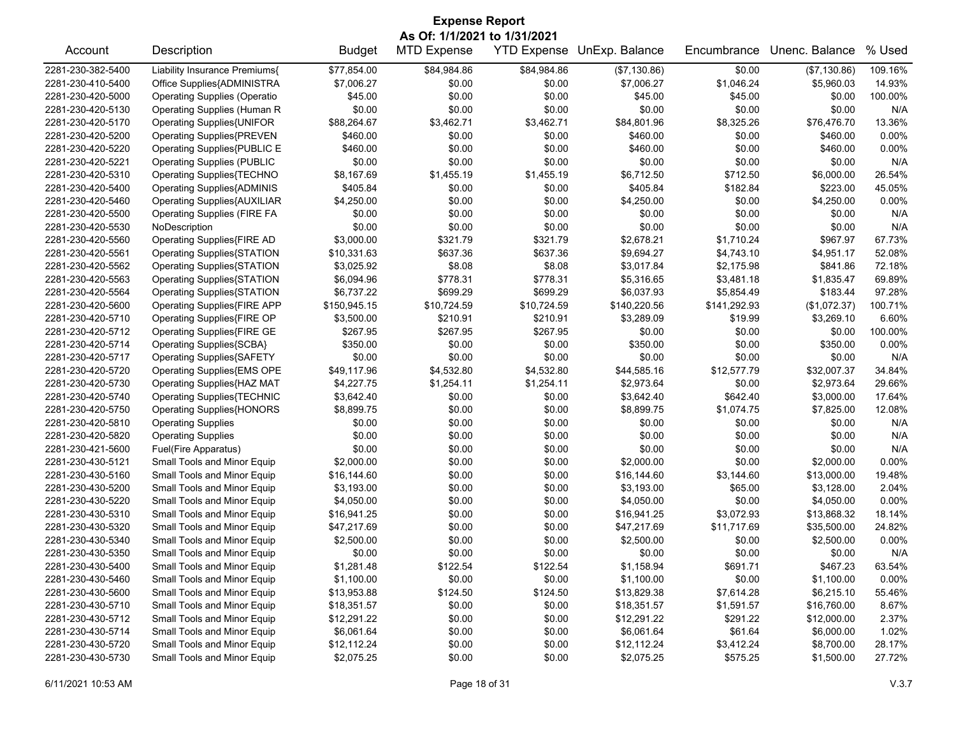| <b>Expense Report</b> |                                     |               |                              |             |                            |              |                |          |  |
|-----------------------|-------------------------------------|---------------|------------------------------|-------------|----------------------------|--------------|----------------|----------|--|
|                       |                                     |               | As Of: 1/1/2021 to 1/31/2021 |             |                            |              |                |          |  |
| Account               | Description                         | <b>Budget</b> | <b>MTD Expense</b>           |             | YTD Expense UnExp. Balance | Encumbrance  | Unenc. Balance | % Used   |  |
| 2281-230-382-5400     | Liability Insurance Premiums{       | \$77,854.00   | \$84,984.86                  | \$84,984.86 | (\$7,130.86)               | \$0.00       | (\$7,130.86)   | 109.16%  |  |
| 2281-230-410-5400     | Office Supplies{ADMINISTRA          | \$7,006.27    | \$0.00                       | \$0.00      | \$7,006.27                 | \$1,046.24   | \$5,960.03     | 14.93%   |  |
| 2281-230-420-5000     | <b>Operating Supplies (Operatio</b> | \$45.00       | \$0.00                       | \$0.00      | \$45.00                    | \$45.00      | \$0.00         | 100.00%  |  |
| 2281-230-420-5130     | Operating Supplies (Human R         | \$0.00        | \$0.00                       | \$0.00      | \$0.00                     | \$0.00       | \$0.00         | N/A      |  |
| 2281-230-420-5170     | Operating Supplies{UNIFOR           | \$88,264.67   | \$3,462.71                   | \$3,462.71  | \$84,801.96                | \$8,325.26   | \$76,476.70    | 13.36%   |  |
| 2281-230-420-5200     | <b>Operating Supplies{PREVEN</b>    | \$460.00      | \$0.00                       | \$0.00      | \$460.00                   | \$0.00       | \$460.00       | $0.00\%$ |  |
| 2281-230-420-5220     | Operating Supplies{PUBLIC E         | \$460.00      | \$0.00                       | \$0.00      | \$460.00                   | \$0.00       | \$460.00       | $0.00\%$ |  |
| 2281-230-420-5221     | <b>Operating Supplies (PUBLIC</b>   | \$0.00        | \$0.00                       | \$0.00      | \$0.00                     | \$0.00       | \$0.00         | N/A      |  |
| 2281-230-420-5310     | Operating Supplies{TECHNO           | \$8,167.69    | \$1,455.19                   | \$1,455.19  | \$6,712.50                 | \$712.50     | \$6,000.00     | 26.54%   |  |
| 2281-230-420-5400     | <b>Operating Supplies{ADMINIS</b>   | \$405.84      | \$0.00                       | \$0.00      | \$405.84                   | \$182.84     | \$223.00       | 45.05%   |  |
| 2281-230-420-5460     | <b>Operating Supplies{AUXILIAR</b>  | \$4,250.00    | \$0.00                       | \$0.00      | \$4,250.00                 | \$0.00       | \$4,250.00     | $0.00\%$ |  |
| 2281-230-420-5500     | <b>Operating Supplies (FIRE FA</b>  | \$0.00        | \$0.00                       | \$0.00      | \$0.00                     | \$0.00       | \$0.00         | N/A      |  |
| 2281-230-420-5530     | NoDescription                       | \$0.00        | \$0.00                       | \$0.00      | \$0.00                     | \$0.00       | \$0.00         | N/A      |  |
| 2281-230-420-5560     | <b>Operating Supplies{FIRE AD</b>   | \$3,000.00    | \$321.79                     | \$321.79    | \$2,678.21                 | \$1,710.24   | \$967.97       | 67.73%   |  |
| 2281-230-420-5561     | <b>Operating Supplies{STATION</b>   | \$10,331.63   | \$637.36                     | \$637.36    | \$9,694.27                 | \$4,743.10   | \$4,951.17     | 52.08%   |  |
| 2281-230-420-5562     | <b>Operating Supplies{STATION</b>   | \$3,025.92    | \$8.08                       | \$8.08      | \$3,017.84                 | \$2,175.98   | \$841.86       | 72.18%   |  |
| 2281-230-420-5563     | <b>Operating Supplies{STATION</b>   | \$6,094.96    | \$778.31                     | \$778.31    | \$5,316.65                 | \$3,481.18   | \$1,835.47     | 69.89%   |  |
| 2281-230-420-5564     | Operating Supplies{STATION          | \$6,737.22    | \$699.29                     | \$699.29    | \$6,037.93                 | \$5,854.49   | \$183.44       | 97.28%   |  |
| 2281-230-420-5600     | <b>Operating Supplies{FIRE APP</b>  | \$150,945.15  | \$10,724.59                  | \$10,724.59 | \$140,220.56               | \$141,292.93 | (\$1,072.37)   | 100.71%  |  |
| 2281-230-420-5710     | Operating Supplies{FIRE OP          | \$3,500.00    | \$210.91                     | \$210.91    | \$3,289.09                 | \$19.99      | \$3,269.10     | 6.60%    |  |
| 2281-230-420-5712     | Operating Supplies{FIRE GE          | \$267.95      | \$267.95                     | \$267.95    | \$0.00                     | \$0.00       | \$0.00         | 100.00%  |  |
| 2281-230-420-5714     | Operating Supplies{SCBA}            | \$350.00      | \$0.00                       | \$0.00      | \$350.00                   | \$0.00       | \$350.00       | $0.00\%$ |  |
| 2281-230-420-5717     | Operating Supplies{SAFETY           | \$0.00        | \$0.00                       | \$0.00      | \$0.00                     | \$0.00       | \$0.00         | N/A      |  |
| 2281-230-420-5720     | Operating Supplies{EMS OPE          | \$49,117.96   | \$4,532.80                   | \$4,532.80  | \$44,585.16                | \$12,577.79  | \$32,007.37    | 34.84%   |  |
| 2281-230-420-5730     | Operating Supplies{HAZ MAT          | \$4,227.75    | \$1,254.11                   | \$1,254.11  | \$2,973.64                 | \$0.00       | \$2,973.64     | 29.66%   |  |
| 2281-230-420-5740     | <b>Operating Supplies{TECHNIC</b>   | \$3,642.40    | \$0.00                       | \$0.00      | \$3,642.40                 | \$642.40     | \$3,000.00     | 17.64%   |  |
| 2281-230-420-5750     | <b>Operating Supplies{HONORS</b>    | \$8,899.75    | \$0.00                       | \$0.00      | \$8,899.75                 | \$1,074.75   | \$7,825.00     | 12.08%   |  |
| 2281-230-420-5810     | <b>Operating Supplies</b>           | \$0.00        | \$0.00                       | \$0.00      | \$0.00                     | \$0.00       | \$0.00         | N/A      |  |
| 2281-230-420-5820     | <b>Operating Supplies</b>           | \$0.00        | \$0.00                       | \$0.00      | \$0.00                     | \$0.00       | \$0.00         | N/A      |  |
| 2281-230-421-5600     | Fuel(Fire Apparatus)                | \$0.00        | \$0.00                       | \$0.00      | \$0.00                     | \$0.00       | \$0.00         | N/A      |  |
| 2281-230-430-5121     | Small Tools and Minor Equip         | \$2,000.00    | \$0.00                       | \$0.00      | \$2,000.00                 | \$0.00       | \$2,000.00     | $0.00\%$ |  |
| 2281-230-430-5160     | Small Tools and Minor Equip         | \$16,144.60   | \$0.00                       | \$0.00      | \$16,144.60                | \$3,144.60   | \$13,000.00    | 19.48%   |  |
| 2281-230-430-5200     | Small Tools and Minor Equip         | \$3,193.00    | \$0.00                       | \$0.00      | \$3,193.00                 | \$65.00      | \$3,128.00     | 2.04%    |  |
| 2281-230-430-5220     | Small Tools and Minor Equip         | \$4,050.00    | \$0.00                       | \$0.00      | \$4,050.00                 | \$0.00       | \$4,050.00     | $0.00\%$ |  |
| 2281-230-430-5310     | Small Tools and Minor Equip         | \$16,941.25   | \$0.00                       | \$0.00      | \$16,941.25                | \$3,072.93   | \$13,868.32    | 18.14%   |  |
| 2281-230-430-5320     | Small Tools and Minor Equip         | \$47,217.69   | \$0.00                       | \$0.00      | \$47,217.69                | \$11,717.69  | \$35,500.00    | 24.82%   |  |
| 2281-230-430-5340     | Small Tools and Minor Equip         | \$2,500.00    | \$0.00                       | \$0.00      | \$2,500.00                 | \$0.00       | \$2,500.00     | 0.00%    |  |
| 2281-230-430-5350     | Small Tools and Minor Equip         | \$0.00        | \$0.00                       | \$0.00      | \$0.00                     | \$0.00       | \$0.00         | N/A      |  |
| 2281-230-430-5400     | Small Tools and Minor Equip         | \$1,281.48    | \$122.54                     | \$122.54    | \$1,158.94                 | \$691.71     | \$467.23       | 63.54%   |  |
| 2281-230-430-5460     | Small Tools and Minor Equip         | \$1,100.00    | \$0.00                       | \$0.00      | \$1,100.00                 | \$0.00       | \$1,100.00     | 0.00%    |  |
| 2281-230-430-5600     | Small Tools and Minor Equip         | \$13,953.88   | \$124.50                     | \$124.50    | \$13,829.38                | \$7,614.28   | \$6,215.10     | 55.46%   |  |
| 2281-230-430-5710     | Small Tools and Minor Equip         | \$18,351.57   | \$0.00                       | \$0.00      | \$18,351.57                | \$1,591.57   | \$16,760.00    | 8.67%    |  |
| 2281-230-430-5712     | Small Tools and Minor Equip         | \$12,291.22   | \$0.00                       | \$0.00      | \$12,291.22                | \$291.22     | \$12,000.00    | 2.37%    |  |
| 2281-230-430-5714     | Small Tools and Minor Equip         | \$6,061.64    | \$0.00                       | \$0.00      | \$6,061.64                 | \$61.64      | \$6,000.00     | 1.02%    |  |
| 2281-230-430-5720     | Small Tools and Minor Equip         | \$12,112.24   | \$0.00                       | \$0.00      | \$12,112.24                | \$3,412.24   | \$8,700.00     | 28.17%   |  |
| 2281-230-430-5730     | Small Tools and Minor Equip         | \$2,075.25    | \$0.00                       | \$0.00      | \$2,075.25                 | \$575.25     | \$1,500.00     | 27.72%   |  |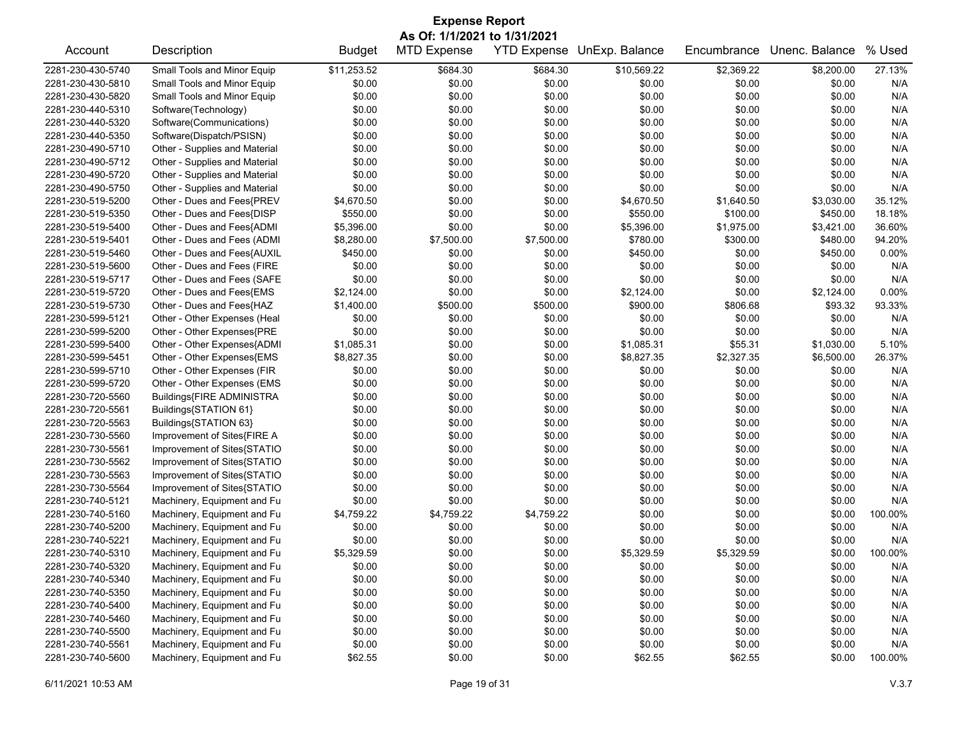| <b>Expense Report</b> |                                                                                                                                                             |             |            |            |             |            |            |         |  |  |
|-----------------------|-------------------------------------------------------------------------------------------------------------------------------------------------------------|-------------|------------|------------|-------------|------------|------------|---------|--|--|
| Account               | As Of: 1/1/2021 to 1/31/2021<br><b>MTD Expense</b><br>YTD Expense UnExp. Balance<br>% Used<br>Description<br><b>Budget</b><br>Encumbrance<br>Unenc. Balance |             |            |            |             |            |            |         |  |  |
|                       |                                                                                                                                                             |             |            |            |             |            |            |         |  |  |
| 2281-230-430-5740     | Small Tools and Minor Equip                                                                                                                                 | \$11,253.52 | \$684.30   | \$684.30   | \$10,569.22 | \$2,369.22 | \$8,200.00 | 27.13%  |  |  |
| 2281-230-430-5810     | Small Tools and Minor Equip                                                                                                                                 | \$0.00      | \$0.00     | \$0.00     | \$0.00      | \$0.00     | \$0.00     | N/A     |  |  |
| 2281-230-430-5820     | Small Tools and Minor Equip                                                                                                                                 | \$0.00      | \$0.00     | \$0.00     | \$0.00      | \$0.00     | \$0.00     | N/A     |  |  |
| 2281-230-440-5310     | Software(Technology)                                                                                                                                        | \$0.00      | \$0.00     | \$0.00     | \$0.00      | \$0.00     | \$0.00     | N/A     |  |  |
| 2281-230-440-5320     | Software(Communications)                                                                                                                                    | \$0.00      | \$0.00     | \$0.00     | \$0.00      | \$0.00     | \$0.00     | N/A     |  |  |
| 2281-230-440-5350     | Software(Dispatch/PSISN)                                                                                                                                    | \$0.00      | \$0.00     | \$0.00     | \$0.00      | \$0.00     | \$0.00     | N/A     |  |  |
| 2281-230-490-5710     | Other - Supplies and Material                                                                                                                               | \$0.00      | \$0.00     | \$0.00     | \$0.00      | \$0.00     | \$0.00     | N/A     |  |  |
| 2281-230-490-5712     | Other - Supplies and Material                                                                                                                               | \$0.00      | \$0.00     | \$0.00     | \$0.00      | \$0.00     | \$0.00     | N/A     |  |  |
| 2281-230-490-5720     | Other - Supplies and Material                                                                                                                               | \$0.00      | \$0.00     | \$0.00     | \$0.00      | \$0.00     | \$0.00     | N/A     |  |  |
| 2281-230-490-5750     | Other - Supplies and Material                                                                                                                               | \$0.00      | \$0.00     | \$0.00     | \$0.00      | \$0.00     | \$0.00     | N/A     |  |  |
| 2281-230-519-5200     | Other - Dues and Fees{PREV                                                                                                                                  | \$4,670.50  | \$0.00     | \$0.00     | \$4,670.50  | \$1,640.50 | \$3,030.00 | 35.12%  |  |  |
| 2281-230-519-5350     | Other - Dues and Fees{DISP                                                                                                                                  | \$550.00    | \$0.00     | \$0.00     | \$550.00    | \$100.00   | \$450.00   | 18.18%  |  |  |
| 2281-230-519-5400     | Other - Dues and Fees{ADMI                                                                                                                                  | \$5,396.00  | \$0.00     | \$0.00     | \$5,396.00  | \$1,975.00 | \$3,421.00 | 36.60%  |  |  |
| 2281-230-519-5401     | Other - Dues and Fees (ADMI                                                                                                                                 | \$8,280.00  | \$7,500.00 | \$7,500.00 | \$780.00    | \$300.00   | \$480.00   | 94.20%  |  |  |
| 2281-230-519-5460     | Other - Dues and Fees{AUXIL                                                                                                                                 | \$450.00    | \$0.00     | \$0.00     | \$450.00    | \$0.00     | \$450.00   | 0.00%   |  |  |
| 2281-230-519-5600     | Other - Dues and Fees (FIRE                                                                                                                                 | \$0.00      | \$0.00     | \$0.00     | \$0.00      | \$0.00     | \$0.00     | N/A     |  |  |
| 2281-230-519-5717     | Other - Dues and Fees (SAFE                                                                                                                                 | \$0.00      | \$0.00     | \$0.00     | \$0.00      | \$0.00     | \$0.00     | N/A     |  |  |
| 2281-230-519-5720     | Other - Dues and Fees{EMS                                                                                                                                   | \$2,124.00  | \$0.00     | \$0.00     | \$2,124.00  | \$0.00     | \$2,124.00 | 0.00%   |  |  |
| 2281-230-519-5730     | Other - Dues and Fees{HAZ                                                                                                                                   | \$1,400.00  | \$500.00   | \$500.00   | \$900.00    | \$806.68   | \$93.32    | 93.33%  |  |  |
| 2281-230-599-5121     | Other - Other Expenses (Heal                                                                                                                                | \$0.00      | \$0.00     | \$0.00     | \$0.00      | \$0.00     | \$0.00     | N/A     |  |  |
| 2281-230-599-5200     | Other - Other Expenses{PRE                                                                                                                                  | \$0.00      | \$0.00     | \$0.00     | \$0.00      | \$0.00     | \$0.00     | N/A     |  |  |
| 2281-230-599-5400     | Other - Other Expenses{ADMI                                                                                                                                 | \$1,085.31  | \$0.00     | \$0.00     | \$1,085.31  | \$55.31    | \$1,030.00 | 5.10%   |  |  |
| 2281-230-599-5451     | Other - Other Expenses{EMS                                                                                                                                  | \$8,827.35  | \$0.00     | \$0.00     | \$8,827.35  | \$2,327.35 | \$6,500.00 | 26.37%  |  |  |
| 2281-230-599-5710     | Other - Other Expenses (FIR                                                                                                                                 | \$0.00      | \$0.00     | \$0.00     | \$0.00      | \$0.00     | \$0.00     | N/A     |  |  |
| 2281-230-599-5720     | Other - Other Expenses (EMS                                                                                                                                 | \$0.00      | \$0.00     | \$0.00     | \$0.00      | \$0.00     | \$0.00     | N/A     |  |  |
| 2281-230-720-5560     | Buildings{FIRE ADMINISTRA                                                                                                                                   | \$0.00      | \$0.00     | \$0.00     | \$0.00      | \$0.00     | \$0.00     | N/A     |  |  |
| 2281-230-720-5561     | Buildings{STATION 61}                                                                                                                                       | \$0.00      | \$0.00     | \$0.00     | \$0.00      | \$0.00     | \$0.00     | N/A     |  |  |
| 2281-230-720-5563     | Buildings{STATION 63}                                                                                                                                       | \$0.00      | \$0.00     | \$0.00     | \$0.00      | \$0.00     | \$0.00     | N/A     |  |  |
| 2281-230-730-5560     | Improvement of Sites{FIRE A                                                                                                                                 | \$0.00      | \$0.00     | \$0.00     | \$0.00      | \$0.00     | \$0.00     | N/A     |  |  |
| 2281-230-730-5561     | Improvement of Sites{STATIO                                                                                                                                 | \$0.00      | \$0.00     | \$0.00     | \$0.00      | \$0.00     | \$0.00     | N/A     |  |  |
| 2281-230-730-5562     | Improvement of Sites{STATIO                                                                                                                                 | \$0.00      | \$0.00     | \$0.00     | \$0.00      | \$0.00     | \$0.00     | N/A     |  |  |
| 2281-230-730-5563     | Improvement of Sites{STATIO                                                                                                                                 | \$0.00      | \$0.00     | \$0.00     | \$0.00      | \$0.00     | \$0.00     | N/A     |  |  |
| 2281-230-730-5564     | Improvement of Sites{STATIO                                                                                                                                 | \$0.00      | \$0.00     | \$0.00     | \$0.00      | \$0.00     | \$0.00     | N/A     |  |  |
| 2281-230-740-5121     | Machinery, Equipment and Fu                                                                                                                                 | \$0.00      | \$0.00     | \$0.00     | \$0.00      | \$0.00     | \$0.00     | N/A     |  |  |
| 2281-230-740-5160     | Machinery, Equipment and Fu                                                                                                                                 | \$4,759.22  | \$4,759.22 | \$4,759.22 | \$0.00      | \$0.00     | \$0.00     | 100.00% |  |  |
| 2281-230-740-5200     | Machinery, Equipment and Fu                                                                                                                                 | \$0.00      | \$0.00     | \$0.00     | \$0.00      | \$0.00     | \$0.00     | N/A     |  |  |
| 2281-230-740-5221     | Machinery, Equipment and Fu                                                                                                                                 | \$0.00      | \$0.00     | \$0.00     | \$0.00      | \$0.00     | \$0.00     | N/A     |  |  |
| 2281-230-740-5310     |                                                                                                                                                             |             |            |            |             |            |            | 100.00% |  |  |
|                       | Machinery, Equipment and Fu                                                                                                                                 | \$5,329.59  | \$0.00     | \$0.00     | \$5,329.59  | \$5,329.59 | \$0.00     |         |  |  |
| 2281-230-740-5320     | Machinery, Equipment and Fu                                                                                                                                 | \$0.00      | \$0.00     | \$0.00     | \$0.00      | \$0.00     | \$0.00     | N/A     |  |  |
| 2281-230-740-5340     | Machinery, Equipment and Fu                                                                                                                                 | \$0.00      | \$0.00     | \$0.00     | \$0.00      | \$0.00     | \$0.00     | N/A     |  |  |
| 2281-230-740-5350     | Machinery, Equipment and Fu                                                                                                                                 | \$0.00      | \$0.00     | \$0.00     | \$0.00      | \$0.00     | \$0.00     | N/A     |  |  |
| 2281-230-740-5400     | Machinery, Equipment and Fu                                                                                                                                 | \$0.00      | \$0.00     | \$0.00     | \$0.00      | \$0.00     | \$0.00     | N/A     |  |  |
| 2281-230-740-5460     | Machinery, Equipment and Fu                                                                                                                                 | \$0.00      | \$0.00     | \$0.00     | \$0.00      | \$0.00     | \$0.00     | N/A     |  |  |
| 2281-230-740-5500     | Machinery, Equipment and Fu                                                                                                                                 | \$0.00      | \$0.00     | \$0.00     | \$0.00      | \$0.00     | \$0.00     | N/A     |  |  |
| 2281-230-740-5561     | Machinery, Equipment and Fu                                                                                                                                 | \$0.00      | \$0.00     | \$0.00     | \$0.00      | \$0.00     | \$0.00     | N/A     |  |  |
| 2281-230-740-5600     | Machinery, Equipment and Fu                                                                                                                                 | \$62.55     | \$0.00     | \$0.00     | \$62.55     | \$62.55    | \$0.00     | 100.00% |  |  |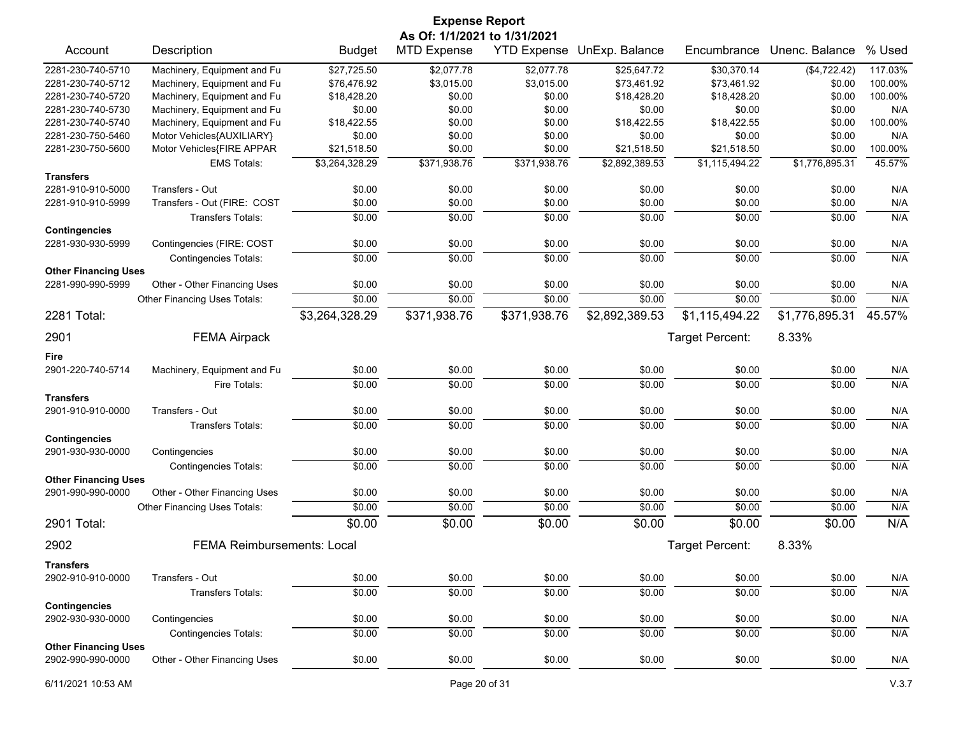| <b>Expense Report</b><br>As Of: 1/1/2021 to 1/31/2021                                        |                                                                                       |                                      |                                      |                                      |                                      |                                                         |                                      |                   |
|----------------------------------------------------------------------------------------------|---------------------------------------------------------------------------------------|--------------------------------------|--------------------------------------|--------------------------------------|--------------------------------------|---------------------------------------------------------|--------------------------------------|-------------------|
| Account                                                                                      | Description                                                                           | <b>Budget</b>                        | <b>MTD Expense</b>                   |                                      | YTD Expense UnExp. Balance           | Encumbrance                                             | Unenc. Balance                       | % Used            |
| 2281-230-740-5710                                                                            | Machinery, Equipment and Fu                                                           | \$27,725.50                          | \$2,077.78                           | \$2,077.78                           | \$25,647.72                          | \$30,370.14                                             | (\$4,722.42)                         | 117.03%           |
| 2281-230-740-5712                                                                            | Machinery, Equipment and Fu                                                           | \$76,476.92                          | \$3,015.00                           | \$3,015.00                           | \$73,461.92                          | \$73,461.92                                             | \$0.00                               | 100.00%           |
| 2281-230-740-5720                                                                            | Machinery, Equipment and Fu                                                           | \$18,428.20                          | \$0.00                               | \$0.00                               | \$18,428.20                          | \$18,428.20                                             | \$0.00                               | 100.00%           |
| 2281-230-740-5730                                                                            | Machinery, Equipment and Fu                                                           | \$0.00                               | \$0.00                               | \$0.00                               | \$0.00                               | \$0.00                                                  | \$0.00                               | N/A               |
| 2281-230-740-5740                                                                            | Machinery, Equipment and Fu                                                           | \$18,422.55                          | \$0.00                               | \$0.00                               | \$18,422.55                          | \$18,422.55                                             | \$0.00                               | 100.00%           |
| 2281-230-750-5460                                                                            | Motor Vehicles{AUXILIARY}                                                             | \$0.00                               | \$0.00                               | \$0.00                               | \$0.00                               | \$0.00                                                  | \$0.00                               | N/A               |
| 2281-230-750-5600                                                                            | Motor Vehicles{FIRE APPAR                                                             | \$21,518.50                          | \$0.00                               | \$0.00                               | \$21,518.50                          | \$21,518.50                                             | \$0.00                               | 100.00%           |
|                                                                                              | <b>EMS Totals:</b>                                                                    | \$3,264,328.29                       | \$371,938.76                         | \$371,938.76                         | \$2,892,389.53                       | \$1,115,494.22                                          | \$1,776,895.31                       | 45.57%            |
| <b>Transfers</b>                                                                             |                                                                                       |                                      |                                      |                                      |                                      |                                                         |                                      |                   |
| 2281-910-910-5000                                                                            | Transfers - Out                                                                       | \$0.00                               | \$0.00                               | \$0.00                               | \$0.00                               | \$0.00                                                  | \$0.00                               | N/A               |
| 2281-910-910-5999                                                                            | Transfers - Out (FIRE: COST                                                           | \$0.00                               | \$0.00                               | \$0.00                               | \$0.00                               | \$0.00                                                  | \$0.00                               | N/A               |
| <b>Contingencies</b>                                                                         | <b>Transfers Totals:</b>                                                              | \$0.00                               | \$0.00                               | \$0.00                               | \$0.00                               | \$0.00                                                  | \$0.00                               | N/A               |
| 2281-930-930-5999                                                                            | Contingencies (FIRE: COST                                                             | \$0.00                               | \$0.00                               | \$0.00                               | \$0.00                               | \$0.00                                                  | \$0.00                               | N/A               |
|                                                                                              | <b>Contingencies Totals:</b>                                                          | \$0.00                               | \$0.00                               | \$0.00                               | \$0.00                               | \$0.00                                                  | \$0.00                               | N/A               |
| <b>Other Financing Uses</b>                                                                  |                                                                                       |                                      |                                      |                                      |                                      |                                                         |                                      |                   |
| 2281-990-990-5999                                                                            | Other - Other Financing Uses                                                          | \$0.00                               | \$0.00                               | \$0.00                               | \$0.00                               | \$0.00                                                  | \$0.00                               | N/A               |
|                                                                                              | Other Financing Uses Totals:                                                          | \$0.00                               | \$0.00                               | \$0.00                               | \$0.00                               | \$0.00                                                  | \$0.00                               | N/A               |
| 2281 Total:                                                                                  |                                                                                       | \$3,264,328.29                       | \$371,938.76                         | \$371,938.76                         | \$2,892,389.53                       | \$1,115,494.22                                          | \$1,776,895.31                       | 45.57%            |
| 2901                                                                                         | <b>FEMA Airpack</b>                                                                   |                                      |                                      |                                      |                                      | Target Percent:                                         | 8.33%                                |                   |
| Fire                                                                                         |                                                                                       |                                      |                                      |                                      |                                      |                                                         |                                      |                   |
| 2901-220-740-5714                                                                            | Machinery, Equipment and Fu                                                           | \$0.00                               | \$0.00                               | \$0.00                               | \$0.00                               | \$0.00                                                  | \$0.00                               | N/A               |
|                                                                                              | Fire Totals:                                                                          | \$0.00                               | \$0.00                               | \$0.00                               | \$0.00                               | \$0.00                                                  | \$0.00                               | N/A               |
| <b>Transfers</b>                                                                             |                                                                                       |                                      |                                      |                                      |                                      |                                                         |                                      |                   |
| 2901-910-910-0000                                                                            | Transfers - Out                                                                       | \$0.00                               | \$0.00                               | \$0.00                               | \$0.00                               | \$0.00                                                  | \$0.00                               | N/A               |
|                                                                                              | <b>Transfers Totals:</b>                                                              | \$0.00                               | \$0.00                               | \$0.00                               | \$0.00                               | \$0.00                                                  | \$0.00                               | N/A               |
| <b>Contingencies</b>                                                                         |                                                                                       |                                      |                                      |                                      |                                      |                                                         |                                      |                   |
| 2901-930-930-0000                                                                            | Contingencies                                                                         | \$0.00                               | \$0.00                               | \$0.00                               | \$0.00                               | \$0.00                                                  | \$0.00                               | N/A               |
|                                                                                              | <b>Contingencies Totals:</b>                                                          | \$0.00                               | \$0.00                               | \$0.00                               | \$0.00                               | \$0.00                                                  | \$0.00                               | N/A               |
| <b>Other Financing Uses</b>                                                                  |                                                                                       |                                      |                                      |                                      |                                      |                                                         |                                      |                   |
| 2901-990-990-0000                                                                            | Other - Other Financing Uses                                                          | \$0.00                               | \$0.00                               | \$0.00                               | \$0.00                               | \$0.00                                                  | \$0.00                               | N/A               |
|                                                                                              | Other Financing Uses Totals:                                                          | \$0.00                               | \$0.00                               | \$0.00                               | \$0.00                               | \$0.00                                                  | \$0.00                               | N/A               |
| 2901 Total:                                                                                  |                                                                                       | \$0.00                               | \$0.00                               | \$0.00                               | \$0.00                               | \$0.00                                                  | \$0.00                               | N/A               |
| 2902                                                                                         | <b>FEMA Reimbursements: Local</b>                                                     |                                      |                                      |                                      |                                      |                                                         | 8.33%                                |                   |
|                                                                                              |                                                                                       |                                      |                                      |                                      |                                      |                                                         |                                      |                   |
|                                                                                              |                                                                                       |                                      |                                      |                                      |                                      |                                                         |                                      |                   |
|                                                                                              |                                                                                       |                                      |                                      |                                      |                                      |                                                         |                                      |                   |
|                                                                                              |                                                                                       |                                      |                                      |                                      |                                      |                                                         |                                      |                   |
| 2902-930-930-0000                                                                            |                                                                                       |                                      |                                      |                                      |                                      |                                                         |                                      | N/A               |
|                                                                                              |                                                                                       |                                      |                                      |                                      |                                      |                                                         |                                      |                   |
|                                                                                              |                                                                                       |                                      |                                      |                                      |                                      |                                                         |                                      |                   |
| 2902-990-990-0000                                                                            | Other - Other Financing Uses                                                          | \$0.00                               | \$0.00                               | \$0.00                               | \$0.00                               | \$0.00                                                  | \$0.00                               | N/A               |
| <b>Transfers</b><br>2902-910-910-0000<br><b>Contingencies</b><br><b>Other Financing Uses</b> | Transfers - Out<br>Transfers Totals:<br>Contingencies<br><b>Contingencies Totals:</b> | \$0.00<br>\$0.00<br>\$0.00<br>\$0.00 | \$0.00<br>\$0.00<br>\$0.00<br>\$0.00 | \$0.00<br>\$0.00<br>\$0.00<br>\$0.00 | \$0.00<br>\$0.00<br>\$0.00<br>\$0.00 | Target Percent:<br>\$0.00<br>\$0.00<br>\$0.00<br>\$0.00 | \$0.00<br>\$0.00<br>\$0.00<br>\$0.00 | N/A<br>N/A<br>N/A |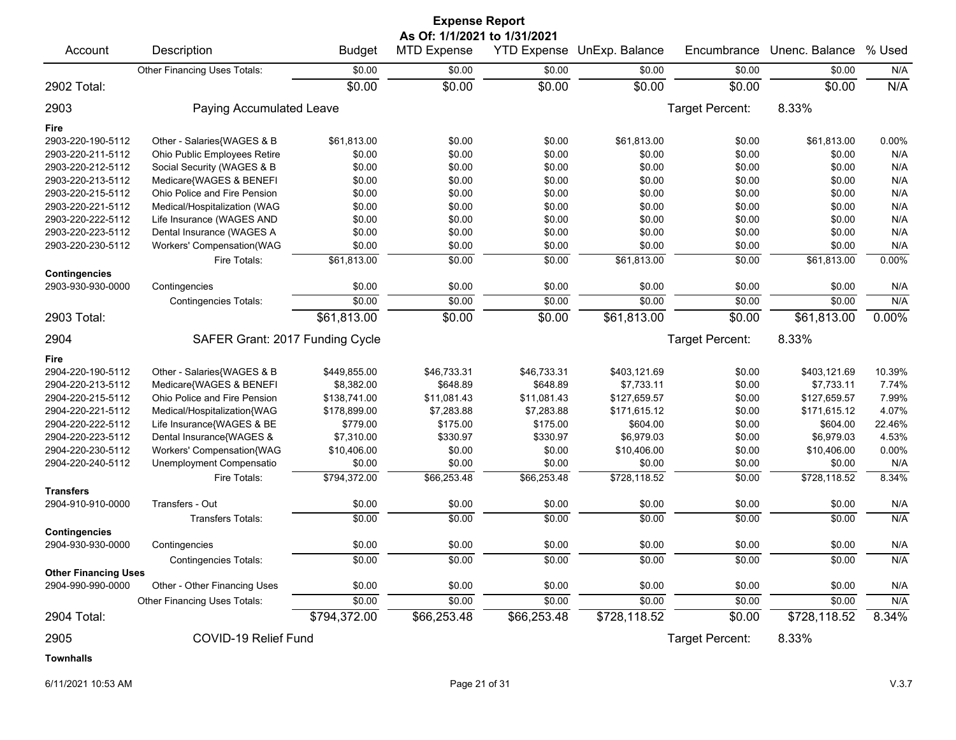|                             |                                 |               | <b>Expense Report</b>        |                    |                |                        |                |        |
|-----------------------------|---------------------------------|---------------|------------------------------|--------------------|----------------|------------------------|----------------|--------|
|                             |                                 |               | As Of: 1/1/2021 to 1/31/2021 |                    |                |                        |                |        |
| Account                     | Description                     | <b>Budget</b> | <b>MTD Expense</b>           | <b>YTD Expense</b> | UnExp. Balance | Encumbrance            | Unenc. Balance | % Used |
|                             | Other Financing Uses Totals:    | \$0.00        | \$0.00                       | \$0.00             | \$0.00         | \$0.00                 | \$0.00         | N/A    |
| 2902 Total:                 |                                 | \$0.00        | \$0.00                       | \$0.00             | \$0.00         | \$0.00                 | \$0.00         | N/A    |
| 2903                        | Paying Accumulated Leave        |               |                              |                    |                | Target Percent:        | 8.33%          |        |
| Fire                        |                                 |               |                              |                    |                |                        |                |        |
| 2903-220-190-5112           | Other - Salaries{WAGES & B      | \$61,813.00   | \$0.00                       | \$0.00             | \$61,813.00    | \$0.00                 | \$61,813.00    | 0.00%  |
| 2903-220-211-5112           | Ohio Public Employees Retire    | \$0.00        | \$0.00                       | \$0.00             | \$0.00         | \$0.00                 | \$0.00         | N/A    |
| 2903-220-212-5112           | Social Security (WAGES & B      | \$0.00        | \$0.00                       | \$0.00             | \$0.00         | \$0.00                 | \$0.00         | N/A    |
| 2903-220-213-5112           | Medicare{WAGES & BENEFI         | \$0.00        | \$0.00                       | \$0.00             | \$0.00         | \$0.00                 | \$0.00         | N/A    |
| 2903-220-215-5112           | Ohio Police and Fire Pension    | \$0.00        | \$0.00                       | \$0.00             | \$0.00         | \$0.00                 | \$0.00         | N/A    |
| 2903-220-221-5112           | Medical/Hospitalization (WAG    | \$0.00        | \$0.00                       | \$0.00             | \$0.00         | \$0.00                 | \$0.00         | N/A    |
| 2903-220-222-5112           | Life Insurance (WAGES AND       | \$0.00        | \$0.00                       | \$0.00             | \$0.00         | \$0.00                 | \$0.00         | N/A    |
| 2903-220-223-5112           | Dental Insurance (WAGES A       | \$0.00        | \$0.00                       | \$0.00             | \$0.00         | \$0.00                 | \$0.00         | N/A    |
| 2903-220-230-5112           | Workers' Compensation(WAG       | \$0.00        | \$0.00                       | \$0.00             | \$0.00         | \$0.00                 | \$0.00         | N/A    |
|                             | Fire Totals:                    | \$61,813.00   | \$0.00                       | \$0.00             | \$61,813.00    | \$0.00                 | \$61,813.00    | 0.00%  |
| <b>Contingencies</b>        |                                 |               |                              |                    |                |                        |                |        |
| 2903-930-930-0000           | Contingencies                   | \$0.00        | \$0.00                       | \$0.00             | \$0.00         | \$0.00                 | \$0.00         | N/A    |
|                             | <b>Contingencies Totals:</b>    | \$0.00        | \$0.00                       | \$0.00             | \$0.00         | \$0.00                 | \$0.00         | N/A    |
| 2903 Total:                 |                                 | \$61,813.00   | \$0.00                       | \$0.00             | \$61,813.00    | \$0.00                 | \$61,813.00    | 0.00%  |
| 2904                        | SAFER Grant: 2017 Funding Cycle |               |                              |                    |                | <b>Target Percent:</b> | 8.33%          |        |
| Fire                        |                                 |               |                              |                    |                |                        |                |        |
| 2904-220-190-5112           | Other - Salaries{WAGES & B      | \$449,855.00  | \$46,733.31                  | \$46,733.31        | \$403,121.69   | \$0.00                 | \$403,121.69   | 10.39% |
| 2904-220-213-5112           | Medicare{WAGES & BENEFI         | \$8,382.00    | \$648.89                     | \$648.89           | \$7,733.11     | \$0.00                 | \$7,733.11     | 7.74%  |
| 2904-220-215-5112           | Ohio Police and Fire Pension    | \$138,741.00  | \$11,081.43                  | \$11,081.43        | \$127,659.57   | \$0.00                 | \$127,659.57   | 7.99%  |
| 2904-220-221-5112           | Medical/Hospitalization{WAG     | \$178,899.00  | \$7,283.88                   | \$7,283.88         | \$171,615.12   | \$0.00                 | \$171,615.12   | 4.07%  |
| 2904-220-222-5112           | Life Insurance{WAGES & BE       | \$779.00      | \$175.00                     | \$175.00           | \$604.00       | \$0.00                 | \$604.00       | 22.46% |
| 2904-220-223-5112           | Dental Insurance{WAGES &        | \$7,310.00    | \$330.97                     | \$330.97           | \$6,979.03     | \$0.00                 | \$6,979.03     | 4.53%  |
| 2904-220-230-5112           | Workers' Compensation{WAG       | \$10,406.00   | \$0.00                       | \$0.00             | \$10,406.00    | \$0.00                 | \$10,406.00    | 0.00%  |
| 2904-220-240-5112           | Unemployment Compensatio        | \$0.00        | \$0.00                       | \$0.00             | \$0.00         | \$0.00                 | \$0.00         | N/A    |
|                             | Fire Totals:                    | \$794,372.00  | \$66,253.48                  | \$66,253.48        | \$728,118.52   | \$0.00                 | \$728,118.52   | 8.34%  |
| <b>Transfers</b>            |                                 |               |                              |                    |                |                        |                |        |
| 2904-910-910-0000           | Transfers - Out                 | \$0.00        | \$0.00                       | \$0.00             | \$0.00         | \$0.00                 | \$0.00         | N/A    |
|                             | Transfers Totals:               | \$0.00        | \$0.00                       | \$0.00             | \$0.00         | \$0.00                 | \$0.00         | N/A    |
| <b>Contingencies</b>        |                                 |               |                              |                    |                |                        |                |        |
| 2904-930-930-0000           | Contingencies                   | \$0.00        | \$0.00                       | \$0.00             | \$0.00         | \$0.00                 | \$0.00         | N/A    |
|                             | <b>Contingencies Totals:</b>    | \$0.00        | \$0.00                       | \$0.00             | \$0.00         | \$0.00                 | \$0.00         | N/A    |
| <b>Other Financing Uses</b> |                                 |               |                              |                    |                |                        |                |        |
| 2904-990-990-0000           | Other - Other Financing Uses    | \$0.00        | \$0.00                       | \$0.00             | \$0.00         | \$0.00                 | \$0.00         | N/A    |
|                             | Other Financing Uses Totals:    | \$0.00        | \$0.00                       | \$0.00             | \$0.00         | \$0.00                 | \$0.00         | N/A    |
| 2904 Total:                 |                                 | \$794,372.00  | \$66,253.48                  | \$66,253.48        | \$728,118.52   | \$0.00                 | \$728,118.52   | 8.34%  |
| 2905                        | COVID-19 Relief Fund            |               |                              |                    |                | Target Percent:        | 8.33%          |        |
| <b>Townhalls</b>            |                                 |               |                              |                    |                |                        |                |        |

6/11/2021 10:53 AM Page 21 of 31 V.3.7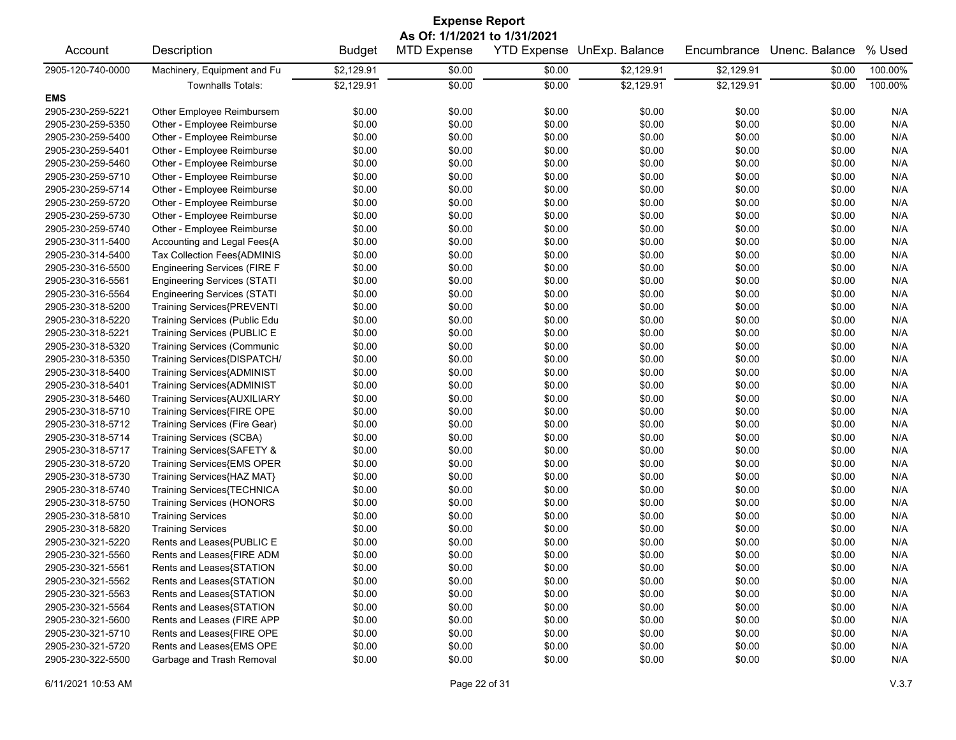| <b>Expense Report</b>                  |                                     |               |                              |                    |                |             |                |         |  |
|----------------------------------------|-------------------------------------|---------------|------------------------------|--------------------|----------------|-------------|----------------|---------|--|
|                                        |                                     |               | As Of: 1/1/2021 to 1/31/2021 |                    |                |             |                |         |  |
| Account                                | Description                         | <b>Budget</b> | <b>MTD Expense</b>           | <b>YTD Expense</b> | UnExp. Balance | Encumbrance | Unenc. Balance | % Used  |  |
| 2905-120-740-0000                      | Machinery, Equipment and Fu         | \$2,129.91    | \$0.00                       | \$0.00             | \$2,129.91     | \$2,129.91  | \$0.00         | 100.00% |  |
|                                        | <b>Townhalls Totals:</b>            | \$2,129.91    | \$0.00                       | \$0.00             | \$2,129.91     | \$2,129.91  | \$0.00         | 100.00% |  |
| <b>EMS</b>                             |                                     |               |                              |                    |                |             |                |         |  |
| 2905-230-259-5221                      | Other Employee Reimbursem           | \$0.00        | \$0.00                       | \$0.00             | \$0.00         | \$0.00      | \$0.00         | N/A     |  |
| 2905-230-259-5350                      | Other - Employee Reimburse          | \$0.00        | \$0.00                       | \$0.00             | \$0.00         | \$0.00      | \$0.00         | N/A     |  |
| 2905-230-259-5400                      | Other - Employee Reimburse          | \$0.00        | \$0.00                       | \$0.00             | \$0.00         | \$0.00      | \$0.00         | N/A     |  |
| 2905-230-259-5401                      | Other - Employee Reimburse          | \$0.00        | \$0.00                       | \$0.00             | \$0.00         | \$0.00      | \$0.00         | N/A     |  |
| 2905-230-259-5460                      | Other - Employee Reimburse          | \$0.00        | \$0.00                       | \$0.00             | \$0.00         | \$0.00      | \$0.00         | N/A     |  |
| 2905-230-259-5710                      | Other - Employee Reimburse          | \$0.00        | \$0.00                       | \$0.00             | \$0.00         | \$0.00      | \$0.00         | N/A     |  |
| 2905-230-259-5714                      | Other - Employee Reimburse          | \$0.00        | \$0.00                       | \$0.00             | \$0.00         | \$0.00      | \$0.00         | N/A     |  |
| 2905-230-259-5720                      | Other - Employee Reimburse          | \$0.00        | \$0.00                       | \$0.00             | \$0.00         | \$0.00      | \$0.00         | N/A     |  |
| 2905-230-259-5730                      | Other - Employee Reimburse          | \$0.00        | \$0.00                       | \$0.00             | \$0.00         | \$0.00      | \$0.00         | N/A     |  |
| 2905-230-259-5740                      | Other - Employee Reimburse          | \$0.00        | \$0.00                       | \$0.00             | \$0.00         | \$0.00      | \$0.00         | N/A     |  |
| 2905-230-311-5400                      | Accounting and Legal Fees{A         | \$0.00        | \$0.00                       | \$0.00             | \$0.00         | \$0.00      | \$0.00         | N/A     |  |
| 2905-230-314-5400                      | Tax Collection Fees{ADMINIS         | \$0.00        | \$0.00                       | \$0.00             | \$0.00         | \$0.00      | \$0.00         | N/A     |  |
| 2905-230-316-5500                      | <b>Engineering Services (FIRE F</b> | \$0.00        | \$0.00                       | \$0.00             | \$0.00         | \$0.00      | \$0.00         | N/A     |  |
| 2905-230-316-5561                      | <b>Engineering Services (STATI</b>  | \$0.00        | \$0.00                       | \$0.00             | \$0.00         | \$0.00      | \$0.00         | N/A     |  |
| 2905-230-316-5564                      | <b>Engineering Services (STATI</b>  | \$0.00        | \$0.00                       | \$0.00             | \$0.00         | \$0.00      | \$0.00         | N/A     |  |
| 2905-230-318-5200                      | <b>Training Services{PREVENTI</b>   | \$0.00        | \$0.00                       | \$0.00             | \$0.00         | \$0.00      | \$0.00         | N/A     |  |
| 2905-230-318-5220                      | Training Services (Public Edu       | \$0.00        | \$0.00                       | \$0.00             | \$0.00         | \$0.00      | \$0.00         | N/A     |  |
| 2905-230-318-5221                      | Training Services (PUBLIC E         | \$0.00        | \$0.00                       | \$0.00             | \$0.00         | \$0.00      | \$0.00         | N/A     |  |
| 2905-230-318-5320                      | <b>Training Services (Communic</b>  | \$0.00        | \$0.00                       | \$0.00             | \$0.00         | \$0.00      | \$0.00         | N/A     |  |
| 2905-230-318-5350                      | Training Services{DISPATCH/         | \$0.00        | \$0.00                       | \$0.00             | \$0.00         | \$0.00      | \$0.00         | N/A     |  |
| 2905-230-318-5400                      | <b>Training Services{ADMINIST</b>   | \$0.00        | \$0.00                       | \$0.00             | \$0.00         | \$0.00      | \$0.00         | N/A     |  |
| 2905-230-318-5401                      | Training Services{ADMINIST          | \$0.00        | \$0.00                       | \$0.00             | \$0.00         | \$0.00      | \$0.00         | N/A     |  |
| 2905-230-318-5460                      | Training Services{AUXILIARY         | \$0.00        | \$0.00                       | \$0.00             | \$0.00         | \$0.00      | \$0.00         | N/A     |  |
| 2905-230-318-5710                      | Training Services{FIRE OPE          | \$0.00        | \$0.00                       | \$0.00             | \$0.00         | \$0.00      | \$0.00         | N/A     |  |
| 2905-230-318-5712                      | Training Services (Fire Gear)       | \$0.00        | \$0.00                       | \$0.00             | \$0.00         | \$0.00      | \$0.00         | N/A     |  |
| 2905-230-318-5714                      | Training Services (SCBA)            | \$0.00        | \$0.00                       | \$0.00             | \$0.00         | \$0.00      | \$0.00         | N/A     |  |
| 2905-230-318-5717                      | Training Services{SAFETY &          | \$0.00        | \$0.00                       | \$0.00             | \$0.00         | \$0.00      | \$0.00         | N/A     |  |
| 2905-230-318-5720                      | Training Services{EMS OPER          | \$0.00        | \$0.00                       | \$0.00             | \$0.00         | \$0.00      | \$0.00         | N/A     |  |
| 2905-230-318-5730                      | Training Services{HAZ MAT}          | \$0.00        | \$0.00                       | \$0.00             | \$0.00         | \$0.00      | \$0.00         | N/A     |  |
| 2905-230-318-5740                      | Training Services{TECHNICA          | \$0.00        | \$0.00                       | \$0.00             | \$0.00         | \$0.00      | \$0.00         | N/A     |  |
| 2905-230-318-5750                      | <b>Training Services (HONORS</b>    | \$0.00        | \$0.00                       | \$0.00             | \$0.00         | \$0.00      | \$0.00         | N/A     |  |
| 2905-230-318-5810                      | <b>Training Services</b>            | \$0.00        | \$0.00                       | \$0.00             | \$0.00         | \$0.00      | \$0.00         | N/A     |  |
| 2905-230-318-5820                      | <b>Training Services</b>            | \$0.00        | \$0.00                       | \$0.00             | \$0.00         | \$0.00      | \$0.00         | N/A     |  |
| 2905-230-321-5220                      | Rents and Leases{PUBLIC E           | \$0.00        | \$0.00                       | \$0.00             | \$0.00         | \$0.00      | \$0.00         | N/A     |  |
| 2905-230-321-5560                      | Rents and Leases{FIRE ADM           | \$0.00        | \$0.00                       | \$0.00             | \$0.00         | \$0.00      | \$0.00         | N/A     |  |
| 2905-230-321-5561                      | Rents and Leases{STATION            | \$0.00        | \$0.00                       | \$0.00             | \$0.00         | \$0.00      | \$0.00         | N/A     |  |
| 2905-230-321-5562                      | Rents and Leases{STATION            | \$0.00        | \$0.00                       | \$0.00             | \$0.00         | \$0.00      | \$0.00         | N/A     |  |
| 2905-230-321-5563                      | Rents and Leases{STATION            | \$0.00        | \$0.00                       | \$0.00             | \$0.00         | \$0.00      | \$0.00         | N/A     |  |
| 2905-230-321-5564                      | Rents and Leases{STATION            | \$0.00        | \$0.00                       | \$0.00             | \$0.00         | \$0.00      | \$0.00         | N/A     |  |
| 2905-230-321-5600                      | Rents and Leases (FIRE APP          | \$0.00        | \$0.00                       | \$0.00             | \$0.00         | \$0.00      | \$0.00         | N/A     |  |
| 2905-230-321-5710                      | Rents and Leases{FIRE OPE           |               | \$0.00                       |                    |                |             |                |         |  |
|                                        | Rents and Leases{EMS OPE            | \$0.00        |                              | \$0.00             | \$0.00         | \$0.00      | \$0.00         | N/A     |  |
| 2905-230-321-5720<br>2905-230-322-5500 | Garbage and Trash Removal           | \$0.00        | \$0.00                       | \$0.00             | \$0.00         | \$0.00      | \$0.00         | N/A     |  |
|                                        |                                     | \$0.00        | \$0.00                       | \$0.00             | \$0.00         | \$0.00      | \$0.00         | N/A     |  |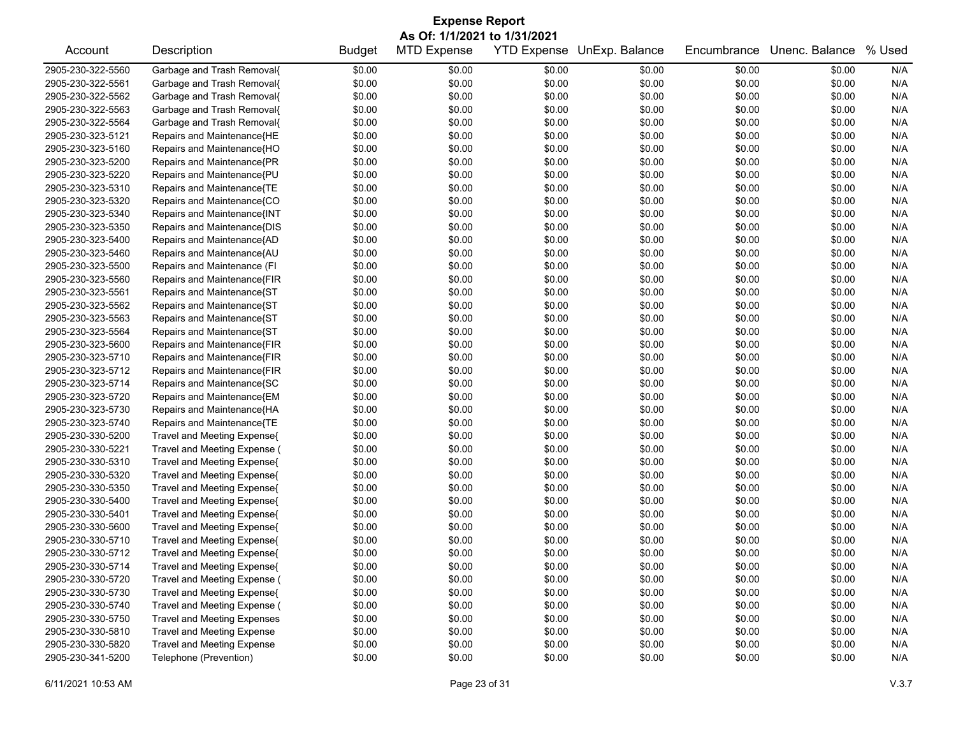| <b>Expense Report</b> |                                    |               |                    |                    |                |             |                |        |  |  |
|-----------------------|------------------------------------|---------------|--------------------|--------------------|----------------|-------------|----------------|--------|--|--|
|                       | As Of: 1/1/2021 to 1/31/2021       |               |                    |                    |                |             |                |        |  |  |
| Account               | Description                        | <b>Budget</b> | <b>MTD Expense</b> | <b>YTD Expense</b> | UnExp. Balance | Encumbrance | Unenc. Balance | % Used |  |  |
| 2905-230-322-5560     | Garbage and Trash Removal{         | \$0.00        | \$0.00             | \$0.00             | \$0.00         | \$0.00      | \$0.00         | N/A    |  |  |
| 2905-230-322-5561     | Garbage and Trash Removal{         | \$0.00        | \$0.00             | \$0.00             | \$0.00         | \$0.00      | \$0.00         | N/A    |  |  |
| 2905-230-322-5562     | Garbage and Trash Removal{         | \$0.00        | \$0.00             | \$0.00             | \$0.00         | \$0.00      | \$0.00         | N/A    |  |  |
| 2905-230-322-5563     | Garbage and Trash Removal{         | \$0.00        | \$0.00             | \$0.00             | \$0.00         | \$0.00      | \$0.00         | N/A    |  |  |
| 2905-230-322-5564     | Garbage and Trash Removal{         | \$0.00        | \$0.00             | \$0.00             | \$0.00         | \$0.00      | \$0.00         | N/A    |  |  |
| 2905-230-323-5121     | Repairs and Maintenance{HE         | \$0.00        | \$0.00             | \$0.00             | \$0.00         | \$0.00      | \$0.00         | N/A    |  |  |
| 2905-230-323-5160     | Repairs and Maintenance{HO         | \$0.00        | \$0.00             | \$0.00             | \$0.00         | \$0.00      | \$0.00         | N/A    |  |  |
| 2905-230-323-5200     | Repairs and Maintenance{PR         | \$0.00        | \$0.00             | \$0.00             | \$0.00         | \$0.00      | \$0.00         | N/A    |  |  |
| 2905-230-323-5220     | Repairs and Maintenance{PU         | \$0.00        | \$0.00             | \$0.00             | \$0.00         | \$0.00      | \$0.00         | N/A    |  |  |
| 2905-230-323-5310     | Repairs and Maintenance{TE         | \$0.00        | \$0.00             | \$0.00             | \$0.00         | \$0.00      | \$0.00         | N/A    |  |  |
| 2905-230-323-5320     | Repairs and Maintenance{CO         | \$0.00        | \$0.00             | \$0.00             | \$0.00         | \$0.00      | \$0.00         | N/A    |  |  |
| 2905-230-323-5340     | Repairs and Maintenance{INT        | \$0.00        | \$0.00             | \$0.00             | \$0.00         | \$0.00      | \$0.00         | N/A    |  |  |
| 2905-230-323-5350     | Repairs and Maintenance{DIS        | \$0.00        | \$0.00             | \$0.00             | \$0.00         | \$0.00      | \$0.00         | N/A    |  |  |
| 2905-230-323-5400     | Repairs and Maintenance{AD         | \$0.00        | \$0.00             | \$0.00             | \$0.00         | \$0.00      | \$0.00         | N/A    |  |  |
| 2905-230-323-5460     | Repairs and Maintenance{AU         | \$0.00        | \$0.00             | \$0.00             | \$0.00         | \$0.00      | \$0.00         | N/A    |  |  |
| 2905-230-323-5500     | Repairs and Maintenance (FI        | \$0.00        | \$0.00             | \$0.00             | \$0.00         | \$0.00      | \$0.00         | N/A    |  |  |
| 2905-230-323-5560     | Repairs and Maintenance{FIR        | \$0.00        | \$0.00             | \$0.00             | \$0.00         | \$0.00      | \$0.00         | N/A    |  |  |
| 2905-230-323-5561     | Repairs and Maintenance{ST         | \$0.00        | \$0.00             | \$0.00             | \$0.00         | \$0.00      | \$0.00         | N/A    |  |  |
| 2905-230-323-5562     | Repairs and Maintenance{ST         | \$0.00        | \$0.00             | \$0.00             | \$0.00         | \$0.00      | \$0.00         | N/A    |  |  |
| 2905-230-323-5563     | Repairs and Maintenance{ST         | \$0.00        | \$0.00             | \$0.00             | \$0.00         | \$0.00      | \$0.00         | N/A    |  |  |
| 2905-230-323-5564     | Repairs and Maintenance{ST         | \$0.00        | \$0.00             | \$0.00             | \$0.00         | \$0.00      | \$0.00         | N/A    |  |  |
| 2905-230-323-5600     | Repairs and Maintenance{FIR        | \$0.00        | \$0.00             | \$0.00             | \$0.00         | \$0.00      | \$0.00         | N/A    |  |  |
| 2905-230-323-5710     | Repairs and Maintenance{FIR        | \$0.00        | \$0.00             | \$0.00             | \$0.00         | \$0.00      | \$0.00         | N/A    |  |  |
| 2905-230-323-5712     | Repairs and Maintenance{FIR        | \$0.00        | \$0.00             | \$0.00             | \$0.00         | \$0.00      | \$0.00         | N/A    |  |  |
| 2905-230-323-5714     | Repairs and Maintenance{SC         | \$0.00        | \$0.00             | \$0.00             | \$0.00         | \$0.00      | \$0.00         | N/A    |  |  |
| 2905-230-323-5720     | Repairs and Maintenance{EM         | \$0.00        | \$0.00             | \$0.00             | \$0.00         | \$0.00      | \$0.00         | N/A    |  |  |
| 2905-230-323-5730     | Repairs and Maintenance{HA         | \$0.00        | \$0.00             | \$0.00             | \$0.00         | \$0.00      | \$0.00         | N/A    |  |  |
| 2905-230-323-5740     | Repairs and Maintenance{TE         | \$0.00        | \$0.00             | \$0.00             | \$0.00         | \$0.00      | \$0.00         | N/A    |  |  |
| 2905-230-330-5200     | Travel and Meeting Expense{        | \$0.00        | \$0.00             | \$0.00             | \$0.00         | \$0.00      | \$0.00         | N/A    |  |  |
| 2905-230-330-5221     | Travel and Meeting Expense (       | \$0.00        | \$0.00             | \$0.00             | \$0.00         | \$0.00      | \$0.00         | N/A    |  |  |
| 2905-230-330-5310     | Travel and Meeting Expense{        | \$0.00        | \$0.00             | \$0.00             | \$0.00         | \$0.00      | \$0.00         | N/A    |  |  |
| 2905-230-330-5320     | Travel and Meeting Expense{        | \$0.00        | \$0.00             | \$0.00             | \$0.00         | \$0.00      | \$0.00         | N/A    |  |  |
| 2905-230-330-5350     | Travel and Meeting Expense{        | \$0.00        | \$0.00             | \$0.00             | \$0.00         | \$0.00      | \$0.00         | N/A    |  |  |
| 2905-230-330-5400     | Travel and Meeting Expense{        | \$0.00        | \$0.00             | \$0.00             | \$0.00         | \$0.00      | \$0.00         | N/A    |  |  |
| 2905-230-330-5401     | Travel and Meeting Expense{        | \$0.00        | \$0.00             | \$0.00             | \$0.00         | \$0.00      | \$0.00         | N/A    |  |  |
| 2905-230-330-5600     | Travel and Meeting Expense{        | \$0.00        | \$0.00             | \$0.00             | \$0.00         | \$0.00      | \$0.00         | N/A    |  |  |
| 2905-230-330-5710     | Travel and Meeting Expense{        | \$0.00        | \$0.00             | \$0.00             | \$0.00         | \$0.00      | \$0.00         | N/A    |  |  |
| 2905-230-330-5712     | Travel and Meeting Expense{        | \$0.00        | \$0.00             | \$0.00             | \$0.00         | \$0.00      | \$0.00         | N/A    |  |  |
| 2905-230-330-5714     | Travel and Meeting Expense{        | \$0.00        | \$0.00             | \$0.00             | \$0.00         | \$0.00      | \$0.00         | N/A    |  |  |
| 2905-230-330-5720     | Travel and Meeting Expense (       | \$0.00        | \$0.00             | \$0.00             | \$0.00         | \$0.00      | \$0.00         | N/A    |  |  |
| 2905-230-330-5730     | Travel and Meeting Expense{        | \$0.00        | \$0.00             | \$0.00             | \$0.00         | \$0.00      | \$0.00         | N/A    |  |  |
| 2905-230-330-5740     | Travel and Meeting Expense (       | \$0.00        | \$0.00             | \$0.00             | \$0.00         | \$0.00      | \$0.00         | N/A    |  |  |
| 2905-230-330-5750     | <b>Travel and Meeting Expenses</b> | \$0.00        | \$0.00             | \$0.00             | \$0.00         | \$0.00      | \$0.00         | N/A    |  |  |
| 2905-230-330-5810     | <b>Travel and Meeting Expense</b>  | \$0.00        | \$0.00             | \$0.00             | \$0.00         | \$0.00      | \$0.00         | N/A    |  |  |
| 2905-230-330-5820     | <b>Travel and Meeting Expense</b>  | \$0.00        | \$0.00             | \$0.00             | \$0.00         | \$0.00      | \$0.00         | N/A    |  |  |
| 2905-230-341-5200     | Telephone (Prevention)             | \$0.00        | \$0.00             | \$0.00             | \$0.00         | \$0.00      | \$0.00         | N/A    |  |  |
|                       |                                    |               |                    |                    |                |             |                |        |  |  |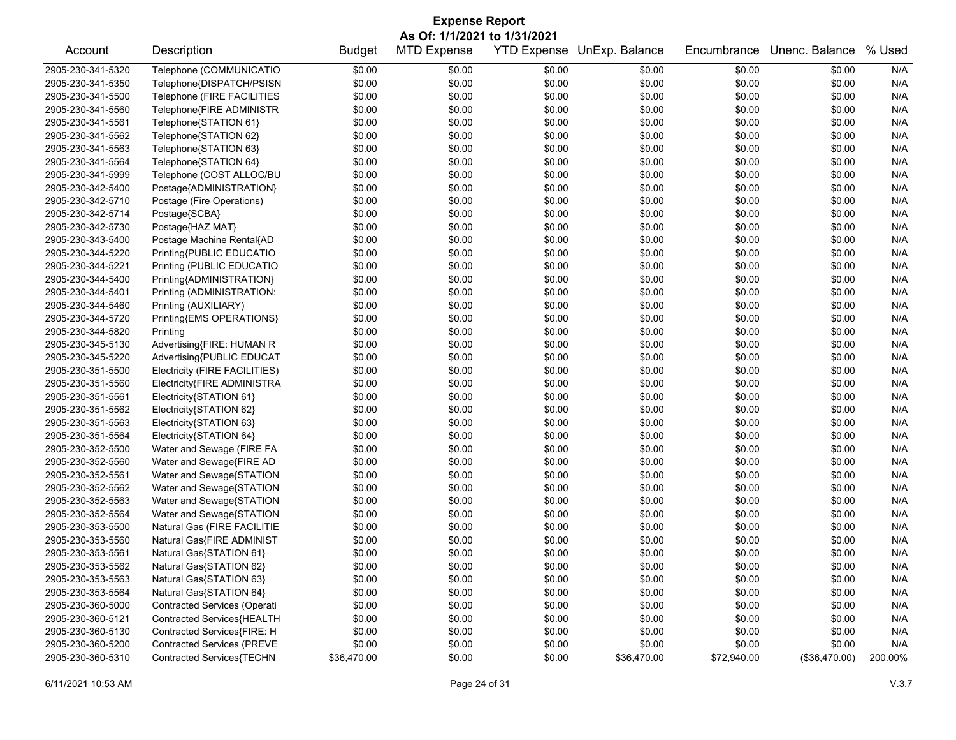| <b>Expense Report</b> |                                   |               |                    |                    |                |             |                |         |  |  |
|-----------------------|-----------------------------------|---------------|--------------------|--------------------|----------------|-------------|----------------|---------|--|--|
|                       | As Of: 1/1/2021 to 1/31/2021      |               |                    |                    |                |             |                |         |  |  |
| Account               | Description                       | <b>Budget</b> | <b>MTD Expense</b> | <b>YTD Expense</b> | UnExp. Balance | Encumbrance | Unenc. Balance | % Used  |  |  |
| 2905-230-341-5320     | Telephone (COMMUNICATIO           | \$0.00        | \$0.00             | \$0.00             | \$0.00         | \$0.00      | \$0.00         | N/A     |  |  |
| 2905-230-341-5350     | Telephone{DISPATCH/PSISN          | \$0.00        | \$0.00             | \$0.00             | \$0.00         | \$0.00      | \$0.00         | N/A     |  |  |
| 2905-230-341-5500     | Telephone (FIRE FACILITIES        | \$0.00        | \$0.00             | \$0.00             | \$0.00         | \$0.00      | \$0.00         | N/A     |  |  |
| 2905-230-341-5560     | Telephone{FIRE ADMINISTR          | \$0.00        | \$0.00             | \$0.00             | \$0.00         | \$0.00      | \$0.00         | N/A     |  |  |
| 2905-230-341-5561     | Telephone{STATION 61}             | \$0.00        | \$0.00             | \$0.00             | \$0.00         | \$0.00      | \$0.00         | N/A     |  |  |
| 2905-230-341-5562     | Telephone{STATION 62}             | \$0.00        | \$0.00             | \$0.00             | \$0.00         | \$0.00      | \$0.00         | N/A     |  |  |
| 2905-230-341-5563     | Telephone{STATION 63}             | \$0.00        | \$0.00             | \$0.00             | \$0.00         | \$0.00      | \$0.00         | N/A     |  |  |
| 2905-230-341-5564     | Telephone{STATION 64}             | \$0.00        | \$0.00             | \$0.00             | \$0.00         | \$0.00      | \$0.00         | N/A     |  |  |
| 2905-230-341-5999     | Telephone (COST ALLOC/BU          | \$0.00        | \$0.00             | \$0.00             | \$0.00         | \$0.00      | \$0.00         | N/A     |  |  |
| 2905-230-342-5400     | Postage{ADMINISTRATION}           | \$0.00        | \$0.00             | \$0.00             | \$0.00         | \$0.00      | \$0.00         | N/A     |  |  |
| 2905-230-342-5710     | Postage (Fire Operations)         | \$0.00        | \$0.00             | \$0.00             | \$0.00         | \$0.00      | \$0.00         | N/A     |  |  |
| 2905-230-342-5714     | Postage{SCBA}                     | \$0.00        | \$0.00             | \$0.00             | \$0.00         | \$0.00      | \$0.00         | N/A     |  |  |
| 2905-230-342-5730     | Postage{HAZ MAT}                  | \$0.00        | \$0.00             | \$0.00             | \$0.00         | \$0.00      | \$0.00         | N/A     |  |  |
| 2905-230-343-5400     | Postage Machine Rental{AD         | \$0.00        | \$0.00             | \$0.00             | \$0.00         | \$0.00      | \$0.00         | N/A     |  |  |
| 2905-230-344-5220     | Printing{PUBLIC EDUCATIO          | \$0.00        | \$0.00             | \$0.00             | \$0.00         | \$0.00      | \$0.00         | N/A     |  |  |
| 2905-230-344-5221     | Printing (PUBLIC EDUCATIO         | \$0.00        | \$0.00             | \$0.00             | \$0.00         | \$0.00      | \$0.00         | N/A     |  |  |
| 2905-230-344-5400     | Printing{ADMINISTRATION}          | \$0.00        | \$0.00             | \$0.00             | \$0.00         | \$0.00      | \$0.00         | N/A     |  |  |
| 2905-230-344-5401     | Printing (ADMINISTRATION:         | \$0.00        | \$0.00             | \$0.00             | \$0.00         | \$0.00      | \$0.00         | N/A     |  |  |
| 2905-230-344-5460     | Printing (AUXILIARY)              | \$0.00        | \$0.00             | \$0.00             | \$0.00         | \$0.00      | \$0.00         | N/A     |  |  |
| 2905-230-344-5720     | Printing{EMS OPERATIONS}          | \$0.00        | \$0.00             | \$0.00             | \$0.00         | \$0.00      | \$0.00         | N/A     |  |  |
| 2905-230-344-5820     | Printing                          | \$0.00        | \$0.00             | \$0.00             | \$0.00         | \$0.00      | \$0.00         | N/A     |  |  |
| 2905-230-345-5130     | Advertising{FIRE: HUMAN R         | \$0.00        | \$0.00             | \$0.00             | \$0.00         | \$0.00      | \$0.00         | N/A     |  |  |
| 2905-230-345-5220     | Advertising{PUBLIC EDUCAT         | \$0.00        | \$0.00             | \$0.00             | \$0.00         | \$0.00      | \$0.00         | N/A     |  |  |
| 2905-230-351-5500     | Electricity (FIRE FACILITIES)     | \$0.00        | \$0.00             | \$0.00             | \$0.00         | \$0.00      | \$0.00         | N/A     |  |  |
| 2905-230-351-5560     | Electricity{FIRE ADMINISTRA       | \$0.00        | \$0.00             | \$0.00             | \$0.00         | \$0.00      | \$0.00         | N/A     |  |  |
| 2905-230-351-5561     | Electricity{STATION 61}           | \$0.00        | \$0.00             | \$0.00             | \$0.00         | \$0.00      | \$0.00         | N/A     |  |  |
| 2905-230-351-5562     | Electricity{STATION 62}           | \$0.00        | \$0.00             | \$0.00             | \$0.00         | \$0.00      | \$0.00         | N/A     |  |  |
| 2905-230-351-5563     | Electricity{STATION 63}           | \$0.00        | \$0.00             | \$0.00             | \$0.00         | \$0.00      | \$0.00         | N/A     |  |  |
| 2905-230-351-5564     | Electricity{STATION 64}           | \$0.00        | \$0.00             | \$0.00             | \$0.00         | \$0.00      | \$0.00         | N/A     |  |  |
| 2905-230-352-5500     | Water and Sewage (FIRE FA         | \$0.00        | \$0.00             | \$0.00             | \$0.00         | \$0.00      | \$0.00         | N/A     |  |  |
| 2905-230-352-5560     | Water and Sewage{FIRE AD          | \$0.00        | \$0.00             | \$0.00             | \$0.00         | \$0.00      | \$0.00         | N/A     |  |  |
| 2905-230-352-5561     | Water and Sewage{STATION          | \$0.00        | \$0.00             | \$0.00             | \$0.00         | \$0.00      | \$0.00         | N/A     |  |  |
| 2905-230-352-5562     | Water and Sewage{STATION          | \$0.00        | \$0.00             | \$0.00             | \$0.00         | \$0.00      | \$0.00         | N/A     |  |  |
| 2905-230-352-5563     | Water and Sewage{STATION          | \$0.00        | \$0.00             | \$0.00             | \$0.00         | \$0.00      | \$0.00         | N/A     |  |  |
| 2905-230-352-5564     | Water and Sewage{STATION          | \$0.00        | \$0.00             | \$0.00             | \$0.00         | \$0.00      | \$0.00         | N/A     |  |  |
| 2905-230-353-5500     | Natural Gas (FIRE FACILITIE       | \$0.00        | \$0.00             | \$0.00             | \$0.00         | \$0.00      | \$0.00         | N/A     |  |  |
| 2905-230-353-5560     | Natural Gas{FIRE ADMINIST         | \$0.00        | \$0.00             | \$0.00             | \$0.00         | \$0.00      | \$0.00         | N/A     |  |  |
| 2905-230-353-5561     | Natural Gas{STATION 61}           | \$0.00        | \$0.00             | \$0.00             | \$0.00         | \$0.00      | \$0.00         | N/A     |  |  |
| 2905-230-353-5562     | Natural Gas{STATION 62}           | \$0.00        | \$0.00             | \$0.00             | \$0.00         | \$0.00      | \$0.00         | N/A     |  |  |
| 2905-230-353-5563     | Natural Gas{STATION 63}           | \$0.00        | \$0.00             | \$0.00             | \$0.00         | \$0.00      | \$0.00         | N/A     |  |  |
| 2905-230-353-5564     | Natural Gas{STATION 64}           | \$0.00        | \$0.00             | \$0.00             | \$0.00         | \$0.00      | \$0.00         | N/A     |  |  |
| 2905-230-360-5000     | Contracted Services (Operati      | \$0.00        | \$0.00             | \$0.00             | \$0.00         | \$0.00      | \$0.00         | N/A     |  |  |
| 2905-230-360-5121     | Contracted Services{HEALTH        | \$0.00        | \$0.00             | \$0.00             | \$0.00         | \$0.00      | \$0.00         | N/A     |  |  |
| 2905-230-360-5130     | Contracted Services{FIRE: H       | \$0.00        | \$0.00             | \$0.00             | \$0.00         | \$0.00      | \$0.00         | N/A     |  |  |
| 2905-230-360-5200     | <b>Contracted Services (PREVE</b> | \$0.00        | \$0.00             | \$0.00             | \$0.00         | \$0.00      | \$0.00         | N/A     |  |  |
| 2905-230-360-5310     | Contracted Services{TECHN         | \$36,470.00   | \$0.00             | \$0.00             | \$36,470.00    | \$72,940.00 | (\$36,470.00)  | 200.00% |  |  |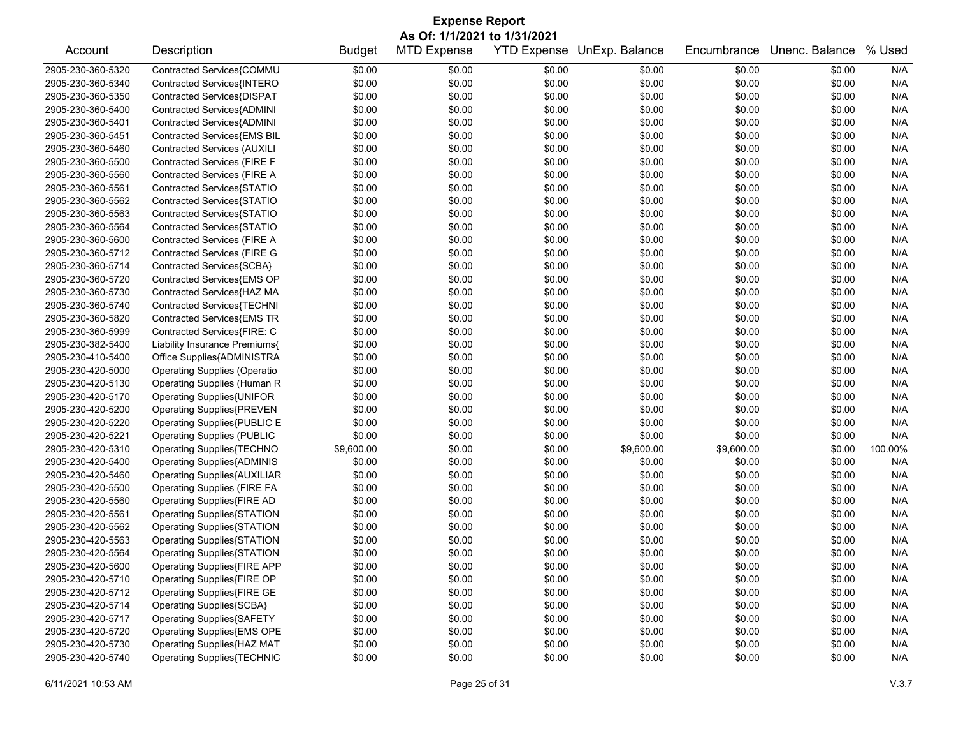| <b>Expense Report</b>        |                                     |               |                    |        |                            |             |                |         |  |
|------------------------------|-------------------------------------|---------------|--------------------|--------|----------------------------|-------------|----------------|---------|--|
| As Of: 1/1/2021 to 1/31/2021 |                                     |               |                    |        |                            |             |                |         |  |
| Account                      | Description                         | <b>Budget</b> | <b>MTD Expense</b> |        | YTD Expense UnExp. Balance | Encumbrance | Unenc. Balance | % Used  |  |
| 2905-230-360-5320            | Contracted Services{COMMU           | \$0.00        | \$0.00             | \$0.00 | \$0.00                     | \$0.00      | \$0.00         | N/A     |  |
| 2905-230-360-5340            | Contracted Services{INTERO          | \$0.00        | \$0.00             | \$0.00 | \$0.00                     | \$0.00      | \$0.00         | N/A     |  |
| 2905-230-360-5350            | Contracted Services{DISPAT          | \$0.00        | \$0.00             | \$0.00 | \$0.00                     | \$0.00      | \$0.00         | N/A     |  |
| 2905-230-360-5400            | Contracted Services{ADMINI          | \$0.00        | \$0.00             | \$0.00 | \$0.00                     | \$0.00      | \$0.00         | N/A     |  |
| 2905-230-360-5401            | Contracted Services{ADMINI          | \$0.00        | \$0.00             | \$0.00 | \$0.00                     | \$0.00      | \$0.00         | N/A     |  |
| 2905-230-360-5451            | Contracted Services{EMS BIL         | \$0.00        | \$0.00             | \$0.00 | \$0.00                     | \$0.00      | \$0.00         | N/A     |  |
| 2905-230-360-5460            | <b>Contracted Services (AUXILI</b>  | \$0.00        | \$0.00             | \$0.00 | \$0.00                     | \$0.00      | \$0.00         | N/A     |  |
| 2905-230-360-5500            | Contracted Services (FIRE F         | \$0.00        | \$0.00             | \$0.00 | \$0.00                     | \$0.00      | \$0.00         | N/A     |  |
| 2905-230-360-5560            | Contracted Services (FIRE A         | \$0.00        | \$0.00             | \$0.00 | \$0.00                     | \$0.00      | \$0.00         | N/A     |  |
| 2905-230-360-5561            | Contracted Services{STATIO          | \$0.00        | \$0.00             | \$0.00 | \$0.00                     | \$0.00      | \$0.00         | N/A     |  |
| 2905-230-360-5562            | Contracted Services{STATIO          | \$0.00        | \$0.00             | \$0.00 | \$0.00                     | \$0.00      | \$0.00         | N/A     |  |
| 2905-230-360-5563            | Contracted Services{STATIO          | \$0.00        | \$0.00             | \$0.00 | \$0.00                     | \$0.00      | \$0.00         | N/A     |  |
| 2905-230-360-5564            | Contracted Services{STATIO          | \$0.00        | \$0.00             | \$0.00 | \$0.00                     | \$0.00      | \$0.00         | N/A     |  |
| 2905-230-360-5600            | Contracted Services (FIRE A         | \$0.00        | \$0.00             | \$0.00 | \$0.00                     | \$0.00      | \$0.00         | N/A     |  |
| 2905-230-360-5712            | <b>Contracted Services (FIRE G</b>  | \$0.00        | \$0.00             | \$0.00 | \$0.00                     | \$0.00      | \$0.00         | N/A     |  |
| 2905-230-360-5714            | Contracted Services{SCBA}           | \$0.00        | \$0.00             | \$0.00 | \$0.00                     | \$0.00      | \$0.00         | N/A     |  |
| 2905-230-360-5720            | Contracted Services{EMS OP          | \$0.00        | \$0.00             | \$0.00 | \$0.00                     | \$0.00      | \$0.00         | N/A     |  |
| 2905-230-360-5730            | Contracted Services{HAZ MA          | \$0.00        | \$0.00             | \$0.00 | \$0.00                     | \$0.00      | \$0.00         | N/A     |  |
| 2905-230-360-5740            | Contracted Services{TECHNI          | \$0.00        | \$0.00             | \$0.00 | \$0.00                     | \$0.00      | \$0.00         | N/A     |  |
| 2905-230-360-5820            | Contracted Services{EMS TR          | \$0.00        | \$0.00             | \$0.00 | \$0.00                     | \$0.00      | \$0.00         | N/A     |  |
| 2905-230-360-5999            | Contracted Services{FIRE: C         | \$0.00        | \$0.00             | \$0.00 | \$0.00                     | \$0.00      | \$0.00         | N/A     |  |
| 2905-230-382-5400            | Liability Insurance Premiums{       | \$0.00        | \$0.00             | \$0.00 | \$0.00                     | \$0.00      | \$0.00         | N/A     |  |
| 2905-230-410-5400            | Office Supplies{ADMINISTRA          | \$0.00        | \$0.00             | \$0.00 | \$0.00                     | \$0.00      | \$0.00         | N/A     |  |
| 2905-230-420-5000            | <b>Operating Supplies (Operatio</b> | \$0.00        | \$0.00             | \$0.00 | \$0.00                     | \$0.00      | \$0.00         | N/A     |  |
| 2905-230-420-5130            | Operating Supplies (Human R         | \$0.00        | \$0.00             | \$0.00 | \$0.00                     | \$0.00      | \$0.00         | N/A     |  |
| 2905-230-420-5170            | Operating Supplies{UNIFOR           | \$0.00        | \$0.00             | \$0.00 | \$0.00                     | \$0.00      | \$0.00         | N/A     |  |
| 2905-230-420-5200            | <b>Operating Supplies{PREVEN</b>    | \$0.00        | \$0.00             | \$0.00 | \$0.00                     | \$0.00      | \$0.00         | N/A     |  |
| 2905-230-420-5220            | Operating Supplies{PUBLIC E         | \$0.00        | \$0.00             | \$0.00 | \$0.00                     | \$0.00      | \$0.00         | N/A     |  |
| 2905-230-420-5221            | <b>Operating Supplies (PUBLIC</b>   | \$0.00        | \$0.00             | \$0.00 | \$0.00                     | \$0.00      | \$0.00         | N/A     |  |
| 2905-230-420-5310            | Operating Supplies{TECHNO           | \$9,600.00    | \$0.00             | \$0.00 | \$9,600.00                 | \$9,600.00  | \$0.00         | 100.00% |  |
| 2905-230-420-5400            | <b>Operating Supplies{ADMINIS</b>   | \$0.00        | \$0.00             | \$0.00 | \$0.00                     | \$0.00      | \$0.00         | N/A     |  |
| 2905-230-420-5460            | <b>Operating Supplies{AUXILIAR</b>  | \$0.00        | \$0.00             | \$0.00 | \$0.00                     | \$0.00      | \$0.00         | N/A     |  |
| 2905-230-420-5500            | <b>Operating Supplies (FIRE FA</b>  | \$0.00        | \$0.00             | \$0.00 | \$0.00                     | \$0.00      | \$0.00         | N/A     |  |
| 2905-230-420-5560            | Operating Supplies{FIRE AD          | \$0.00        | \$0.00             | \$0.00 | \$0.00                     | \$0.00      | \$0.00         | N/A     |  |
| 2905-230-420-5561            | Operating Supplies{STATION          | \$0.00        | \$0.00             | \$0.00 | \$0.00                     | \$0.00      | \$0.00         | N/A     |  |
| 2905-230-420-5562            | Operating Supplies{STATION          | \$0.00        | \$0.00             | \$0.00 | \$0.00                     | \$0.00      | \$0.00         | N/A     |  |
| 2905-230-420-5563            | Operating Supplies{STATION          | \$0.00        | \$0.00             | \$0.00 | \$0.00                     | \$0.00      | \$0.00         | N/A     |  |
| 2905-230-420-5564            | Operating Supplies{STATION          | \$0.00        | \$0.00             | \$0.00 | \$0.00                     | \$0.00      | \$0.00         | N/A     |  |
| 2905-230-420-5600            | Operating Supplies{FIRE APP         | \$0.00        | \$0.00             | \$0.00 | \$0.00                     | \$0.00      | \$0.00         | N/A     |  |
| 2905-230-420-5710            | Operating Supplies{FIRE OP          | \$0.00        | \$0.00             | \$0.00 | \$0.00                     | \$0.00      | \$0.00         | N/A     |  |
| 2905-230-420-5712            | Operating Supplies{FIRE GE          | \$0.00        | \$0.00             | \$0.00 | \$0.00                     | \$0.00      | \$0.00         | N/A     |  |
| 2905-230-420-5714            | Operating Supplies{SCBA}            | \$0.00        | \$0.00             | \$0.00 | \$0.00                     | \$0.00      | \$0.00         | N/A     |  |
| 2905-230-420-5717            | <b>Operating Supplies{SAFETY</b>    | \$0.00        | \$0.00             | \$0.00 | \$0.00                     | \$0.00      | \$0.00         | N/A     |  |
| 2905-230-420-5720            | Operating Supplies{EMS OPE          | \$0.00        | \$0.00             | \$0.00 | \$0.00                     | \$0.00      | \$0.00         | N/A     |  |
| 2905-230-420-5730            | Operating Supplies{HAZ MAT          | \$0.00        | \$0.00             | \$0.00 | \$0.00                     | \$0.00      | \$0.00         | N/A     |  |
| 2905-230-420-5740            | <b>Operating Supplies{TECHNIC</b>   | \$0.00        | \$0.00             | \$0.00 | \$0.00                     | \$0.00      | \$0.00         | N/A     |  |
|                              |                                     |               |                    |        |                            |             |                |         |  |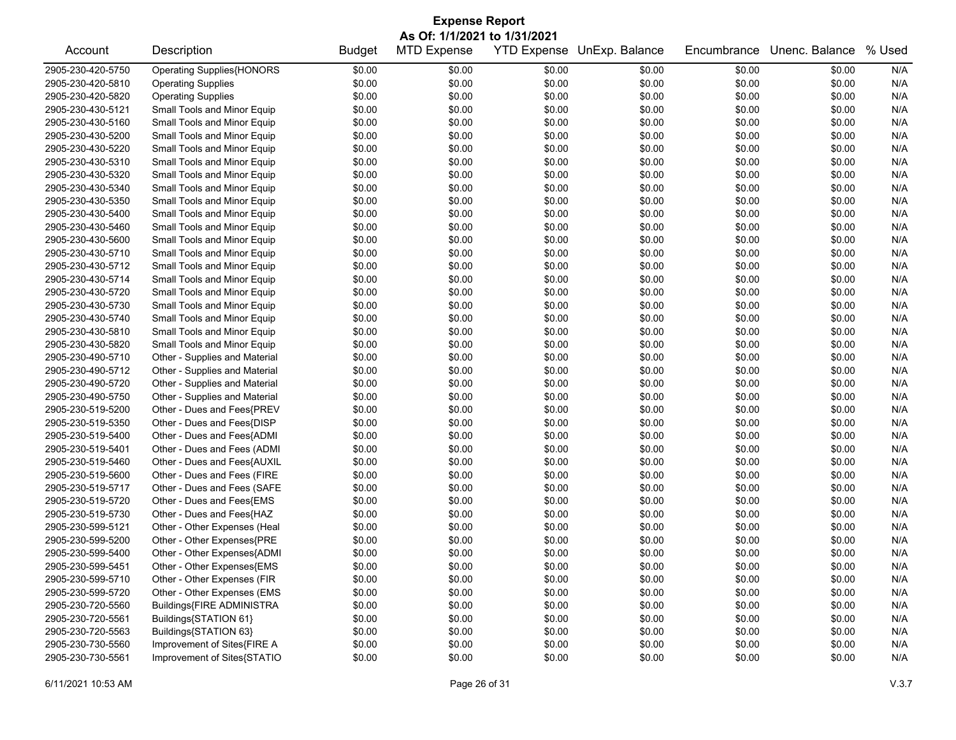| <b>Expense Report</b><br>As Of: 1/1/2021 to 1/31/2021 |                                  |        |        |        |        |        |        |     |  |
|-------------------------------------------------------|----------------------------------|--------|--------|--------|--------|--------|--------|-----|--|
|                                                       |                                  |        |        |        |        |        |        |     |  |
| 2905-230-420-5750                                     | <b>Operating Supplies{HONORS</b> | \$0.00 | \$0.00 | \$0.00 | \$0.00 | \$0.00 | \$0.00 | N/A |  |
| 2905-230-420-5810                                     | <b>Operating Supplies</b>        | \$0.00 | \$0.00 | \$0.00 | \$0.00 | \$0.00 | \$0.00 | N/A |  |
| 2905-230-420-5820                                     | <b>Operating Supplies</b>        | \$0.00 | \$0.00 | \$0.00 | \$0.00 | \$0.00 | \$0.00 | N/A |  |
| 2905-230-430-5121                                     | Small Tools and Minor Equip      | \$0.00 | \$0.00 | \$0.00 | \$0.00 | \$0.00 | \$0.00 | N/A |  |
| 2905-230-430-5160                                     | Small Tools and Minor Equip      | \$0.00 | \$0.00 | \$0.00 | \$0.00 | \$0.00 | \$0.00 | N/A |  |
| 2905-230-430-5200                                     | Small Tools and Minor Equip      | \$0.00 | \$0.00 | \$0.00 | \$0.00 | \$0.00 | \$0.00 | N/A |  |
| 2905-230-430-5220                                     | Small Tools and Minor Equip      | \$0.00 | \$0.00 | \$0.00 | \$0.00 | \$0.00 | \$0.00 | N/A |  |
| 2905-230-430-5310                                     | Small Tools and Minor Equip      | \$0.00 | \$0.00 | \$0.00 | \$0.00 | \$0.00 | \$0.00 | N/A |  |
| 2905-230-430-5320                                     | Small Tools and Minor Equip      | \$0.00 | \$0.00 | \$0.00 | \$0.00 | \$0.00 | \$0.00 | N/A |  |
| 2905-230-430-5340                                     | Small Tools and Minor Equip      | \$0.00 | \$0.00 | \$0.00 | \$0.00 | \$0.00 | \$0.00 | N/A |  |
| 2905-230-430-5350                                     | Small Tools and Minor Equip      | \$0.00 | \$0.00 | \$0.00 | \$0.00 | \$0.00 | \$0.00 | N/A |  |
| 2905-230-430-5400                                     | Small Tools and Minor Equip      | \$0.00 | \$0.00 | \$0.00 | \$0.00 | \$0.00 | \$0.00 | N/A |  |
| 2905-230-430-5460                                     | Small Tools and Minor Equip      | \$0.00 | \$0.00 | \$0.00 | \$0.00 | \$0.00 | \$0.00 | N/A |  |
| 2905-230-430-5600                                     | Small Tools and Minor Equip      | \$0.00 | \$0.00 | \$0.00 | \$0.00 | \$0.00 | \$0.00 | N/A |  |
| 2905-230-430-5710                                     | Small Tools and Minor Equip      | \$0.00 | \$0.00 | \$0.00 | \$0.00 | \$0.00 | \$0.00 | N/A |  |
| 2905-230-430-5712                                     | Small Tools and Minor Equip      | \$0.00 | \$0.00 | \$0.00 | \$0.00 | \$0.00 | \$0.00 | N/A |  |
| 2905-230-430-5714                                     | Small Tools and Minor Equip      | \$0.00 | \$0.00 | \$0.00 | \$0.00 | \$0.00 | \$0.00 | N/A |  |
| 2905-230-430-5720                                     | Small Tools and Minor Equip      | \$0.00 | \$0.00 | \$0.00 | \$0.00 | \$0.00 | \$0.00 | N/A |  |
| 2905-230-430-5730                                     | Small Tools and Minor Equip      | \$0.00 | \$0.00 | \$0.00 | \$0.00 | \$0.00 | \$0.00 | N/A |  |
| 2905-230-430-5740                                     | Small Tools and Minor Equip      | \$0.00 | \$0.00 | \$0.00 | \$0.00 | \$0.00 | \$0.00 | N/A |  |
| 2905-230-430-5810                                     | Small Tools and Minor Equip      | \$0.00 | \$0.00 | \$0.00 | \$0.00 | \$0.00 | \$0.00 | N/A |  |
| 2905-230-430-5820                                     | Small Tools and Minor Equip      | \$0.00 | \$0.00 | \$0.00 | \$0.00 | \$0.00 | \$0.00 | N/A |  |
| 2905-230-490-5710                                     | Other - Supplies and Material    | \$0.00 | \$0.00 | \$0.00 | \$0.00 | \$0.00 | \$0.00 | N/A |  |
| 2905-230-490-5712                                     | Other - Supplies and Material    | \$0.00 | \$0.00 | \$0.00 | \$0.00 | \$0.00 | \$0.00 | N/A |  |
| 2905-230-490-5720                                     | Other - Supplies and Material    | \$0.00 | \$0.00 | \$0.00 | \$0.00 | \$0.00 | \$0.00 | N/A |  |
| 2905-230-490-5750                                     | Other - Supplies and Material    | \$0.00 | \$0.00 | \$0.00 | \$0.00 | \$0.00 | \$0.00 | N/A |  |
| 2905-230-519-5200                                     | Other - Dues and Fees{PREV       | \$0.00 | \$0.00 | \$0.00 | \$0.00 | \$0.00 | \$0.00 | N/A |  |
| 2905-230-519-5350                                     | Other - Dues and Fees{DISP       | \$0.00 | \$0.00 | \$0.00 | \$0.00 | \$0.00 | \$0.00 | N/A |  |
| 2905-230-519-5400                                     | Other - Dues and Fees{ADMI       | \$0.00 | \$0.00 | \$0.00 | \$0.00 | \$0.00 | \$0.00 | N/A |  |
| 2905-230-519-5401                                     | Other - Dues and Fees (ADMI      | \$0.00 | \$0.00 | \$0.00 | \$0.00 | \$0.00 | \$0.00 | N/A |  |
| 2905-230-519-5460                                     | Other - Dues and Fees{AUXIL      | \$0.00 | \$0.00 | \$0.00 | \$0.00 | \$0.00 | \$0.00 | N/A |  |
| 2905-230-519-5600                                     | Other - Dues and Fees (FIRE      | \$0.00 | \$0.00 | \$0.00 | \$0.00 | \$0.00 | \$0.00 | N/A |  |
| 2905-230-519-5717                                     | Other - Dues and Fees (SAFE      | \$0.00 | \$0.00 | \$0.00 | \$0.00 | \$0.00 | \$0.00 | N/A |  |
| 2905-230-519-5720                                     | Other - Dues and Fees{EMS        | \$0.00 | \$0.00 | \$0.00 | \$0.00 | \$0.00 | \$0.00 | N/A |  |
| 2905-230-519-5730                                     | Other - Dues and Fees{HAZ        | \$0.00 | \$0.00 | \$0.00 | \$0.00 | \$0.00 | \$0.00 | N/A |  |
| 2905-230-599-5121                                     | Other - Other Expenses (Heal     | \$0.00 | \$0.00 | \$0.00 | \$0.00 | \$0.00 | \$0.00 | N/A |  |
| 2905-230-599-5200                                     | Other - Other Expenses{PRE       | \$0.00 | \$0.00 | \$0.00 | \$0.00 | \$0.00 | \$0.00 | N/A |  |
| 2905-230-599-5400                                     | Other - Other Expenses{ADMI      | \$0.00 | \$0.00 | \$0.00 | \$0.00 | \$0.00 | \$0.00 | N/A |  |
| 2905-230-599-5451                                     | Other - Other Expenses{EMS       | \$0.00 | \$0.00 | \$0.00 | \$0.00 | \$0.00 | \$0.00 | N/A |  |
| 2905-230-599-5710                                     | Other - Other Expenses (FIR      | \$0.00 | \$0.00 | \$0.00 | \$0.00 | \$0.00 | \$0.00 | N/A |  |
| 2905-230-599-5720                                     | Other - Other Expenses (EMS      | \$0.00 | \$0.00 | \$0.00 | \$0.00 | \$0.00 | \$0.00 | N/A |  |
| 2905-230-720-5560                                     | Buildings{FIRE ADMINISTRA        | \$0.00 | \$0.00 | \$0.00 | \$0.00 | \$0.00 | \$0.00 | N/A |  |
| 2905-230-720-5561                                     | Buildings{STATION 61}            | \$0.00 | \$0.00 | \$0.00 | \$0.00 | \$0.00 | \$0.00 | N/A |  |
| 2905-230-720-5563                                     | Buildings{STATION 63}            | \$0.00 | \$0.00 | \$0.00 | \$0.00 | \$0.00 | \$0.00 | N/A |  |
| 2905-230-730-5560                                     | Improvement of Sites{FIRE A      | \$0.00 | \$0.00 | \$0.00 | \$0.00 | \$0.00 | \$0.00 | N/A |  |
| 2905-230-730-5561                                     | Improvement of Sites{STATIO      | \$0.00 | \$0.00 | \$0.00 | \$0.00 | \$0.00 | \$0.00 | N/A |  |
|                                                       |                                  |        |        |        |        |        |        |     |  |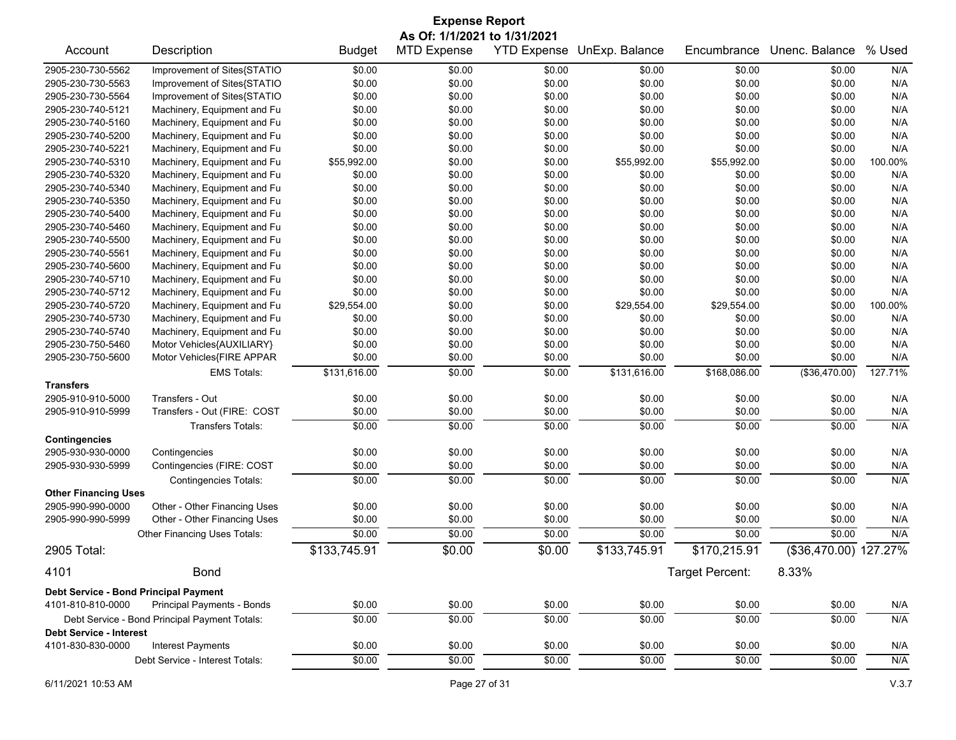| <b>Expense Report</b><br>As Of: 1/1/2021 to 1/31/2021 |                                               |               |                    |        |                            |                 |                       |         |
|-------------------------------------------------------|-----------------------------------------------|---------------|--------------------|--------|----------------------------|-----------------|-----------------------|---------|
| Account                                               | Description                                   | <b>Budget</b> | <b>MTD Expense</b> |        | YTD Expense UnExp. Balance | Encumbrance     | Unenc. Balance        | % Used  |
| 2905-230-730-5562                                     | Improvement of Sites{STATIO                   | \$0.00        | \$0.00             | \$0.00 | \$0.00                     | \$0.00          | \$0.00                | N/A     |
| 2905-230-730-5563                                     | Improvement of Sites{STATIO                   | \$0.00        | \$0.00             | \$0.00 | \$0.00                     | \$0.00          | \$0.00                | N/A     |
| 2905-230-730-5564                                     | Improvement of Sites{STATIO                   | \$0.00        | \$0.00             | \$0.00 | \$0.00                     | \$0.00          | \$0.00                | N/A     |
| 2905-230-740-5121                                     | Machinery, Equipment and Fu                   | \$0.00        | \$0.00             | \$0.00 | \$0.00                     | \$0.00          | \$0.00                | N/A     |
| 2905-230-740-5160                                     | Machinery, Equipment and Fu                   | \$0.00        | \$0.00             | \$0.00 | \$0.00                     | \$0.00          | \$0.00                | N/A     |
| 2905-230-740-5200                                     | Machinery, Equipment and Fu                   | \$0.00        | \$0.00             | \$0.00 | \$0.00                     | \$0.00          | \$0.00                | N/A     |
| 2905-230-740-5221                                     | Machinery, Equipment and Fu                   | \$0.00        | \$0.00             | \$0.00 | \$0.00                     | \$0.00          | \$0.00                | N/A     |
| 2905-230-740-5310                                     | Machinery, Equipment and Fu                   | \$55,992.00   | \$0.00             | \$0.00 | \$55,992.00                | \$55,992.00     | \$0.00                | 100.00% |
| 2905-230-740-5320                                     | Machinery, Equipment and Fu                   | \$0.00        | \$0.00             | \$0.00 | \$0.00                     | \$0.00          | \$0.00                | N/A     |
| 2905-230-740-5340                                     | Machinery, Equipment and Fu                   | \$0.00        | \$0.00             | \$0.00 | \$0.00                     | \$0.00          | \$0.00                | N/A     |
| 2905-230-740-5350                                     | Machinery, Equipment and Fu                   | \$0.00        | \$0.00             | \$0.00 | \$0.00                     | \$0.00          | \$0.00                | N/A     |
| 2905-230-740-5400                                     | Machinery, Equipment and Fu                   | \$0.00        | \$0.00             | \$0.00 | \$0.00                     | \$0.00          | \$0.00                | N/A     |
| 2905-230-740-5460                                     | Machinery, Equipment and Fu                   | \$0.00        | \$0.00             | \$0.00 | \$0.00                     | \$0.00          | \$0.00                | N/A     |
| 2905-230-740-5500                                     | Machinery, Equipment and Fu                   | \$0.00        | \$0.00             | \$0.00 | \$0.00                     | \$0.00          | \$0.00                | N/A     |
| 2905-230-740-5561                                     | Machinery, Equipment and Fu                   | \$0.00        | \$0.00             | \$0.00 | \$0.00                     | \$0.00          | \$0.00                | N/A     |
| 2905-230-740-5600                                     | Machinery, Equipment and Fu                   | \$0.00        | \$0.00             | \$0.00 | \$0.00                     | \$0.00          | \$0.00                | N/A     |
| 2905-230-740-5710                                     | Machinery, Equipment and Fu                   | \$0.00        | \$0.00             | \$0.00 | \$0.00                     | \$0.00          | \$0.00                | N/A     |
| 2905-230-740-5712                                     | Machinery, Equipment and Fu                   | \$0.00        | \$0.00             | \$0.00 | \$0.00                     | \$0.00          | \$0.00                | N/A     |
| 2905-230-740-5720                                     | Machinery, Equipment and Fu                   | \$29,554.00   | \$0.00             | \$0.00 | \$29,554.00                | \$29,554.00     | \$0.00                | 100.00% |
| 2905-230-740-5730                                     | Machinery, Equipment and Fu                   | \$0.00        | \$0.00             | \$0.00 | \$0.00                     | \$0.00          | \$0.00                | N/A     |
| 2905-230-740-5740                                     | Machinery, Equipment and Fu                   | \$0.00        | \$0.00             | \$0.00 | \$0.00                     | \$0.00          | \$0.00                | N/A     |
| 2905-230-750-5460                                     | Motor Vehicles{AUXILIARY}                     | \$0.00        | \$0.00             | \$0.00 | \$0.00                     | \$0.00          | \$0.00                | N/A     |
| 2905-230-750-5600                                     | Motor Vehicles{FIRE APPAR                     | \$0.00        | \$0.00             | \$0.00 | \$0.00                     | \$0.00          | \$0.00                | N/A     |
|                                                       | <b>EMS Totals:</b>                            | \$131,616.00  | \$0.00             | \$0.00 | \$131,616.00               | \$168,086.00    | (\$36,470.00)         | 127.71% |
| <b>Transfers</b>                                      |                                               |               |                    |        |                            |                 |                       |         |
| 2905-910-910-5000                                     | Transfers - Out                               | \$0.00        | \$0.00             | \$0.00 | \$0.00                     | \$0.00          | \$0.00                | N/A     |
| 2905-910-910-5999                                     | Transfers - Out (FIRE: COST                   | \$0.00        | \$0.00             | \$0.00 | \$0.00                     | \$0.00          | \$0.00                | N/A     |
|                                                       | <b>Transfers Totals:</b>                      | \$0.00        | \$0.00             | \$0.00 | \$0.00                     | \$0.00          | \$0.00                | N/A     |
| <b>Contingencies</b>                                  |                                               |               |                    |        |                            |                 |                       |         |
| 2905-930-930-0000                                     | Contingencies                                 | \$0.00        | \$0.00             | \$0.00 | \$0.00                     | \$0.00          | \$0.00                | N/A     |
| 2905-930-930-5999                                     | Contingencies (FIRE: COST                     | \$0.00        | \$0.00             | \$0.00 | \$0.00                     | \$0.00          | \$0.00                | N/A     |
|                                                       | <b>Contingencies Totals:</b>                  | \$0.00        | \$0.00             | \$0.00 | \$0.00                     | \$0.00          | \$0.00                | N/A     |
| <b>Other Financing Uses</b>                           |                                               |               |                    |        |                            |                 |                       |         |
| 2905-990-990-0000                                     | Other - Other Financing Uses                  | \$0.00        | \$0.00             | \$0.00 | \$0.00                     | \$0.00          | \$0.00                | N/A     |
| 2905-990-990-5999                                     | Other - Other Financing Uses                  | \$0.00        | \$0.00             | \$0.00 | \$0.00                     | \$0.00          | \$0.00                | N/A     |
|                                                       | Other Financing Uses Totals:                  | \$0.00        | 30.00              | \$0.00 | \$0.00                     | \$0.00          | \$0.00                | N/A     |
| 2905 Total:                                           |                                               | \$133,745.91  | \$0.00             | \$0.00 | \$133,745.91               | \$170,215.91    | (\$36,470.00) 127.27% |         |
| 4101                                                  | <b>Bond</b>                                   |               |                    |        |                            | Target Percent: | 8.33%                 |         |
| Debt Service - Bond Principal Payment                 |                                               |               |                    |        |                            |                 |                       |         |
| 4101-810-810-0000                                     | Principal Payments - Bonds                    | \$0.00        | \$0.00             | \$0.00 | \$0.00                     | \$0.00          | \$0.00                | N/A     |
|                                                       | Debt Service - Bond Principal Payment Totals: | \$0.00        | \$0.00             | \$0.00 | \$0.00                     | \$0.00          | \$0.00                | N/A     |
| <b>Debt Service - Interest</b>                        |                                               |               |                    |        |                            |                 |                       |         |
| 4101-830-830-0000                                     | <b>Interest Payments</b>                      | \$0.00        | \$0.00             | \$0.00 | \$0.00                     | \$0.00          | \$0.00                | N/A     |
|                                                       | Debt Service - Interest Totals:               | \$0.00        | \$0.00             | \$0.00 | \$0.00                     | \$0.00          | \$0.00                | N/A     |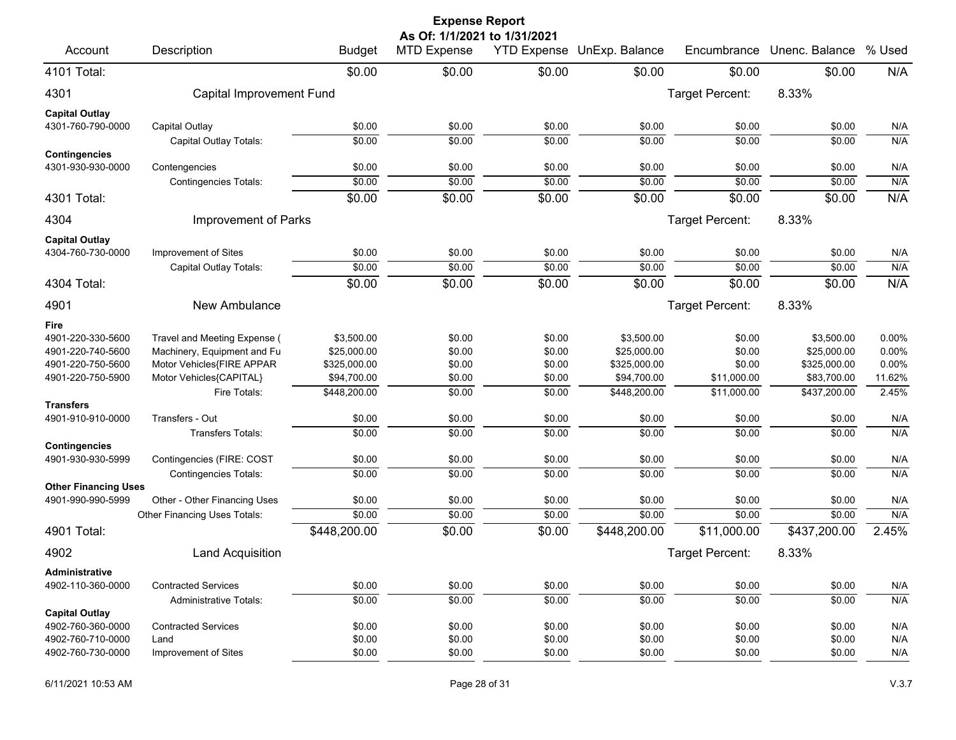|                                           |                                             |                  | <b>Expense Report</b>                              |                  |                            |                  |                  |            |
|-------------------------------------------|---------------------------------------------|------------------|----------------------------------------------------|------------------|----------------------------|------------------|------------------|------------|
| Account                                   | Description                                 | <b>Budget</b>    | As Of: 1/1/2021 to 1/31/2021<br><b>MTD Expense</b> |                  | YTD Expense UnExp. Balance | Encumbrance      | Unenc. Balance   | % Used     |
| 4101 Total:                               |                                             | \$0.00           | \$0.00                                             | \$0.00           | \$0.00                     | \$0.00           | \$0.00           | N/A        |
| 4301                                      | Capital Improvement Fund                    |                  |                                                    |                  |                            | Target Percent:  | 8.33%            |            |
| <b>Capital Outlay</b>                     |                                             |                  |                                                    |                  |                            |                  |                  |            |
| 4301-760-790-0000                         | Capital Outlay                              | \$0.00           | \$0.00                                             | \$0.00           | \$0.00                     | \$0.00           | \$0.00           | N/A        |
|                                           | Capital Outlay Totals:                      | \$0.00           | \$0.00                                             | \$0.00           | \$0.00                     | \$0.00           | \$0.00           | N/A        |
| <b>Contingencies</b><br>4301-930-930-0000 |                                             |                  |                                                    |                  |                            |                  |                  |            |
|                                           | Contengencies                               | \$0.00<br>\$0.00 | \$0.00<br>\$0.00                                   | \$0.00<br>\$0.00 | \$0.00<br>\$0.00           | \$0.00<br>\$0.00 | \$0.00<br>\$0.00 | N/A<br>N/A |
|                                           | <b>Contingencies Totals:</b>                | \$0.00           | \$0.00                                             | \$0.00           |                            |                  | \$0.00           | N/A        |
| 4301 Total:                               |                                             |                  |                                                    |                  | \$0.00                     | \$0.00           |                  |            |
| 4304                                      | Improvement of Parks                        |                  |                                                    |                  |                            | Target Percent:  | 8.33%            |            |
| <b>Capital Outlay</b>                     |                                             |                  |                                                    |                  |                            |                  |                  |            |
| 4304-760-730-0000                         | Improvement of Sites                        | \$0.00           | \$0.00                                             | \$0.00           | \$0.00                     | \$0.00           | \$0.00           | N/A        |
|                                           | Capital Outlay Totals:                      | \$0.00           | \$0.00                                             | \$0.00           | \$0.00                     | \$0.00           | \$0.00           | N/A        |
| 4304 Total:                               |                                             | \$0.00           | \$0.00                                             | \$0.00           | \$0.00                     | \$0.00           | \$0.00           | N/A        |
| 4901                                      | New Ambulance                               |                  |                                                    |                  |                            | Target Percent:  | 8.33%            |            |
| Fire                                      |                                             |                  |                                                    |                  |                            |                  |                  |            |
| 4901-220-330-5600                         | Travel and Meeting Expense (                | \$3,500.00       | \$0.00                                             | \$0.00           | \$3,500.00                 | \$0.00           | \$3,500.00       | 0.00%      |
| 4901-220-740-5600                         | Machinery, Equipment and Fu                 | \$25,000.00      | \$0.00                                             | \$0.00           | \$25,000.00                | \$0.00           | \$25,000.00      | 0.00%      |
| 4901-220-750-5600                         | Motor Vehicles{FIRE APPAR                   | \$325,000.00     | \$0.00                                             | \$0.00           | \$325,000.00               | \$0.00           | \$325,000.00     | 0.00%      |
| 4901-220-750-5900                         | Motor Vehicles{CAPITAL}                     | \$94,700.00      | \$0.00                                             | \$0.00           | \$94,700.00                | \$11,000.00      | \$83,700.00      | 11.62%     |
|                                           | Fire Totals:                                | \$448,200.00     | \$0.00                                             | \$0.00           | \$448,200.00               | \$11,000.00      | \$437,200.00     | 2.45%      |
| <b>Transfers</b>                          |                                             |                  |                                                    |                  |                            |                  |                  |            |
| 4901-910-910-0000                         | Transfers - Out<br><b>Transfers Totals:</b> | \$0.00<br>\$0.00 | \$0.00<br>\$0.00                                   | \$0.00<br>\$0.00 | \$0.00<br>\$0.00           | \$0.00<br>\$0.00 | \$0.00<br>\$0.00 | N/A<br>N/A |
| <b>Contingencies</b>                      |                                             |                  |                                                    |                  |                            |                  |                  |            |
| 4901-930-930-5999                         | Contingencies (FIRE: COST                   | \$0.00           | \$0.00                                             | \$0.00           | \$0.00                     | \$0.00           | \$0.00           | N/A        |
|                                           | <b>Contingencies Totals:</b>                | \$0.00           | \$0.00                                             | \$0.00           | \$0.00                     | \$0.00           | \$0.00           | N/A        |
| <b>Other Financing Uses</b>               |                                             |                  |                                                    |                  |                            |                  |                  |            |
| 4901-990-990-5999                         | Other - Other Financing Uses                | \$0.00           | \$0.00                                             | \$0.00           | \$0.00                     | \$0.00           | \$0.00           | N/A        |
|                                           | Other Financing Uses Totals:                | \$0.00           | \$0.00                                             | \$0.00           | \$0.00                     | \$0.00           | \$0.00           | N/A        |
| 4901 Total:                               |                                             | \$448,200.00     | \$0.00                                             | \$0.00           | \$448,200.00               | \$11,000.00      | \$437,200.00     | 2.45%      |
| 4902                                      | <b>Land Acquisition</b>                     |                  |                                                    |                  |                            | Target Percent:  | 8.33%            |            |
| Administrative                            |                                             |                  |                                                    |                  |                            |                  |                  |            |
| 4902-110-360-0000                         | <b>Contracted Services</b>                  | \$0.00           | \$0.00                                             | \$0.00           | \$0.00                     | \$0.00           | \$0.00           | N/A        |
|                                           | <b>Administrative Totals:</b>               | \$0.00           | \$0.00                                             | \$0.00           | \$0.00                     | \$0.00           | \$0.00           | N/A        |
| <b>Capital Outlay</b>                     |                                             |                  |                                                    |                  |                            |                  |                  |            |
| 4902-760-360-0000                         | <b>Contracted Services</b>                  | \$0.00           | \$0.00                                             | \$0.00           | \$0.00                     | \$0.00           | \$0.00           | N/A        |
| 4902-760-710-0000<br>4902-760-730-0000    | Land<br>Improvement of Sites                | \$0.00<br>\$0.00 | \$0.00                                             | \$0.00           | \$0.00                     | \$0.00           | \$0.00           | N/A        |
|                                           |                                             |                  | \$0.00                                             | \$0.00           | \$0.00                     | \$0.00           | \$0.00           | N/A        |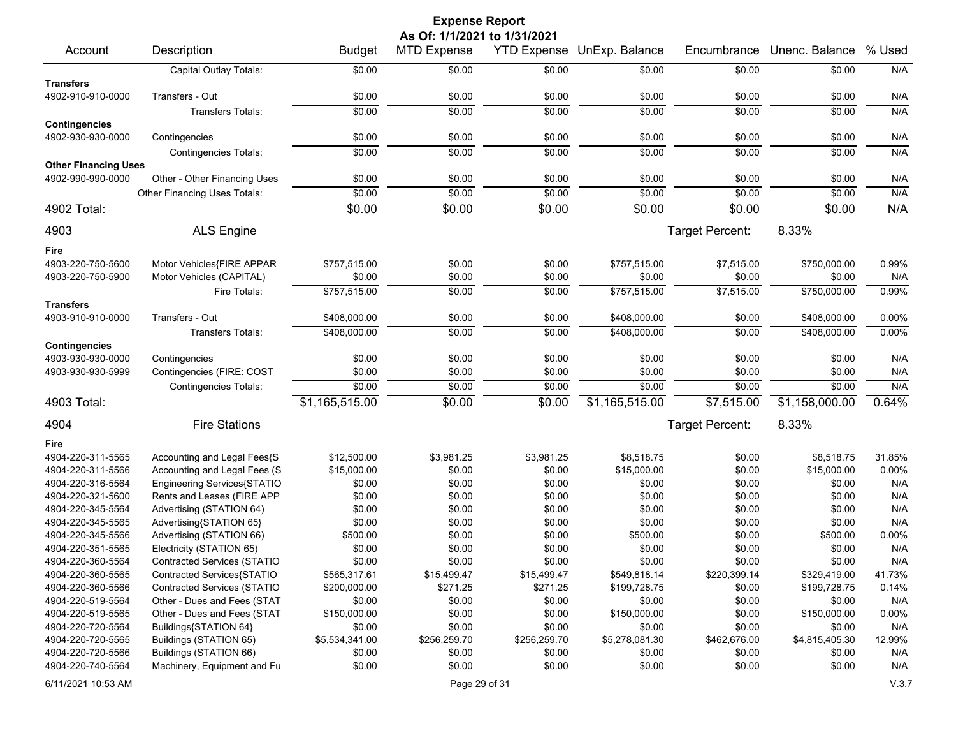|                                        |                                                            |                          | <b>Expense Report</b>        |                    |                  |                  |                          |                 |
|----------------------------------------|------------------------------------------------------------|--------------------------|------------------------------|--------------------|------------------|------------------|--------------------------|-----------------|
|                                        |                                                            |                          | As Of: 1/1/2021 to 1/31/2021 |                    |                  |                  |                          |                 |
| Account                                | Description                                                | <b>Budget</b>            | MTD Expense                  | <b>YTD Expense</b> | UnExp. Balance   | Encumbrance      | Unenc. Balance           | % Used          |
|                                        | Capital Outlay Totals:                                     | \$0.00                   | \$0.00                       | \$0.00             | \$0.00           | \$0.00           | \$0.00                   | N/A             |
| <b>Transfers</b>                       |                                                            |                          |                              |                    |                  |                  |                          |                 |
| 4902-910-910-0000                      | Transfers - Out                                            | \$0.00                   | \$0.00                       | \$0.00             | \$0.00           | \$0.00           | \$0.00                   | N/A             |
|                                        | <b>Transfers Totals:</b>                                   | \$0.00                   | \$0.00                       | \$0.00             | \$0.00           | \$0.00           | \$0.00                   | N/A             |
| <b>Contingencies</b>                   |                                                            |                          |                              |                    |                  |                  |                          |                 |
| 4902-930-930-0000                      | Contingencies                                              | \$0.00                   | \$0.00                       | \$0.00             | \$0.00           | \$0.00           | \$0.00                   | N/A             |
|                                        | <b>Contingencies Totals:</b>                               | \$0.00                   | \$0.00                       | \$0.00             | \$0.00           | \$0.00           | \$0.00                   | N/A             |
| <b>Other Financing Uses</b>            |                                                            |                          |                              |                    |                  |                  |                          |                 |
| 4902-990-990-0000                      | Other - Other Financing Uses                               | \$0.00                   | \$0.00                       | \$0.00             | \$0.00           | \$0.00           | \$0.00                   | N/A             |
|                                        | Other Financing Uses Totals:                               | \$0.00                   | \$0.00                       | \$0.00             | \$0.00           | \$0.00           | \$0.00                   | N/A             |
| 4902 Total:                            |                                                            | \$0.00                   | \$0.00                       | \$0.00             | \$0.00           | \$0.00           | \$0.00                   | N/A             |
| 4903                                   | <b>ALS Engine</b>                                          |                          |                              |                    |                  | Target Percent:  | 8.33%                    |                 |
| Fire                                   |                                                            |                          |                              |                    |                  |                  |                          |                 |
| 4903-220-750-5600                      | Motor Vehicles{FIRE APPAR                                  | \$757,515.00             | \$0.00                       | \$0.00             | \$757,515.00     | \$7,515.00       | \$750,000.00             | 0.99%           |
| 4903-220-750-5900                      | Motor Vehicles (CAPITAL)                                   | \$0.00                   | \$0.00                       | \$0.00             | \$0.00           | \$0.00           | \$0.00                   | N/A             |
|                                        | Fire Totals:                                               | \$757,515.00             | \$0.00                       | \$0.00             | \$757,515.00     | \$7,515.00       | \$750,000.00             | 0.99%           |
| <b>Transfers</b>                       |                                                            |                          |                              |                    |                  |                  |                          |                 |
| 4903-910-910-0000                      | Transfers - Out                                            | \$408,000.00             | \$0.00                       | \$0.00             | \$408,000.00     | \$0.00           | \$408,000.00             | 0.00%           |
|                                        | Transfers Totals:                                          | \$408,000.00             | \$0.00                       | \$0.00             | \$408,000.00     | \$0.00           | \$408,000.00             | 0.00%           |
| <b>Contingencies</b>                   |                                                            |                          |                              |                    |                  |                  |                          |                 |
| 4903-930-930-0000                      | Contingencies                                              | \$0.00                   | \$0.00                       | \$0.00             | \$0.00           | \$0.00           | \$0.00                   | N/A             |
| 4903-930-930-5999                      | Contingencies (FIRE: COST                                  | \$0.00                   | \$0.00                       | \$0.00             | \$0.00           | \$0.00           | \$0.00                   | N/A             |
|                                        | <b>Contingencies Totals:</b>                               | \$0.00                   | \$0.00                       | \$0.00             | \$0.00           | \$0.00           | \$0.00                   | N/A             |
| 4903 Total:                            |                                                            | \$1,165,515.00           | \$0.00                       | \$0.00             | \$1,165,515.00   | \$7,515.00       | \$1,158,000.00           | 0.64%           |
|                                        |                                                            |                          |                              |                    |                  |                  |                          |                 |
| 4904                                   | <b>Fire Stations</b>                                       |                          |                              |                    |                  | Target Percent:  | 8.33%                    |                 |
| Fire                                   |                                                            |                          |                              |                    |                  |                  |                          |                 |
| 4904-220-311-5565                      | Accounting and Legal Fees{S                                | \$12,500.00              | \$3,981.25                   | \$3,981.25         | \$8,518.75       | \$0.00           | \$8,518.75               | 31.85%          |
| 4904-220-311-5566                      | Accounting and Legal Fees (S                               | \$15,000.00              | \$0.00                       | \$0.00             | \$15,000.00      | \$0.00           | \$15,000.00              | 0.00%           |
| 4904-220-316-5564                      | Engineering Services{STATIO                                | \$0.00                   | \$0.00                       | \$0.00             | \$0.00           | \$0.00           | \$0.00                   | N/A             |
| 4904-220-321-5600                      | Rents and Leases (FIRE APP                                 | \$0.00                   | \$0.00                       | \$0.00             | \$0.00           | \$0.00           | \$0.00                   | N/A             |
| 4904-220-345-5564                      | Advertising (STATION 64)                                   | \$0.00                   | \$0.00                       | \$0.00             | \$0.00           | \$0.00           | \$0.00                   | N/A             |
| 4904-220-345-5565                      | Advertising{STATION 65}                                    | \$0.00                   | \$0.00                       | \$0.00             | \$0.00           | \$0.00           | \$0.00                   | N/A             |
| 4904-220-345-5566                      | Advertising (STATION 66)                                   | \$500.00                 | \$0.00                       | \$0.00             | \$500.00         | \$0.00           | \$500.00                 | 0.00%           |
| 4904-220-351-5565                      | Electricity (STATION 65)                                   | \$0.00                   | \$0.00                       | \$0.00             | \$0.00           | \$0.00           | \$0.00                   | N/A             |
| 4904-220-360-5564                      | Contracted Services (STATIO                                | \$0.00                   | \$0.00                       | \$0.00             | \$0.00           | \$0.00           | \$0.00                   | N/A             |
| 4904-220-360-5565                      | Contracted Services{STATIO                                 | \$565,317.61             | \$15,499.47                  | \$15,499.47        | \$549,818.14     | \$220,399.14     | \$329,419.00             | 41.73%          |
| 4904-220-360-5566                      | <b>Contracted Services (STATIO</b>                         | \$200,000.00             | \$271.25                     | \$271.25           | \$199,728.75     | \$0.00           | \$199,728.75             | 0.14%           |
| 4904-220-519-5564<br>4904-220-519-5565 | Other - Dues and Fees (STAT<br>Other - Dues and Fees (STAT | \$0.00                   | \$0.00<br>\$0.00             | \$0.00             | \$0.00           | \$0.00           | \$0.00                   | N/A<br>$0.00\%$ |
|                                        |                                                            | \$150,000.00             |                              | \$0.00             | \$150,000.00     | \$0.00           | \$150,000.00             |                 |
| 4904-220-720-5564<br>4904-220-720-5565 | Buildings{STATION 64}<br>Buildings (STATION 65)            | \$0.00                   | \$0.00                       | \$0.00             | \$0.00           | \$0.00           | \$0.00                   | N/A             |
| 4904-220-720-5566                      | Buildings (STATION 66)                                     | \$5,534,341.00<br>\$0.00 | \$256,259.70<br>\$0.00       | \$256,259.70       | \$5,278,081.30   | \$462,676.00     | \$4,815,405.30<br>\$0.00 | 12.99%          |
| 4904-220-740-5564                      | Machinery, Equipment and Fu                                | \$0.00                   | \$0.00                       | \$0.00<br>\$0.00   | \$0.00<br>\$0.00 | \$0.00<br>\$0.00 | \$0.00                   | N/A<br>N/A      |
|                                        |                                                            |                          |                              |                    |                  |                  |                          |                 |
| 6/11/2021 10:53 AM                     |                                                            |                          | Page 29 of 31                |                    |                  |                  |                          | V.3.7           |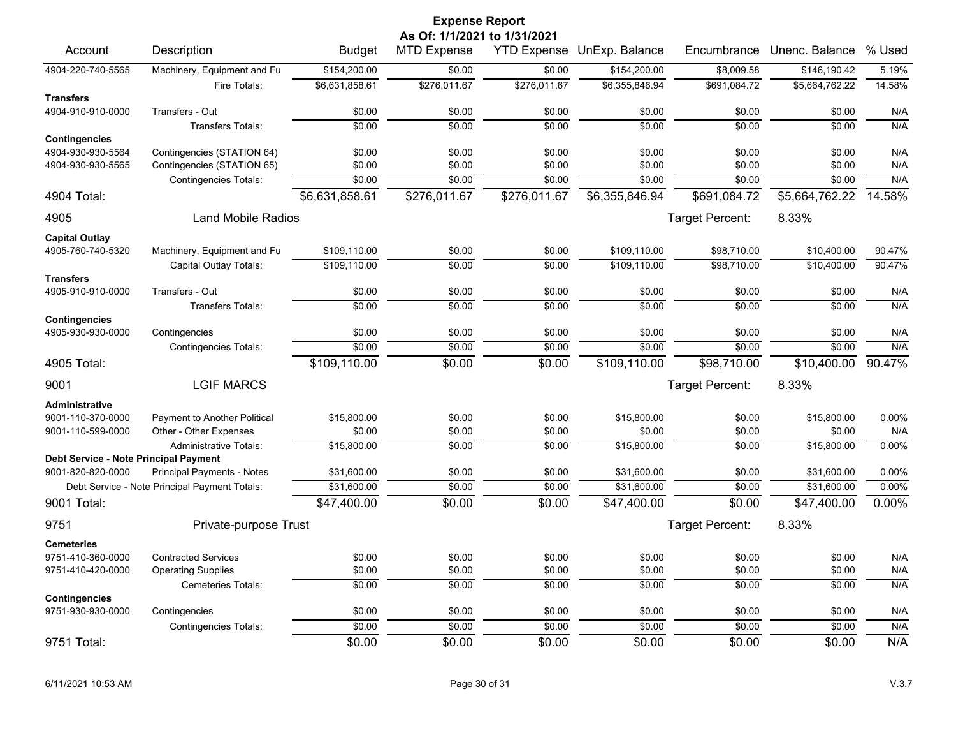## Account Description **Budget MTD Expense YTD Expense UnExp. Balance** Encumbrance Unenc. Balance % Used 4904-220-740-5565 Machinery, Equipment and Fu \$154,200.00 \$0.00 \$0.00 \$154,200.00 \$8,009.58 \$146,190.42 5.19% Fire Totals: \$6,631,858.61 \$276,011.67 \$276,011.67 \$6,355,846.94 \$691,084.72 \$5,664,762.22 14.58% **Transfers** 4904-910-910-0000 Transfers - Out \$0.00 \$0.00 \$0.00 \$0.00 \$0.00 \$0.00 N/A Transfers Totals: \$0.00 \$0.00 \$0.00 \$0.00 \$0.00 \$0.00 N/A **Contingencies** 4904-930-930-5564 Contingencies (STATION 64) \$0.00 \$0.00 \$0.00 \$0.00 \$0.00 \$0.00 N/A 4904-930-930-5565 Contingencies (STATION 65) \$0.00 \$0.00 \$0.00 \$0.00 \$0.00 \$0.00 N/A Contingencies Totals:  $$0.00$   $$0.00$   $$0.00$   $$0.00$   $$0.00$   $$0.00$   $$0.00$   $$0.00$   $$0.00$   $$0.00$  N/A 4904 Total: \$6,631,858.61 \$276,011.67 \$276,011.67 \$6,355,846.94 \$691,084.72 \$5,664,762.22 14.58% 4905 Land Mobile Radios Target Percent: 8.33% **Capital Outlay** 4905-760-740-5320 Machinery, Equipment and Fu \$109,110.00 \$0.00 \$0.00 \$109,110.00 \$98,710.00 \$10,400.00 90.47% Capital Outlay Totals:  $\frac{$109,110.00}{$109,110.00}$   $\frac{$0.00}{$0.00}$   $\frac{$109,110.00}{$109,110.00}$   $\frac{$98,710.00}{$98,710.00}$   $\frac{$10,400.00}{$10,400.00}$   $\frac{90.47\%}{90.00}$ **Transfers** 4905-910-910-0000 Transfers - Out \$0.00 \$0.00 \$0.00 \$0.00 \$0.00 \$0.00 N/A Transfers Totals: \$0.00 \$0.00 \$0.00 \$0.00 \$0.00 \$0.00 N/A **Contingencies** 4905-930-930-0000 Contingencies \$0.00 \$0.00 \$0.00 \$0.00 \$0.00 \$0.00 N/A Contingencies Totals:  $\overline{30.00}$   $\overline{30.00}$   $\overline{30.00}$   $\overline{30.00}$   $\overline{30.00}$   $\overline{30.00}$   $\overline{30.00}$   $\overline{30.00}$   $\overline{30.00}$   $\overline{30.00}$   $\overline{30.00}$   $\overline{30.00}$   $\overline{30.00}$   $\overline{30.00}$   $\overline{30.00}$   $\overline{$ 4905 Total: \$109,110.00 \$0.00 \$0.00 \$109,110.00 \$98,710.00 \$10,400.00 90.47% 9001 LGIF MARCS Target Percent: 8.33% **Administrative** 9001-110-370-0000 Payment to Another Political \$15,800.00 \$0.00 \$0.00 \$15,800.00 \$0.00 \$15,800.00 0.00% 9001-110-599-0000 Other - Other Expenses \$0.00 \$0.00 \$0.00 \$0.00 \$0.00 \$0.00 N/A Administrative Totals:  $$15,800.00$   $$0.00$   $$0.00$   $$15,800.00$   $$15,800.00$   $$15,800.00$   $$15,800.00$   $$0.00\%$ **Debt Service - Note Principal Payment** 9001-820-820-0000 Principal Payments - Notes \$31,600.00 \$0.00 \$0.00 \$0.00 \$31,600.00 \$0.00 \$31,600.00 \$31,600.00 Debt Service - Note Principal Payment Totals: \$31,600.00 \$0.00 \$0.00 \$0.00 \$31,600.00 \$31,600.00 \$31,600.00 \$31,600.00 \$31,600.00 \$31,600.00 \$31,600.00 \$31,600.00 \$31,600.00 \$31,600.00 \$31,600.00 \$31,600.00 \$31,600.00 \$31, 9001 Total: \$47,400.00 \$0.00 \$0.00 \$47,400.00 \$0.00 \$47,400.00 0.00% ertical private-purpose Trust Target Percent: 8.33% **Cemeteries** 9751-410-360-0000 Contracted Services \$0.00 \$0.00 \$0.00 \$0.00 \$0.00 \$0.00 N/A 9751-410-420-0000 Operating Supplies \$0.00 \$0.00 \$0.00 \$0.00 \$0.00 \$0.00 N/A Cemeteries Totals: \$0.00 \$0.00 \$0.00 \$0.00 \$0.00 \$0.00 N/A **Contingencies** 9751-930-930-0000 Contingencies \$0.00 \$0.00 \$0.00 \$0.00 \$0.00 \$0.00 N/A Contingencies Totals:  $\frac{$0.00}{$0.00}$   $\frac{$0.00}{$0.00}$   $\frac{$0.00}{$0.00}$   $\frac{$0.00}{$0.00}$   $\frac{$0.00}{$0.00}$   $\frac{$0.00}{$0.00}$  N/A 9751 Total: \$0.00 \$0.00 \$0.00 \$0.00 \$0.00 \$0.00 N/A **Expense Report As Of: 1/1/2021 to 1/31/2021**